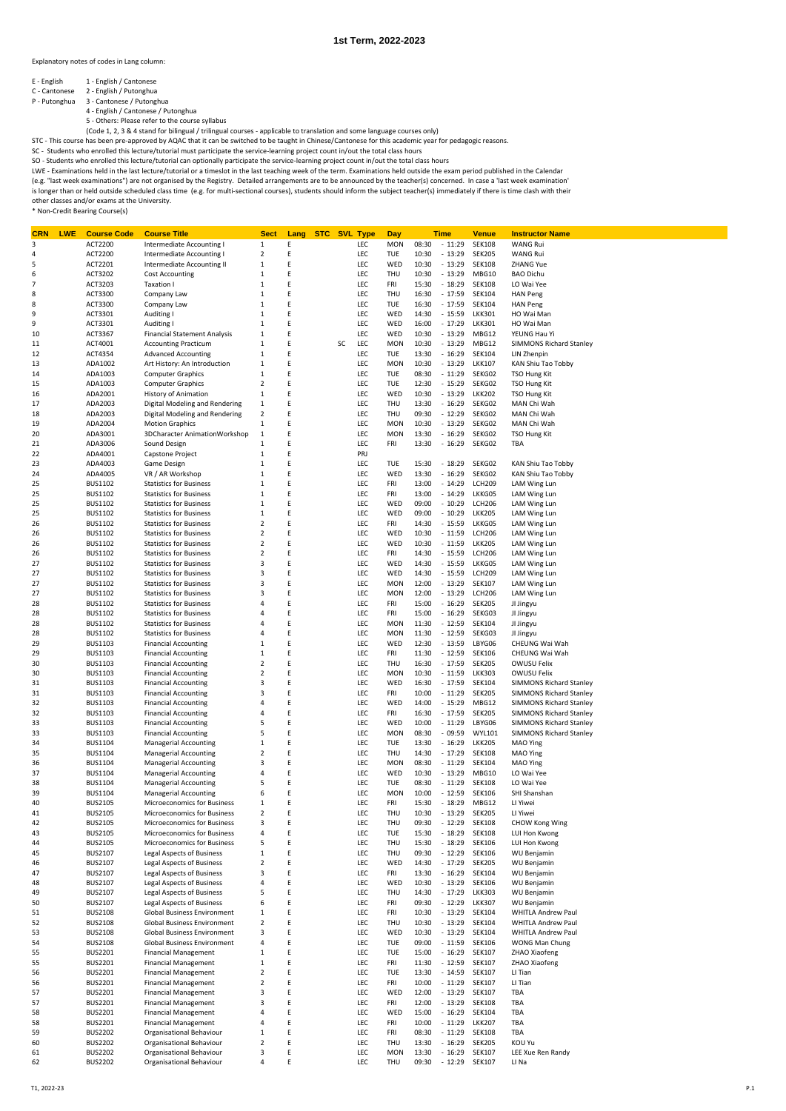Explanatory notes of codes in Lang column:

- E English 1 English / Cantonese
- C Cantonese 2 English / Putonghua P Putonghua 3 Cantonese / Putonghua

4 - English / Cantonese / Putonghua 5 - Others: Please refer to the course syllabus

(Code 1, 2, 3 & 4 stand for bilingual / trilingual courses - applicable to translation and some language courses only)<br>STC - This course has been pre-approved by AQAC that it can be switched to be taught in Chinese/Cantone

SC - Students who enrolled this lecture/tutorial must participate the service-learning project count in/out the total class hours<br>SO - Students who enrolled this lecture/tutorial can optionally participate the service-lear

(e.g. "last week examinations") are not organised by the Registry. Detailed arrangements are to be announced by the teacher(s) concerned. In case a 'last week examination' is longer than or held outside scheduled class time (e.g. for multi-sectional courses), students should inform the subject teacher(s) immediately if there is time clash with their<br>other classes and/or exams at the Univers

| CRN | <b>LWE</b> | <b>Course Code</b> | <b>Course Title</b>                 | <b>Sect</b>             | Lang | <b>STC SVL Type</b> |    |     | Day        |       | <b>Time</b> | <b>Venue</b>  | <b>Instructor Name</b>         |
|-----|------------|--------------------|-------------------------------------|-------------------------|------|---------------------|----|-----|------------|-------|-------------|---------------|--------------------------------|
| 3   |            | ACT2200            | Intermediate Accounting I           | $\mathbf{1}$            | Ε    |                     |    | LEC | <b>MON</b> | 08:30 | $-11:29$    | <b>SEK108</b> | <b>WANG Rui</b>                |
| 4   |            | ACT2200            | Intermediate Accounting I           | $\overline{2}$          | Ε    |                     |    | LEC | <b>TUE</b> | 10:30 | $-13:29$    | <b>SEK205</b> | <b>WANG Rui</b>                |
| 5   |            | ACT2201            | Intermediate Accounting II          | $\mathbf{1}$            | E    |                     |    | LEC | WED        | 10:30 | $-13:29$    | <b>SEK108</b> | <b>ZHANG Yue</b>               |
| 6   |            | ACT3202            | <b>Cost Accounting</b>              | $\mathbf{1}$            | E    |                     |    | LEC | THU        | 10:30 | $-13:29$    | MBG10         | <b>BAO Dichu</b>               |
| 7   |            | ACT3203            | Taxation I                          | $\mathbf{1}$            | E    |                     |    | LEC | FRI        | 15:30 | $-18:29$    | <b>SEK108</b> | LO Wai Yee                     |
| 8   |            | ACT3300            | Company Law                         | $\mathbf{1}$            | Ε    |                     |    | LEC | THU        | 16:30 | $-17:59$    | <b>SEK104</b> | <b>HAN Peng</b>                |
| 8   |            | ACT3300            | Company Law                         | $1\,$                   | Ε    |                     |    | LEC | <b>TUE</b> | 16:30 | $-17:59$    | <b>SEK104</b> | <b>HAN Peng</b>                |
| 9   |            | ACT3301            | Auditing I                          | $1\,$                   | E    |                     |    | LEC | WED        | 14:30 | $-15:59$    | <b>LKK301</b> | HO Wai Man                     |
| 9   |            | ACT3301            | Auditing I                          | $1\,$                   | Ε    |                     |    | LEC | WED        | 16:00 | $-17:29$    | <b>LKK301</b> | HO Wai Man                     |
| 10  |            | ACT3367            | <b>Financial Statement Analysis</b> | $1\,$                   | E    |                     |    | LEC | WED        | 10:30 | $-13:29$    | MBG12         | YEUNG Hau Yi                   |
| 11  |            | ACT4001            | <b>Accounting Practicum</b>         | $1\,$                   | Ε    |                     | SC | LEC | <b>MON</b> | 10:30 | $-13:29$    | MBG12         | <b>SIMMONS Richard Stanley</b> |
| 12  |            | ACT4354            | <b>Advanced Accounting</b>          | $1\,$                   | E    |                     |    | LEC | TUE        | 13:30 | $-16:29$    | <b>SEK104</b> | LIN Zhenpin                    |
| 13  |            | ADA1002            | Art History: An Introduction        | $\,1\,$                 | E    |                     |    | LEC | <b>MON</b> | 10:30 | $-13:29$    | <b>LKK107</b> | KAN Shiu Tao Tobby             |
| 14  |            | ADA1003            | <b>Computer Graphics</b>            | $\mathbf{1}$            | E    |                     |    | LEC | TUE        | 08:30 | $-11:29$    | SEKG02        | <b>TSO Hung Kit</b>            |
| 15  |            | ADA1003            | <b>Computer Graphics</b>            | $\overline{2}$          | E    |                     |    | LEC | TUE        | 12:30 | $-15:29$    | SEKG02        | <b>TSO Hung Kit</b>            |
| 16  |            | ADA2001            | <b>History of Animation</b>         | $1\,$                   | E    |                     |    | LEC | WED        | 10:30 | $-13:29$    | <b>LKK202</b> | <b>TSO Hung Kit</b>            |
| 17  |            | ADA2003            | Digital Modeling and Rendering      | $\,1\,$                 | E    |                     |    | LEC | THU        | 13:30 | $-16:29$    | SEKG02        | MAN Chi Wah                    |
| 18  |            | ADA2003            | Digital Modeling and Rendering      | $\overline{\mathbf{2}}$ | E    |                     |    | LEC | THU        | 09:30 | $-12:29$    | SEKG02        | MAN Chi Wah                    |
| 19  |            | ADA2004            | <b>Motion Graphics</b>              | $\mathbf 1$             | E    |                     |    | LEC | <b>MON</b> | 10:30 | $-13:29$    | SEKG02        | MAN Chi Wah                    |
| 20  |            | ADA3001            | 3DCharacter AnimationWorkshop       | $1\,$                   | E    |                     |    | LEC | <b>MON</b> | 13:30 | $-16:29$    | SEKG02        | <b>TSO Hung Kit</b>            |
| 21  |            | ADA3006            | Sound Design                        | 1                       | E    |                     |    | LEC | FRI        | 13:30 | $-16:29$    | SEKG02        | TBA                            |
| 22  |            | ADA4001            | Capstone Project                    | $1\,$                   | E    |                     |    | PRJ |            |       |             |               |                                |
| 23  |            | ADA4003            | Game Design                         | $\mathbf{1}$            | E    |                     |    | LEC | TUE        | 15:30 | $-18:29$    | SEKG02        | KAN Shiu Tao Tobby             |
| 24  |            | ADA4005            | VR / AR Workshop                    | $\mathbf{1}$            | E    |                     |    | LEC | WED        | 13:30 | $-16:29$    | SEKG02        | KAN Shiu Tao Tobby             |
| 25  |            | <b>BUS1102</b>     | <b>Statistics for Business</b>      | $\mathbf{1}$            | E    |                     |    | LEC | FRI        | 13:00 | $-14:29$    | <b>LCH209</b> | LAM Wing Lun                   |
| 25  |            | <b>BUS1102</b>     | <b>Statistics for Business</b>      | $\mathbf{1}$            | E    |                     |    | LEC | FRI        | 13:00 | $-14:29$    | LKKG05        | LAM Wing Lun                   |
| 25  |            | <b>BUS1102</b>     | <b>Statistics for Business</b>      | $\mathbf{1}$            | E    |                     |    | LEC | WED        | 09:00 | $-10:29$    | <b>LCH206</b> | LAM Wing Lun                   |
| 25  |            | <b>BUS1102</b>     | <b>Statistics for Business</b>      | $\mathbf{1}$            | E    |                     |    | LEC | WED        | 09:00 | $-10:29$    | <b>LKK205</b> | LAM Wing Lun                   |
| 26  |            | <b>BUS1102</b>     | <b>Statistics for Business</b>      | $\overline{2}$          | E    |                     |    | LEC | FRI        | 14:30 | $-15:59$    | LKKG05        | LAM Wing Lun                   |
| 26  |            | <b>BUS1102</b>     | <b>Statistics for Business</b>      | $\overline{2}$          | E    |                     |    | LEC | WED        | 10:30 | $-11:59$    | <b>LCH206</b> | LAM Wing Lun                   |
| 26  |            | <b>BUS1102</b>     | <b>Statistics for Business</b>      | $\overline{2}$          | E    |                     |    | LEC | WED        | 10:30 | $-11:59$    | <b>LKK205</b> | LAM Wing Lun                   |
| 26  |            | <b>BUS1102</b>     | <b>Statistics for Business</b>      | 2                       | E    |                     |    | LEC | FRI        | 14:30 | $-15:59$    | <b>LCH206</b> | <b>LAM Wing Lun</b>            |
| 27  |            | <b>BUS1102</b>     | <b>Statistics for Business</b>      | 3                       | E    |                     |    | LEC | WED        | 14:30 | $-15:59$    | LKKG05        | <b>LAM Wing Lun</b>            |
| 27  |            | <b>BUS1102</b>     | <b>Statistics for Business</b>      | 3                       | E    |                     |    | LEC | WED        | 14:30 | $-15:59$    | <b>LCH209</b> | LAM Wing Lun                   |
| 27  |            | <b>BUS1102</b>     | <b>Statistics for Business</b>      | 3                       | E    |                     |    | LEC | <b>MON</b> | 12:00 | $-13:29$    | <b>SEK107</b> | LAM Wing Lun                   |
| 27  |            | <b>BUS1102</b>     | <b>Statistics for Business</b>      | 3                       | E    |                     |    | LEC | <b>MON</b> | 12:00 | $-13:29$    | <b>LCH206</b> | LAM Wing Lun                   |
| 28  |            | <b>BUS1102</b>     | <b>Statistics for Business</b>      | 4                       | E    |                     |    | LEC | FRI        | 15:00 | $-16:29$    | <b>SEK205</b> | JI Jingyu                      |
| 28  |            | <b>BUS1102</b>     | <b>Statistics for Business</b>      | 4                       | E    |                     |    | LEC | FRI        | 15:00 | $-16:29$    | SEKG03        | JI Jingyu                      |
| 28  |            | <b>BUS1102</b>     | <b>Statistics for Business</b>      | 4                       | E    |                     |    | LEC | <b>MON</b> | 11:30 | $-12:59$    | <b>SEK104</b> | JI Jingyu                      |
| 28  |            | <b>BUS1102</b>     | <b>Statistics for Business</b>      | 4                       | E    |                     |    | LEC | <b>MON</b> | 11:30 | $-12:59$    | SEKG03        | JI Jingyu                      |
| 29  |            | <b>BUS1103</b>     | <b>Financial Accounting</b>         | $\mathbf{1}$            | E    |                     |    | LEC | WED        | 12:30 | $-13:59$    | LBYG06        | CHEUNG Wai Wah                 |
| 29  |            | <b>BUS1103</b>     | <b>Financial Accounting</b>         | $1\,$                   | E    |                     |    | LEC | FRI        | 11:30 | $-12:59$    | <b>SEK106</b> | CHEUNG Wai Wah                 |
| 30  |            | <b>BUS1103</b>     | <b>Financial Accounting</b>         | $\overline{\mathbf{2}}$ | E    |                     |    | LEC | THU        | 16:30 | $-17:59$    | <b>SEK205</b> | OWUSU Felix                    |
| 30  |            | <b>BUS1103</b>     | <b>Financial Accounting</b>         | 2                       | E    |                     |    | LEC | <b>MON</b> | 10:30 | $-11:59$    | <b>LKK303</b> | OWUSU Felix                    |
| 31  |            | <b>BUS1103</b>     | <b>Financial Accounting</b>         | 3                       | E    |                     |    | LEC | WED        | 16:30 | $-17:59$    | SEK104        | <b>SIMMONS Richard Stanley</b> |
| 31  |            | <b>BUS1103</b>     | <b>Financial Accounting</b>         | 3                       | E    |                     |    | LEC | FRI        | 10:00 | $-11:29$    | <b>SEK205</b> | <b>SIMMONS Richard Stanley</b> |
| 32  |            | <b>BUS1103</b>     | <b>Financial Accounting</b>         | 4                       | E    |                     |    | LEC | WED        | 14:00 | $-15:29$    | MBG12         | <b>SIMMONS Richard Stanley</b> |
| 32  |            | <b>BUS1103</b>     | <b>Financial Accounting</b>         | 4                       | E    |                     |    | LEC | FRI        | 16:30 | $-17:59$    | <b>SEK205</b> | <b>SIMMONS Richard Stanley</b> |
| 33  |            | <b>BUS1103</b>     | <b>Financial Accounting</b>         | 5                       | E    |                     |    | LEC | WED        | 10:00 | $-11:29$    | LBYG06        | <b>SIMMONS Richard Stanley</b> |
| 33  |            | <b>BUS1103</b>     | <b>Financial Accounting</b>         | 5                       | E    |                     |    | LEC | <b>MON</b> | 08:30 | $-09:59$    | <b>WYL101</b> | <b>SIMMONS Richard Stanley</b> |
| 34  |            | <b>BUS1104</b>     | <b>Managerial Accounting</b>        | $\mathbf{1}$            | Ε    |                     |    | LEC | <b>TUE</b> | 13:30 | $-16:29$    | <b>LKK205</b> | MAO Ying                       |
| 35  |            | <b>BUS1104</b>     | <b>Managerial Accounting</b>        | $\overline{2}$          | Ε    |                     |    | LEC | THU        | 14:30 | $-17:29$    | <b>SEK108</b> | MAO Ying                       |
| 36  |            | <b>BUS1104</b>     | <b>Managerial Accounting</b>        | 3                       | E    |                     |    | LEC | <b>MON</b> | 08:30 | $-11:29$    | SEK104        | MAO Ying                       |
| 37  |            | <b>BUS1104</b>     | <b>Managerial Accounting</b>        | 4                       | Ε    |                     |    | LEC | WED        | 10:30 | $-13:29$    | MBG10         | LO Wai Yee                     |
| 38  |            | <b>BUS1104</b>     | Managerial Accounting               | 5                       | E    |                     |    | LEC | TUE        | 08:30 | $-11:29$    | <b>SEK108</b> | LO Wai Yee                     |
| 39  |            | <b>BUS1104</b>     | <b>Managerial Accounting</b>        | 6                       | E    |                     |    | LEC | <b>MON</b> | 10:00 | $-12:59$    | <b>SEK106</b> | SHI Shanshan                   |
| 40  |            | <b>BUS2105</b>     | Microeconomics for Business         | $1\,$                   | E    |                     |    | LEC | FRI        | 15:30 | $-18:29$    | MBG12         | LI Yiwei                       |
| 41  |            | <b>BUS2105</b>     | Microeconomics for Business         | $\overline{2}$          | E    |                     |    | LEC | THU        | 10:30 | $-13:29$    | <b>SEK205</b> | LI Yiwei                       |
| 42  |            | <b>BUS2105</b>     | Microeconomics for Business         | 3                       | E    |                     |    | LEC | THU        | 09:30 | 12:29       | <b>SEK108</b> | CHOW Kong Wing                 |
| 43  |            | <b>BUS2105</b>     | Microeconomics for Business         | 4                       | Ε    |                     |    | LEC | TUE        | 15:30 | $-18:29$    | <b>SEK108</b> | LUI Hon Kwong                  |
| 44  |            | <b>BUS2105</b>     | Microeconomics for Business         | 5                       | E    |                     |    | LEC | THU        | 15:30 | $-18:29$    | <b>SEK106</b> | LUI Hon Kwong                  |
| 45  |            | <b>BUS2107</b>     | Legal Aspects of Business           | $\mathbf 1$             | E    |                     |    | LEC | THU        | 09:30 | $-12:29$    | <b>SEK106</b> | WU Benjamin                    |
| 46  |            | <b>BUS2107</b>     | Legal Aspects of Business           | $\overline{\mathbf{2}}$ | E    |                     |    | LEC | WED        | 14:30 | $-17:29$    | <b>SEK205</b> | WU Benjamin                    |
| 47  |            | <b>BUS2107</b>     | Legal Aspects of Business           | 3                       | E    |                     |    | LEC | FRI        | 13:30 | $-16:29$    | <b>SEK104</b> | WU Benjamin                    |
| 48  |            | <b>BUS2107</b>     | Legal Aspects of Business           | 4                       | E    |                     |    | LEC | WED        | 10:30 | $-13:29$    | <b>SEK106</b> | WU Benjamin                    |
| 49  |            | <b>BUS2107</b>     | Legal Aspects of Business           | 5                       | E    |                     |    | LEC | THU        | 14:30 | $-17:29$    | <b>LKK303</b> | WU Benjamin                    |
| 50  |            | <b>BUS2107</b>     | Legal Aspects of Business           | 6                       | E    |                     |    | LEC | FRI        | 09:30 | $-12:29$    | <b>LKK307</b> | WU Benjamin                    |
| 51  |            | <b>BUS2108</b>     | Global Business Environment         | $1\,$                   | E    |                     |    | LEC | FRI        | 10:30 | $-13:29$    | <b>SEK104</b> | WHITLA Andrew Paul             |
| 52  |            | <b>BUS2108</b>     | <b>Global Business Environment</b>  | $\mathbf 2$             | E    |                     |    | LEC | THU        | 10:30 | $-13:29$    | <b>SEK104</b> | WHITLA Andrew Paul             |
| 53  |            | <b>BUS2108</b>     | Global Business Environment         | 3                       | E    |                     |    | LEC | WED        | 10:30 | $-13:29$    | <b>SEK104</b> | WHITLA Andrew Paul             |
| 54  |            | <b>BUS2108</b>     | Global Business Environment         | 4                       | E    |                     |    | LEC | TUE        | 09:00 | $-11:59$    | <b>SEK106</b> | WONG Man Chung                 |
| 55  |            | <b>BUS2201</b>     | <b>Financial Management</b>         | $\mathbf{1}$            | E    |                     |    | LEC | TUE        | 15:00 | $-16:29$    | <b>SEK107</b> | ZHAO Xiaofeng                  |
| 55  |            | <b>BUS2201</b>     | <b>Financial Management</b>         | $\mathbf 1$             | E    |                     |    | LEC | FRI        | 11:30 | $-12:59$    | <b>SEK107</b> | ZHAO Xiaofeng                  |
| 56  |            | <b>BUS2201</b>     | <b>Financial Management</b>         | 2                       | Ε    |                     |    | LEC | TUE        | 13:30 | $-14:59$    | <b>SEK107</b> | LI Tian                        |
| 56  |            | <b>BUS2201</b>     | <b>Financial Management</b>         | 2                       | Ε    |                     |    | LEC | FRI        | 10:00 | $-11:29$    | <b>SEK107</b> | LI Tian                        |
| 57  |            | <b>BUS2201</b>     | <b>Financial Management</b>         | 3                       | E    |                     |    | LEC | WED        | 12:00 | $-13:29$    | <b>SEK107</b> | TBA                            |
| 57  |            | <b>BUS2201</b>     | <b>Financial Management</b>         | 3                       | Ε    |                     |    | LEC | FRI        | 12:00 | $-13:29$    | <b>SEK108</b> | TBA                            |
| 58  |            | <b>BUS2201</b>     | <b>Financial Management</b>         | 4                       | Ε    |                     |    | LEC | WED        | 15:00 | $-16:29$    | SEK104        | TBA                            |
| 58  |            | <b>BUS2201</b>     | <b>Financial Management</b>         | 4                       | Ε    |                     |    | LEC | FRI        | 10:00 | $-11:29$    | <b>LKK207</b> | TBA                            |
| 59  |            | <b>BUS2202</b>     | Organisational Behaviour            | $1\,$                   | E    |                     |    | LEC | FRI        | 08:30 | $-11:29$    | <b>SEK108</b> | TBA                            |
| 60  |            | <b>BUS2202</b>     | Organisational Behaviour            | $\mathbf 2$             | E    |                     |    | LEC | THU        | 13:30 | $-16:29$    | <b>SEK205</b> | KOU Yu                         |
| 61  |            | <b>BUS2202</b>     | Organisational Behaviour            | 3                       | Ε    |                     |    | LEC | <b>MON</b> | 13:30 | $-16:29$    | <b>SEK107</b> | LEE Xue Ren Randy              |
| 62  |            | <b>BUS2202</b>     | Organisational Behaviour            | 4                       | E    |                     |    | LEC | THU        | 09:30 | $-12:29$    | <b>SEK107</b> | LI Na                          |
|     |            |                    |                                     |                         |      |                     |    |     |            |       |             |               |                                |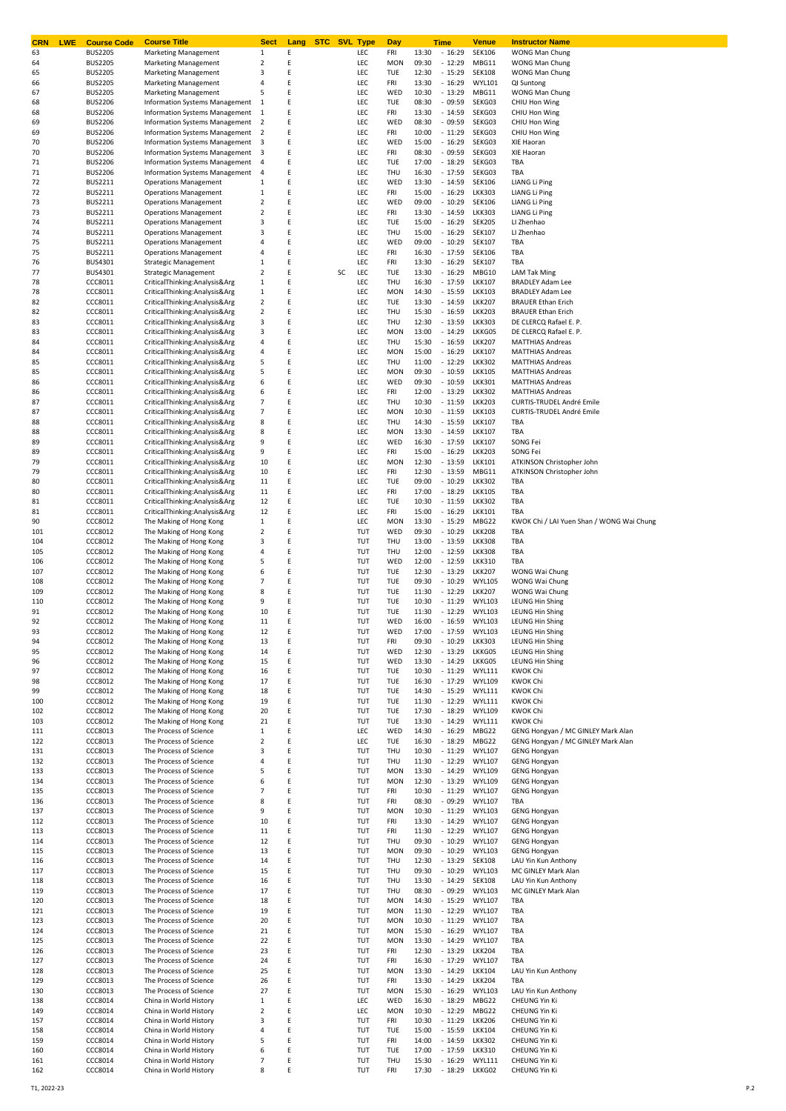| <b>CRN</b><br><b>LWE</b> | <b>Course Code</b>               | <b>Course Title</b>                                            | <b>Sect</b>             | Lang   | <b>STC SVL Type</b> |            | Day               |                | Time                 | <u>Venue</u>                   | <b>Instructor Name</b>                             |
|--------------------------|----------------------------------|----------------------------------------------------------------|-------------------------|--------|---------------------|------------|-------------------|----------------|----------------------|--------------------------------|----------------------------------------------------|
| 63                       | <b>BUS2205</b>                   | <b>Marketing Management</b>                                    | 1<br>$\overline{2}$     | Ε<br>E |                     | LEC        | FRI               | 13:30          | $-16:29$             | <b>SEK106</b><br>MBG11         | WONG Man Chung                                     |
| 64<br>65                 | <b>BUS2205</b><br><b>BUS2205</b> | <b>Marketing Management</b><br><b>Marketing Management</b>     | 3                       | E      |                     | LEC<br>LEC | <b>MON</b><br>TUE | 09:30<br>12:30 | $-12:29$<br>$-15:29$ | <b>SEK108</b>                  | WONG Man Chung<br>WONG Man Chung                   |
| 66                       | <b>BUS2205</b>                   | <b>Marketing Management</b>                                    | 4                       | E      |                     | LEC        | FRI               | 13:30          | $-16:29$             | <b>WYL101</b>                  | QI Suntong                                         |
| 67                       | <b>BUS2205</b>                   | <b>Marketing Management</b>                                    | 5                       | Ε      |                     | LEC        | WED               | 10:30          | $-13:29$             | MBG11                          | WONG Man Chung                                     |
| 68                       | <b>BUS2206</b>                   | Information Systems Management                                 | 1                       | Ε      |                     | LEC        | TUE               | 08:30          | $-09:59$             | SEKG03                         | CHIU Hon Wing                                      |
| 68                       | <b>BUS2206</b>                   | Information Systems Management                                 | 1                       | Ε      |                     | LEC        | FRI               | 13:30          | $-14:59$             | SEKG03                         | CHIU Hon Wing                                      |
| 69                       | <b>BUS2206</b>                   | <b>Information Systems Management</b>                          | $\overline{2}$          | Ε      |                     | LEC        | WED               | 08:30          | $-09:59$             | SEKG03                         | CHIU Hon Wing                                      |
| 69                       | <b>BUS2206</b>                   | Information Systems Management                                 | $\overline{2}$          | Ε      |                     | LEC        | FRI               | 10:00          | $-11:29$             | SEKG03                         | CHIU Hon Wing                                      |
| 70                       | <b>BUS2206</b>                   | Information Systems Management                                 | 3                       | Ε      |                     | LEC        | WED               | 15:00          | $-16:29$             | SEKG03                         | XIE Haoran                                         |
| 70                       | <b>BUS2206</b>                   | Information Systems Management                                 | 3                       | Ε      |                     | LEC        | FRI               | 08:30          | $-09:59$             | SEKG03                         | XIE Haoran                                         |
| 71                       | <b>BUS2206</b>                   | Information Systems Management                                 | $\overline{4}$          | Ε      |                     | LEC<br>LEC | TUE<br>THU        | 17:00          | $-18:29$             | SEKG03<br>SEKG03               | TBA                                                |
| 71<br>72                 | <b>BUS2206</b><br><b>BUS2211</b> | Information Systems Management<br><b>Operations Management</b> | $\overline{a}$<br>1     | Ε<br>Ε |                     | LEC        | WED               | 16:30<br>13:30 | $-17:59$<br>$-14:59$ | <b>SEK106</b>                  | TBA<br><b>LIANG Li Ping</b>                        |
| 72                       | <b>BUS2211</b>                   | <b>Operations Management</b>                                   | $\,1\,$                 | Ε      |                     | LEC        | FRI               | 15:00          | $-16:29$             | <b>LKK303</b>                  | <b>LIANG Li Ping</b>                               |
| 73                       | <b>BUS2211</b>                   | <b>Operations Management</b>                                   | $\overline{2}$          | Ε      |                     | LEC        | WED               | 09:00          | $-10:29$             | <b>SEK106</b>                  | <b>LIANG Li Ping</b>                               |
| 73                       | <b>BUS2211</b>                   | <b>Operations Management</b>                                   | 2                       | Ε      |                     | LEC        | FRI               | 13:30          | $-14:59$             | <b>LKK303</b>                  | <b>LIANG Li Ping</b>                               |
| 74                       | <b>BUS2211</b>                   | <b>Operations Management</b>                                   | 3                       | Ε      |                     | LEC        | TUE               | 15:00          | $-16:29$             | <b>SEK205</b>                  | LI Zhenhao                                         |
| 74                       | <b>BUS2211</b>                   | <b>Operations Management</b>                                   | 3                       | Ε      |                     | LEC        | THU               | 15:00          | $-16:29$             | <b>SEK107</b>                  | LI Zhenhao                                         |
| 75                       | <b>BUS2211</b>                   | <b>Operations Management</b>                                   | 4                       | Ε      |                     | LEC        | WED               | 09:00          | $-10:29$             | <b>SEK107</b>                  | TBA                                                |
| 75                       | <b>BUS2211</b>                   | <b>Operations Management</b>                                   | 4                       | Ε      |                     | LEC        | FRI               | 16:30          | $-17:59$             | <b>SEK106</b>                  | TBA                                                |
| 76                       | <b>BUS4301</b>                   | <b>Strategic Management</b>                                    | $\,1\,$                 | E      |                     | LEC        | FRI               | 13:30          | $-16:29$             | <b>SEK107</b>                  | TBA                                                |
| 77<br>78                 | <b>BUS4301</b><br>CCC8011        | <b>Strategic Management</b><br>CriticalThinking:Analysis&Arg   | 2<br>1                  | Ε<br>Ε | SC                  | LEC<br>LEC | TUE<br>THU        | 13:30<br>16:30 | $-16:29$<br>$-17:59$ | MBG10<br><b>LKK107</b>         | <b>LAM Tak Ming</b><br><b>BRADLEY Adam Lee</b>     |
| 78                       | CCC8011                          | CriticalThinking:Analysis&Arg                                  | $\mathbf{1}$            | Ε      |                     | LEC        | <b>MON</b>        | 14:30          | $-15:59$             | <b>LKK103</b>                  | <b>BRADLEY Adam Lee</b>                            |
| 82                       | CCC8011                          | CriticalThinking:Analysis&Arg                                  | $\overline{2}$          | E      |                     | LEC        | TUE               | 13:30          | $-14:59$             | <b>LKK207</b>                  | <b>BRAUER Ethan Erich</b>                          |
| 82                       | CCC8011                          | CriticalThinking:Analysis&Arg                                  | $\overline{2}$          | E      |                     | LEC        | THU               | 15:30          | $-16:59$             | <b>LKK203</b>                  | <b>BRAUER Ethan Erich</b>                          |
| 83                       | CCC8011                          | CriticalThinking:Analysis&Arg                                  | 3                       | Ε      |                     | LEC        | THU               | 12:30          | $-13:59$             | <b>LKK303</b>                  | DE CLERCQ Rafael E. P.                             |
| 83                       | CCC8011                          | CriticalThinking:Analysis&Arg                                  | 3                       | E      |                     | LEC        | <b>MON</b>        | 13:00          | $-14:29$             | LKKG05                         | DE CLERCQ Rafael E. P.                             |
| 84                       | CCC8011                          | CriticalThinking:Analysis&Arg                                  | 4                       | E      |                     | LEC        | THU               | 15:30          | $-16:59$             | <b>LKK207</b>                  | <b>MATTHIAS Andreas</b>                            |
| 84                       | CCC8011                          | CriticalThinking:Analysis&Arg                                  | 4                       | Ε      |                     | LEC        | <b>MON</b>        | 15:00          | $-16:29$             | <b>LKK107</b>                  | <b>MATTHIAS Andreas</b>                            |
| 85                       | CCC8011                          | CriticalThinking:Analysis&Arg                                  | 5                       | Ε      |                     | LEC        | THU               | 11:00          | $-12:29$             | <b>LKK302</b>                  | <b>MATTHIAS Andreas</b><br><b>MATTHIAS Andreas</b> |
| 85<br>86                 | CCC8011<br>CCC8011               | CriticalThinking:Analysis&Arg<br>CriticalThinking:Analysis&Arg | 5<br>6                  | Ε<br>Ε |                     | LEC<br>LEC | <b>MON</b><br>WED | 09:30<br>09:30 | $-10:59$<br>$-10:59$ | <b>LKK105</b><br><b>LKK301</b> | <b>MATTHIAS Andreas</b>                            |
| 86                       | CCC8011                          | CriticalThinking:Analysis&Arg                                  | 6                       | Ε      |                     | LEC        | FRI               | 12:00          | $-13:29$             | <b>LKK302</b>                  | <b>MATTHIAS Andreas</b>                            |
| 87                       | CCC8011                          | CriticalThinking:Analysis&Arg                                  | 7                       | Ε      |                     | LEC        | THU               | 10:30          | $-11:59$             | <b>LKK203</b>                  | <b>CURTIS-TRUDEL André Emile</b>                   |
| 87                       | CCC8011                          | CriticalThinking:Analysis&Arg                                  | $\overline{7}$          | Ε      |                     | LEC        | <b>MON</b>        | 10:30          | $-11:59$             | <b>LKK103</b>                  | <b>CURTIS-TRUDEL André Emile</b>                   |
| 88                       | CCC8011                          | CriticalThinking:Analysis&Arg                                  | 8                       | Ε      |                     | LEC        | THU               | 14:30          | $-15:59$             | <b>LKK107</b>                  | TBA                                                |
| 88                       | CCC8011                          | CriticalThinking:Analysis&Arg                                  | 8                       | Ε      |                     | LEC        | <b>MON</b>        | 13:30          | $-14:59$             | <b>LKK107</b>                  | TBA                                                |
| 89                       | CCC8011                          | CriticalThinking:Analysis&Arg                                  | 9                       | Ε      |                     | LEC        | WED               | 16:30          | $-17:59$             | <b>LKK107</b>                  | SONG Fei                                           |
| 89                       | CCC8011                          | CriticalThinking:Analysis&Arg                                  | 9                       | Ε      |                     | LEC        | FRI               | 15:00          | $-16:29$             | <b>LKK203</b>                  | SONG Fei                                           |
| 79                       | CCC8011                          | CriticalThinking:Analysis&Arg                                  | 10                      | Ε      |                     | LEC        | <b>MON</b>        | 12:30          | $-13:59$             | <b>LKK101</b>                  | ATKINSON Christopher John                          |
| 79                       | CCC8011                          | CriticalThinking:Analysis&Arg                                  | 10                      | Ε      |                     | LEC        | FRI               | 12:30          | $-13:59$             | MBG11                          | ATKINSON Christopher John                          |
| 80                       | CCC8011                          | CriticalThinking:Analysis&Arg                                  | 11                      | Ε      |                     | LEC        | TUE               | 09:00          | $-10:29$             | <b>LKK302</b>                  | TBA                                                |
| 80<br>81                 | CCC8011<br>CCC8011               | CriticalThinking:Analysis&Arg<br>CriticalThinking:Analysis&Arg | 11<br>12                | Ε<br>Ε |                     | LEC<br>LEC | FRI<br>TUE        | 17:00<br>10:30 | $-18:29$<br>$-11:59$ | <b>LKK105</b><br><b>LKK302</b> | TBA<br>TBA                                         |
| 81                       | CCC8011                          | CriticalThinking:Analysis&Arg                                  | 12                      | Ε      |                     | LEC        | FRI               | 15:00          | $-16:29$             | <b>LKK101</b>                  | TBA                                                |
| 90                       | CCC8012                          | The Making of Hong Kong                                        | 1                       | Ε      |                     | LEC        | <b>MON</b>        | 13:30          | $-15:29$             | MBG22                          | KWOK Chi / LAI Yuen Shan / WONG Wai Chung          |
| 101                      | CCC8012                          | The Making of Hong Kong                                        | $\overline{\mathbf{2}}$ | Ε      |                     | TUT        | WED               | 09:30          | $-10:29$             | <b>LKK208</b>                  | TBA                                                |
| 104                      | CCC8012                          | The Making of Hong Kong                                        | 3                       | E      |                     | TUT        | THU               | 13:00          | $-13:59$             | <b>LKK308</b>                  | TBA                                                |
| 105                      | CCC8012                          | The Making of Hong Kong                                        | 4                       | Ε      |                     | TUT        | THU               | 12:00          | $-12:59$             | <b>LKK308</b>                  | TBA                                                |
| 106                      | CCC8012                          | The Making of Hong Kong                                        | 5                       | Ε      |                     | TUT        | WED               | 12:00          | $-12:59$             | <b>LKK310</b>                  | TBA                                                |
| 107                      | CCC8012                          | The Making of Hong Kong                                        | 6                       | E      |                     | TUT        | TUE               | 12:30          | $-13:29$             | <b>LKK207</b>                  | WONG Wai Chung                                     |
| 108                      | CCC8012                          | The Making of Hong Kong                                        | $\overline{7}$          | E      |                     | TUT        | TUE               | 09:30          | $-10:29$             | <b>WYL105</b>                  | WONG Wai Chung                                     |
| 109<br>110               | CCC8012<br>CCC8012               | The Making of Hong Kong<br>The Making of Hong Kong             | 8<br>9                  | Ε<br>Ε |                     | TUT<br>TUT | TUE<br>TUE        | 11:30<br>10:30 | $-12:29$<br>$-11:29$ | <b>LKK207</b><br><b>WYL103</b> | WONG Wai Chung<br><b>LEUNG Hin Shing</b>           |
| 91                       | CCC8012                          | The Making of Hong Kong                                        | 10                      | E      |                     | TUT        | TUE               | 11:30          | $-12:29$             | <b>WYL103</b>                  | <b>LEUNG Hin Shing</b>                             |
| 92                       | CCC8012                          | The Making of Hong Kong                                        | 11                      | E      |                     | TUT        | WED               | 16:00          | $-16:59$             | <b>WYL103</b>                  | LEUNG Hin Shing                                    |
| 93                       | CCC8012                          | The Making of Hong Kong                                        | 12                      | F      |                     | TUT        | WED               | 17:00          | $-17:59$             | <b>WYL103</b>                  | LEUNG Hin Shing                                    |
| 94                       | CCC8012                          | The Making of Hong Kong                                        | 13                      | Ε      |                     | TUT        | FRI               | 09:30          | $-10:29$             | <b>LKK303</b>                  | LEUNG Hin Shing                                    |
| 95                       | CCC8012                          | The Making of Hong Kong                                        | 14                      | Ε      |                     | TUT        | WED               | 12:30          | $-13:29$             | LKKG05                         | <b>LEUNG Hin Shing</b>                             |
| 96                       | CCC8012                          | The Making of Hong Kong                                        | 15                      | Ε      |                     | TUT        | WED               | 13:30          | $-14:29$             | LKKG05                         | <b>LEUNG Hin Shing</b>                             |
| 97                       | CCC8012                          | The Making of Hong Kong                                        | 16                      | Ε      |                     | TUT        | TUE               | 10:30          | $-11:29$             | <b>WYL111</b>                  | <b>KWOK Chi</b>                                    |
| 98<br>99                 | CCC8012<br>CCC8012               | The Making of Hong Kong<br>The Making of Hong Kong             | 17                      | Ε<br>Ε |                     | TUT<br>TUT | TUE<br>TUE        | 16:30<br>14:30 | $-17:29$<br>$-15:29$ | <b>WYL109</b><br><b>WYL111</b> | <b>KWOK Chi</b><br><b>KWOK Chi</b>                 |
| 100                      | CCC8012                          | The Making of Hong Kong                                        | 18<br>19                | Ε      |                     | TUT        | TUE               | 11:30          | $-12:29$             | <b>WYL111</b>                  | <b>KWOK Chi</b>                                    |
| 102                      | CCC8012                          | The Making of Hong Kong                                        | 20                      | Ε      |                     | TUT        | TUE               | 17:30          | $-18:29$             | <b>WYL109</b>                  | <b>KWOK Chi</b>                                    |
| 103                      | CCC8012                          | The Making of Hong Kong                                        | 21                      | Ε      |                     | TUT        | TUE               | 13:30          | $-14:29$             | <b>WYL111</b>                  | <b>KWOK Chi</b>                                    |
| 111                      | CCC8013                          | The Process of Science                                         | 1                       | Ε      |                     | LEC        | WED               | 14:30          | $-16:29$             | MBG22                          | GENG Hongyan / MC GINLEY Mark Alan                 |
| 122                      | CCC8013                          | The Process of Science                                         | $\overline{\mathbf{2}}$ | Ε      |                     | LEC        | TUE               | 16:30          | $-18:29$             | MBG22                          | GENG Hongyan / MC GINLEY Mark Alan                 |
| 131                      | CCC8013                          | The Process of Science                                         | 3                       | Ε      |                     | TUT        | THU               | 10:30          | $-11:29$             | <b>WYL107</b>                  | <b>GENG Hongyan</b>                                |
| 132                      | CCC8013                          | The Process of Science                                         | 4                       | E      |                     | TUT        | THU               | 11:30          | $-12:29$             | <b>WYL107</b>                  | <b>GENG Hongyan</b>                                |
| 133                      | CCC8013                          | The Process of Science                                         | 5                       | E      |                     | TUT        | <b>MON</b>        | 13:30          | $-14:29$             | <b>WYL109</b>                  | <b>GENG Hongyan</b>                                |
| 134<br>135               | CCC8013<br>CCC8013               | The Process of Science<br>The Process of Science               | 6<br>$\overline{7}$     | Ε<br>Ε |                     | TUT<br>TUT | <b>MON</b><br>FRI | 12:30<br>10:30 | $-13:29$<br>$-11:29$ | <b>WYL109</b><br><b>WYL107</b> | <b>GENG Hongyan</b><br><b>GENG Hongyan</b>         |
| 136                      | CCC8013                          | The Process of Science                                         | 8                       | E      |                     | TUT        | FRI               | 08:30          | $-09:29$             | <b>WYL107</b>                  | TBA                                                |
| 137                      | CCC8013                          | The Process of Science                                         | 9                       | Ε      |                     | TUT        | <b>MON</b>        | 10:30          | $-11:29$             | <b>WYL103</b>                  | <b>GENG Hongyan</b>                                |
| 112                      | CCC8013                          | The Process of Science                                         | 10                      | Ε      |                     | TUT        | FRI               | 13:30          | $-14:29$             | <b>WYL107</b>                  | <b>GENG Hongyan</b>                                |
| 113                      | CCC8013                          | The Process of Science                                         | 11                      | Ε      |                     | TUT        | FRI               | 11:30          | $-12:29$             | <b>WYL107</b>                  | <b>GENG Hongyan</b>                                |
| 114                      | CCC8013                          | The Process of Science                                         | 12                      | Ε      |                     | TUT        | THU               | 09:30          | $-10:29$             | <b>WYL107</b>                  | <b>GENG Hongyan</b>                                |
| 115                      | CCC8013                          | The Process of Science                                         | 13                      | Ε      |                     | TUT        | <b>MON</b>        | 09:30          | $-10:29$             | <b>WYL103</b>                  | <b>GENG Hongyan</b>                                |
| 116                      | CCC8013                          | The Process of Science                                         | 14                      | Ε      |                     | TUT        | THU               | 12:30          | $-13:29$             | <b>SEK108</b>                  | LAU Yin Kun Anthony                                |
| 117<br>118               | CCC8013<br>CCC8013               | The Process of Science<br>The Process of Science               | 15<br>16                | Ε<br>Ε |                     | TUT<br>TUT | THU<br>THU        | 09:30<br>13:30 | $-10:29$<br>$-14:29$ | <b>WYL103</b><br><b>SEK108</b> | MC GINLEY Mark Alan<br>LAU Yin Kun Anthony         |
| 119                      | CCC8013                          | The Process of Science                                         | 17                      | Ε      |                     | TUT        | THU               | 08:30          | $-09:29$             | <b>WYL103</b>                  | MC GINLEY Mark Alan                                |
| 120                      | CCC8013                          | The Process of Science                                         | 18                      | Ε      |                     | TUT        | <b>MON</b>        | 14:30          | $-15:29$             | <b>WYL107</b>                  | TBA                                                |
| 121                      | CCC8013                          | The Process of Science                                         | 19                      | Ε      |                     | TUT        | <b>MON</b>        | 11:30          | $-12:29$             | <b>WYL107</b>                  | TBA                                                |
| 123                      | CCC8013                          | The Process of Science                                         | 20                      | Ε      |                     | TUT        | <b>MON</b>        | 10:30          | $-11:29$             | <b>WYL107</b>                  | TBA                                                |
| 124                      | CCC8013                          | The Process of Science                                         | 21                      | Ε      |                     | TUT        | <b>MON</b>        | 15:30          | $-16:29$             | <b>WYL107</b>                  | TBA                                                |
| 125                      | CCC8013                          | The Process of Science                                         | 22                      | Ε      |                     | TUT        | <b>MON</b>        | 13:30          | $-14:29$             | <b>WYL107</b>                  | TBA                                                |
| 126                      | CCC8013                          | The Process of Science                                         | 23                      | Ε      |                     | TUT        | FRI               | 12:30          | $-13:29$             | <b>LKK204</b>                  | TBA                                                |
| 127                      | CCC8013                          | The Process of Science                                         | 24                      | Ε      |                     | TUT        | FRI               | 16:30          | $-17:29$             | <b>WYL107</b>                  | TBA                                                |
| 128<br>129               | CCC8013<br>CCC8013               | The Process of Science<br>The Process of Science               | 25                      | Ε<br>Ε |                     | TUT<br>TUT | <b>MON</b><br>FRI | 13:30<br>13:30 | $-14:29$<br>$-14:29$ | <b>LKK104</b><br><b>LKK204</b> | LAU Yin Kun Anthony<br>TBA                         |
| 130                      | CCC8013                          | The Process of Science                                         | 26<br>27                | Ε      |                     | TUT        | <b>MON</b>        | 15:30          | $-16:29$             | <b>WYL103</b>                  | LAU Yin Kun Anthony                                |
| 138                      | CCC8014                          | China in World History                                         | 1                       | Ε      |                     | LEC        | WED               | 16:30          | $-18:29$             | MBG22                          | CHEUNG Yin Ki                                      |
| 149                      | CCC8014                          | China in World History                                         | 2                       | Ε      |                     | LEC        | <b>MON</b>        | 10:30          | $-12:29$             | MBG22                          | CHEUNG Yin Ki                                      |
| 157                      | CCC8014                          | China in World History                                         | 3                       | Ε      |                     | TUT        | FRI               | 10:30          | $-11:29$             | <b>LKK206</b>                  | CHEUNG Yin Ki                                      |
| 158                      | CCC8014                          | China in World History                                         | 4                       | E      |                     | TUT        | TUE               | 15:00          | $-15:59$             | <b>LKK104</b>                  | CHEUNG Yin Ki                                      |
| 159                      | CCC8014                          | China in World History                                         | 5                       | Ε      |                     | TUT        | FRI               | 14:00          | $-14:59$             | <b>LKK302</b>                  | <b>CHEUNG Yin Ki</b>                               |
| 160                      | CCC8014                          | China in World History                                         | 6                       | Ε      |                     | TUT        | TUE               | 17:00          | $-17:59$             | <b>LKK310</b>                  | <b>CHEUNG Yin Ki</b>                               |
| 161                      | CCC8014<br>CCC8014               | China in World History<br>China in World History               | 7<br>8                  | Ε<br>Ε |                     | TUT<br>TUT | THU<br>FRI        | 15:30<br>17:30 | $-16:29$<br>$-18:29$ | <b>WYL111</b><br>LKKG02        | <b>CHEUNG Yin Ki</b><br>CHEUNG Yin Ki              |
| 162                      |                                  |                                                                |                         |        |                     |            |                   |                |                      |                                |                                                    |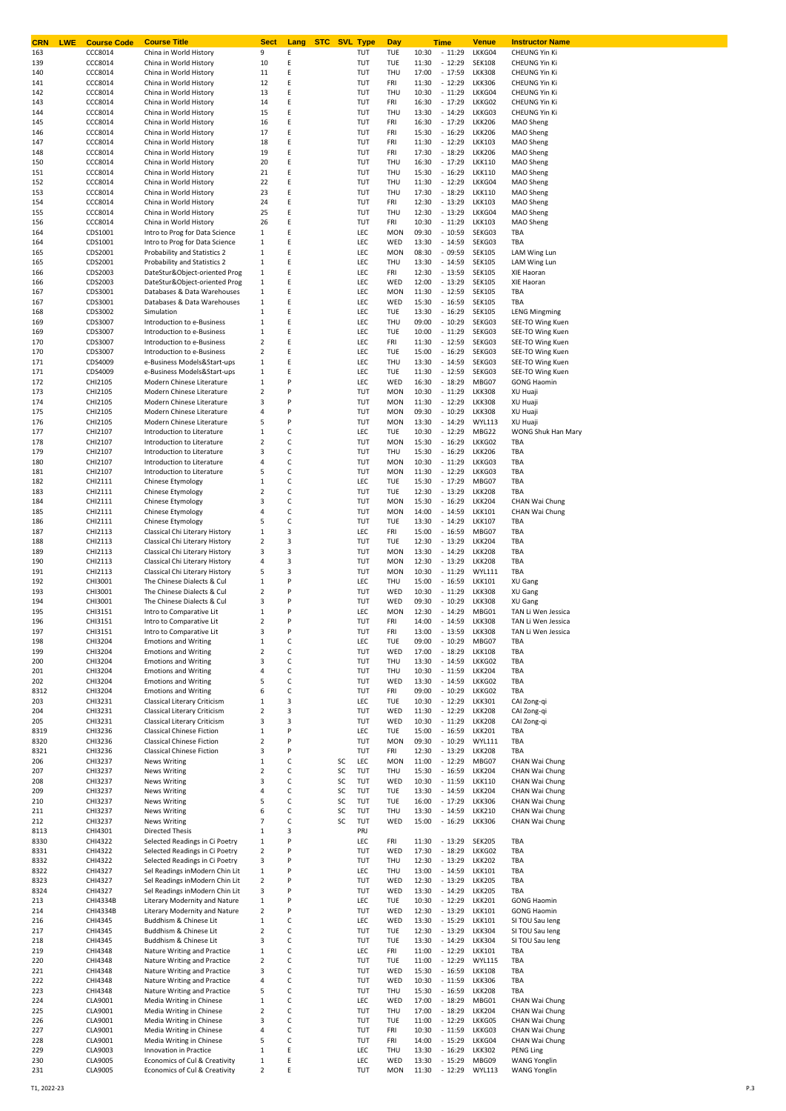| CRN<br><b>LWE</b> | <b>Course Code</b>  | <b>Course Title</b>                                              | Sect                    | Lang   |          | <b>STC</b> SVL Type | Day                      |                | Time                 | Venue                          | <b>Instructor Name</b>                  |
|-------------------|---------------------|------------------------------------------------------------------|-------------------------|--------|----------|---------------------|--------------------------|----------------|----------------------|--------------------------------|-----------------------------------------|
| 163               | CCC8014             | China in World History                                           | 9                       | Ε<br>Ε |          | TUT                 | TUE                      | 10:30<br>11:30 | $-11:29$             | LKKG04<br><b>SEK108</b>        | CHEUNG Yin Ki                           |
| 139<br>140        | CCC8014<br>CCC8014  | China in World History<br>China in World History                 | 10<br>11                | Ε      |          | TUT<br>TUT          | TUE<br>THU               | 17:00          | $-12:29$<br>$-17:59$ | <b>LKK308</b>                  | CHEUNG Yin Ki<br>CHEUNG Yin Ki          |
| 141               | CCC8014             | China in World History                                           | 12                      | Ε      |          | TUT                 | FRI                      | 11:30          | $-12:29$             | <b>LKK306</b>                  | CHEUNG Yin Ki                           |
| 142               | CCC8014             | China in World History                                           | 13                      | Ε      |          | TUT                 | THU                      | 10:30          | $-11:29$             | LKKG04                         | CHEUNG Yin Ki                           |
| 143               | CCC8014             | China in World History                                           | 14                      | Ε      |          | TUT                 | FRI                      | 16:30          | $-17:29$             | LKKG02                         | CHEUNG Yin Ki                           |
| 144               | CCC8014             | China in World History                                           | 15                      | Ε      |          | TUT                 | THU                      | 13:30          | $-14:29$             | LKKG03                         | CHEUNG Yin Ki                           |
| 145               | CCC8014             | China in World History                                           | 16                      | Ε      |          | TUT                 | FRI                      | 16:30          | $-17:29$             | <b>LKK206</b>                  | MAO Sheng                               |
| 146               | CCC8014             | China in World History                                           | 17                      | Ε      |          | TUT                 | FRI                      | 15:30          | $-16:29$             | <b>LKK206</b>                  | MAO Sheng                               |
| 147<br>148        | CCC8014<br>CCC8014  | China in World History<br>China in World History                 | 18<br>19                | Ε<br>Ε |          | TUT<br>TUT          | FRI<br>FRI               | 11:30<br>17:30 | $-12:29$<br>$-18:29$ | <b>LKK103</b><br><b>LKK206</b> | MAO Sheng<br>MAO Sheng                  |
| 150               | CCC8014             | China in World History                                           | 20                      | E      |          | TUT                 | THU                      | 16:30          | $-17:29$             | <b>LKK110</b>                  | MAO Sheng                               |
| 151               | CCC8014             | China in World History                                           | 21                      | Ε      |          | TUT                 | THU                      | 15:30          | $-16:29$             | <b>LKK110</b>                  | MAO Sheng                               |
| 152               | CCC8014             | China in World History                                           | 22                      | E      |          | TUT                 | THU                      | 11:30          | $-12:29$             | LKKG04                         | MAO Sheng                               |
| 153               | CCC8014             | China in World History                                           | 23                      | Ε      |          | TUT                 | THU                      | 17:30          | $-18:29$             | <b>LKK110</b>                  | MAO Sheng                               |
| 154               | CCC8014             | China in World History                                           | 24                      | E      |          | TUT                 | FRI                      | 12:30          | $-13:29$             | <b>LKK103</b>                  | MAO Sheng                               |
| 155               | CCC8014             | China in World History                                           | 25                      | Ε      |          | TUT                 | THU                      | 12:30          | $-13:29$             | LKKG04                         | MAO Sheng                               |
| 156               | CCC8014             | China in World History                                           | 26                      | E      |          | TUT                 | FRI                      | 10:30          | $-11:29$             | <b>LKK103</b>                  | MAO Sheng                               |
| 164               | CDS1001             | Intro to Prog for Data Science<br>Intro to Prog for Data Science | 1                       | Ε<br>E |          | LEC<br>LEC          | <b>MON</b>               | 09:30<br>13:30 | $-10:59$<br>$-14:59$ | SEKG03<br>SEKG03               | TBA<br>TBA                              |
| 164<br>165        | CDS1001<br>CDS2001  | Probability and Statistics 2                                     | 1<br>1                  | Ε      |          | LEC                 | WED<br><b>MON</b>        | 08:30          | $-09:59$             | <b>SEK105</b>                  | LAM Wing Lun                            |
| 165               | CDS2001             | Probability and Statistics 2                                     | 1                       | E      |          | LEC                 | THU                      | 13:30          | $-14:59$             | <b>SEK105</b>                  | LAM Wing Lun                            |
| 166               | CDS2003             | DateStur&Object-oriented Prog                                    | 1                       | Ε      |          | LEC                 | FRI                      | 12:30          | $-13:59$             | <b>SEK105</b>                  | XIE Haoran                              |
| 166               | CDS2003             | DateStur&Object-oriented Prog                                    | 1                       | E      |          | LEC                 | WED                      | 12:00          | $-13:29$             | <b>SEK105</b>                  | XIE Haoran                              |
| 167               | CDS3001             | Databases & Data Warehouses                                      | 1                       | Ε      |          | LEC                 | <b>MON</b>               | 11:30          | $-12:59$             | <b>SEK105</b>                  | TBA                                     |
| 167               | CDS3001             | Databases & Data Warehouses                                      | 1                       | E      |          | LEC                 | WED                      | 15:30          | $-16:59$             | <b>SEK105</b>                  | TBA                                     |
| 168               | CDS3002             | Simulation                                                       | 1                       | Ε      |          | LEC                 | TUE                      | 13:30          | $-16:29$             | <b>SEK105</b>                  | <b>LENG Mingming</b>                    |
| 169               | CDS3007             | Introduction to e-Business                                       | 1                       | Ε      |          | LEC                 | THU                      | 09:00          | $-10:29$             | SEKG03                         | SEE-TO Wing Kuen                        |
| 169<br>170        | CDS3007<br>CDS3007  | Introduction to e-Business<br>Introduction to e-Business         | 1<br>$\overline{2}$     | Ε<br>Ε |          | LEC<br>LEC          | TUE<br>FRI               | 10:00<br>11:30 | $-11:29$<br>$-12:59$ | SEKG03<br>SEKG03               | SEE-TO Wing Kuen<br>SEE-TO Wing Kuen    |
| 170               | CDS3007             | Introduction to e-Business                                       | 2                       | Ε      |          | LEC                 | TUE                      | 15:00          | $-16:29$             | SEKG03                         | SEE-TO Wing Kuen                        |
| 171               | CDS4009             | e-Business Models&Start-ups                                      | 1                       | Ε      |          | LEC                 | THU                      | 13:30          | $-14:59$             | SEKG03                         | SEE-TO Wing Kuen                        |
| 171               | CDS4009             | e-Business Models&Start-ups                                      | 1                       | Ε      |          | LEC                 | TUE                      | 11:30          | $-12:59$             | SEKG03                         | SEE-TO Wing Kuen                        |
| 172               | CHI2105             | Modern Chinese Literature                                        | 1                       | P      |          | LEC                 | WED                      | 16:30          | $-18:29$             | MBG07                          | <b>GONG Haomin</b>                      |
| 173               | CHI2105             | Modern Chinese Literature                                        | $\overline{\mathbf{2}}$ | P      |          | TUT                 | <b>MON</b>               | 10:30          | $-11:29$             | <b>LKK308</b>                  | XU Huaji                                |
| 174               | CHI2105             | Modern Chinese Literature                                        | 3                       | P      |          | TUT                 | <b>MON</b>               | 11:30          | $-12:29$             | <b>LKK308</b>                  | XU Huaji                                |
| 175               | CHI2105             | Modern Chinese Literature                                        | 4                       | P      |          | TUT                 | <b>MON</b>               | 09:30          | $-10:29$             | <b>LKK308</b>                  | XU Huaji                                |
| 176               | CHI2105             | Modern Chinese Literature                                        | 5                       | P      |          | TUT                 | <b>MON</b>               | 13:30          | $-14:29$             | <b>WYL113</b>                  | XU Huaji                                |
| 177<br>178        | CHI2107<br>CHI2107  | Introduction to Literature<br>Introduction to Literature         | 1<br>2                  | С<br>С |          | LEC<br>TUT          | TUE<br><b>MON</b>        | 10:30<br>15:30 | $-12:29$<br>$-16:29$ | MBG22<br>LKKG02                | WONG Shuk Han Mary<br>TBA               |
| 179               | CHI2107             | Introduction to Literature                                       | 3                       | С      |          | TUT                 | THU                      | 15:30          | $-16:29$             | <b>LKK206</b>                  | TBA                                     |
| 180               | CHI2107             | Introduction to Literature                                       | 4                       | С      |          | TUT                 | <b>MON</b>               | 10:30          | $-11:29$             | LKKG03                         | TBA                                     |
| 181               | CHI2107             | Introduction to Literature                                       | 5                       | С      |          | TUT                 | <b>MON</b>               | 11:30          | $-12:29$             | LKKG03                         | TBA                                     |
| 182               | CHI2111             | Chinese Etymology                                                | 1                       | С      |          | LEC                 | TUE                      | 15:30          | $-17:29$             | MBG07                          | TBA                                     |
| 183               | CHI2111             | Chinese Etymology                                                | $\overline{2}$          | C      |          | TUT                 | TUE                      | 12:30          | $-13:29$             | <b>LKK208</b>                  | TBA                                     |
| 184               | CHI2111             | Chinese Etymology                                                | 3                       | С      |          | TUT                 | <b>MON</b>               | 15:30          | $-16:29$             | <b>LKK204</b>                  | CHAN Wai Chung                          |
| 185               | CHI2111             | Chinese Etymology                                                | 4                       | С      |          | TUT                 | <b>MON</b>               | 14:00          | $-14:59$             | LKK101                         | CHAN Wai Chung                          |
| 186               | CHI2111             | Chinese Etymology                                                | 5                       | С      |          | TUT                 | TUE                      | 13:30          | $-14:29$             | <b>LKK107</b>                  | TBA                                     |
| 187               | CHI2113             | Classical Chi Literary History                                   | 1                       | 3      |          | LEC                 | FRI                      | 15:00          | $-16:59$             | MBG07                          | TBA                                     |
| 188               | CHI2113             | Classical Chi Literary History                                   | 2                       | 3      |          | TUT                 | TUE                      | 12:30          | $-13:29$             | <b>LKK204</b>                  | TBA                                     |
| 189               | CHI2113             | Classical Chi Literary History                                   | 3                       | 3<br>3 |          | TUT                 | <b>MON</b>               | 13:30          | $-14:29$             | <b>LKK208</b>                  | TBA<br>TBA                              |
| 190<br>191        | CHI2113<br>CHI2113  | Classical Chi Literary History<br>Classical Chi Literary History | 4<br>5                  | 3      |          | TUT<br>TUT          | <b>MON</b><br><b>MON</b> | 12:30<br>10:30 | $-13:29$<br>$-11:29$ | <b>LKK208</b><br><b>WYL111</b> | TBA                                     |
| 192               | CHI3001             | The Chinese Dialects & Cul                                       | 1                       | P      |          | LEC                 | THU                      | 15:00          | $-16:59$             | <b>LKK101</b>                  | XU Gang                                 |
| 193               | CHI3001             | The Chinese Dialects & Cul                                       | 2                       | P      |          | TUT                 | WED                      | 10:30          | $-11:29$             | <b>LKK308</b>                  | XU Gang                                 |
| 194               | CHI3001             | The Chinese Dialects & Cul                                       | 3                       | P      |          | TUT                 | WED                      | 09:30          | $-10:29$             | <b>LKK308</b>                  | XU Gang                                 |
| 195               | CHI3151             | Intro to Comparative Lit                                         | 1                       | p      |          | LEC                 | <b>MON</b>               | 12:30          | $-14:29$             | MBG01                          | TAN Li Wen Jessica                      |
| 196               | CHI3151             | Intro to Comparative Lit                                         | $\overline{2}$          | P      |          | TUT                 | FRI                      | 14:00          | $-14:59$             | <b>LKK308</b>                  | TAN Li Wen Jessica                      |
| 197               | CHI3151             | Intro to Comparative Lit                                         | 3                       |        |          | TUT                 | FRI                      | 13:00          | $-13.59$             | <b>LKK308</b>                  | TAN Li Wen Jessica                      |
| 198               | CHI3204             | <b>Emotions and Writing</b>                                      | $\mathbf{1}$            | С      |          | LEC                 | TUE                      | 09:00          | $-10:29$             | MBG07                          | TBA                                     |
| 199               | CHI3204             | <b>Emotions and Writing</b>                                      | $\overline{c}$          | C      |          | TUT                 | WED                      | 17:00          | $-18:29$             | <b>LKK108</b>                  | TBA                                     |
| 200               | CHI3204             | <b>Emotions and Writing</b>                                      | 3                       | C      |          | TUT                 | THU                      | 13:30          | $-14:59$             | LKKG02                         | TBA                                     |
| 201               | CHI3204             | <b>Emotions and Writing</b>                                      | 4                       | C      |          | TUT                 | THU                      | 10:30          | $-11:59$             | <b>LKK204</b>                  | TBA                                     |
| 202<br>8312       | CHI3204<br>CHI3204  | <b>Emotions and Writing</b><br><b>Emotions and Writing</b>       | 5<br>6                  | C<br>C |          | TUT<br>TUT          | WED<br>FRI               | 13:30<br>09:00 | $-14:59$<br>$-10:29$ | LKKG02<br>LKKG02               | TBA<br>TBA                              |
| 203               | CHI3231             | Classical Literary Criticism                                     | 1                       | 3      |          | LEC                 | TUE                      | 10:30          | $-12:29$             | <b>LKK301</b>                  | CAI Zong-qi                             |
| 204               | CHI3231             | <b>Classical Literary Criticism</b>                              | $\mathbf 2$             | 3      |          | TUT                 | WED                      | 11:30          | $-12:29$             | <b>LKK208</b>                  | CAI Zong-qi                             |
| 205               | CHI3231             | Classical Literary Criticism                                     | 3                       | 3      |          | TUT                 | WED                      | 10:30          | $-11:29$             | <b>LKK208</b>                  | CAI Zong-qi                             |
| 8319              | CHI3236             | <b>Classical Chinese Fiction</b>                                 | $1\,$                   | P      |          | LEC                 | TUE                      | 15:00          | $-16:59$             | <b>LKK201</b>                  | TBA                                     |
| 8320              | CHI3236             | <b>Classical Chinese Fiction</b>                                 | 2                       | P      |          | TUT                 | <b>MON</b>               | 09:30          | $-10:29$             | <b>WYL111</b>                  | TBA                                     |
| 8321              | CHI3236             | <b>Classical Chinese Fiction</b>                                 | 3                       | P      |          | TUT                 | FRI                      | 12:30          | $-13:29$             | <b>LKK208</b>                  | TBA                                     |
| 206               | CHI3237             | <b>News Writing</b>                                              | $\mathbf{1}$            | C      | SC       | LEC                 | <b>MON</b>               | 11:00          | $-12:29$             | MBG07                          | CHAN Wai Chung                          |
| 207               | CHI3237             | <b>News Writing</b>                                              | $\overline{2}$          | C      | SC       | TUT                 | THU                      | 15:30          | $-16:59$             | <b>LKK204</b>                  | CHAN Wai Chung                          |
| 208               | CHI3237             | <b>News Writing</b><br><b>News Writing</b>                       | 3<br>4                  | с      | SC       | TUT                 | WED                      | 10:30<br>13:30 | $-11:59$             | <b>LKK110</b>                  | CHAN Wai Chung                          |
| 209<br>210        | CHI3237<br>CHI3237  | <b>News Writing</b>                                              | 5                       | С<br>С | SC<br>SC | TUT<br>TUT          | TUE<br>TUE               | 16:00          | $-14:59$<br>$-17:29$ | <b>LKK204</b><br><b>LKK306</b> | CHAN Wai Chung<br>CHAN Wai Chung        |
| 211               | CHI3237             | <b>News Writing</b>                                              | 6                       | С      | SC       | TUT                 | THU                      | 13:30          | $-14:59$             | <b>LKK210</b>                  | CHAN Wai Chung                          |
| 212               | CHI3237             | <b>News Writing</b>                                              | $\overline{7}$          | с      | SC       | TUT                 | WED                      | 15:00          | $-16:29$             | <b>LKK306</b>                  | CHAN Wai Chung                          |
| 8113              | CHI4301             | <b>Directed Thesis</b>                                           | 1                       | 3      |          | PRJ                 |                          |                |                      |                                |                                         |
| 8330              | CHI4322             | Selected Readings in Ci Poetry                                   | 1                       | P      |          | LEC                 | FRI                      | 11:30          | $-13:29$             | <b>SEK205</b>                  | TBA                                     |
| 8331              | CHI4322             | Selected Readings in Ci Poetry                                   | $\overline{2}$          | P      |          | TUT                 | WED                      | 17:30          | $-18:29$             | LKKG02                         | TBA                                     |
| 8332              | CHI4322             | Selected Readings in Ci Poetry                                   | 3                       | P      |          | TUT                 | THU                      | 12:30          | $-13:29$             | <b>LKK202</b>                  | TBA                                     |
| 8322              | CHI4327             | Sel Readings inModern Chin Lit                                   | 1                       | P      |          | LEC                 | THU                      | 13:00          | $-14:59$             | <b>LKK101</b>                  | TBA                                     |
| 8323              | CHI4327             | Sel Readings inModern Chin Lit                                   | 2                       | P      |          | TUT                 | WED                      | 12:30          | $-13:29$             | <b>LKK205</b>                  | TBA                                     |
| 8324              | CHI4327             | Sel Readings inModern Chin Lit                                   | 3                       | P      |          | TUT                 | WED                      | 13:30          | $-14:29$             | <b>LKK205</b>                  | TBA                                     |
| 213               | CHI4334B            | Literary Modernity and Nature                                    | 1                       | P<br>P |          | LEC                 | TUE<br>WED               | 10:30          | $-12:29$             | <b>LKK201</b><br><b>LKK101</b> | <b>GONG Haomin</b>                      |
| 214<br>216        | CHI4334B<br>CHI4345 | Literary Modernity and Nature<br>Buddhism & Chinese Lit          | 2<br>1                  | С      |          | TUT<br>LEC          | WED                      | 12:30<br>13:30 | $-13:29$<br>$-15:29$ | <b>LKK101</b>                  | <b>GONG Haomin</b><br>SI TOU Sau leng   |
| 217               | CHI4345             | Buddhism & Chinese Lit                                           | $\overline{c}$          | C      |          | TUT                 | TUE                      | 12:30          | $-13:29$             | <b>LKK304</b>                  | SI TOU Sau leng                         |
| 218               | CHI4345             | Buddhism & Chinese Lit                                           | 3                       | C      |          | TUT                 | TUE                      | 13:30          | $-14:29$             | <b>LKK304</b>                  | SI TOU Sau leng                         |
| 219               | CHI4348             | Nature Writing and Practice                                      | $\mathbf 1$             | C      |          | LEC                 | FRI                      | 11:00          | $-12:29$             | <b>LKK101</b>                  | TBA                                     |
| 220               | CHI4348             | Nature Writing and Practice                                      | 2                       | С      |          | TUT                 | TUE                      | 11:00          | $-12:29$             | <b>WYL115</b>                  | TBA                                     |
| 221               | CHI4348             | Nature Writing and Practice                                      | 3                       | С      |          | TUT                 | WED                      | 15:30          | $-16:59$             | <b>LKK108</b>                  | TBA                                     |
| 222               | CHI4348             | Nature Writing and Practice                                      | 4                       | С      |          | TUT                 | WED                      | 10:30          | $-11:59$             | <b>LKK306</b>                  | TBA                                     |
| 223               | CHI4348             | Nature Writing and Practice                                      | 5                       | С      |          | TUT                 | THU                      | 15:30          | $-16:59$             | <b>LKK208</b>                  | TBA                                     |
| 224               | CLA9001             | Media Writing in Chinese                                         | $\,1\,$                 | C      |          | LEC                 | WED                      | 17:00          | $-18:29$             | MBG01                          | CHAN Wai Chung                          |
| 225               | CLA9001             | Media Writing in Chinese                                         | $\mathbf 2$             | С      |          | TUT                 | THU                      | 17:00          | $-18:29$             | <b>LKK204</b>                  | CHAN Wai Chung                          |
| 226               | CLA9001             | Media Writing in Chinese                                         | 3                       | С      |          | TUT                 | TUE                      | 11:00          | $-12:29$             | LKKG05                         | CHAN Wai Chung                          |
| 227               | CLA9001             | Media Writing in Chinese                                         | 4                       | С      |          | TUT                 | FRI                      | 10:30          | $-11:59$             | LKKG03                         | CHAN Wai Chung                          |
| 228               | CLA9001             | Media Writing in Chinese                                         | 5                       | С      |          | TUT                 | FRI                      | 14:00          | $-15:29$             | LKKG04                         | CHAN Wai Chung                          |
| 229<br>230        | CLA9003<br>CLA9005  | Innovation in Practice<br>Economics of Cul & Creativity          | 1<br>1                  | Ε<br>E |          | LEC<br>LEC          | THU<br>WED               | 13:30<br>13:30 | $-16:29$<br>$-15:29$ | <b>LKK302</b><br>MBG09         | <b>PENG Ling</b><br><b>WANG Yonglin</b> |
| 231               | CLA9005             | Economics of Cul & Creativity                                    | $\overline{2}$          | E      |          | TUT                 | MON                      | 11:30          | $-12:29$             | <b>WYL113</b>                  | <b>WANG Yonglin</b>                     |
|                   |                     |                                                                  |                         |        |          |                     |                          |                |                      |                                |                                         |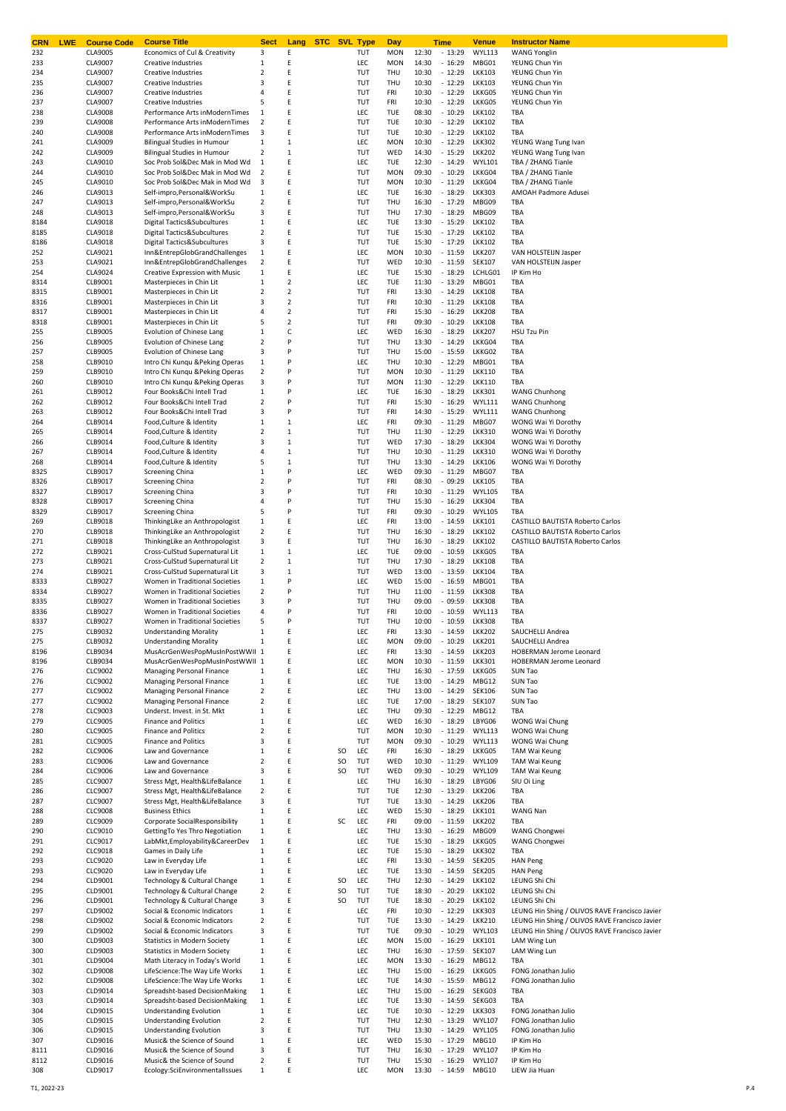| CRN<br><b>LWE</b> | <b>Course Code</b>        | <b>Course Title</b>                                                  | <b>Sect</b>                    | <b>STC</b> SVL Type<br>Lang      |          |                   | Day                      |                | <b>Time</b>          | Venue                          | <b>Instructor Name</b>                         |
|-------------------|---------------------------|----------------------------------------------------------------------|--------------------------------|----------------------------------|----------|-------------------|--------------------------|----------------|----------------------|--------------------------------|------------------------------------------------|
| 232<br>233        | CLA9005<br>CLA9007        | Economics of Cul & Creativity<br>Creative Industries                 | 3<br>1                         | Ε<br>Ε                           |          | TUT<br>LEC        | <b>MON</b><br><b>MON</b> | 12:30<br>14:30 | $-13:29$<br>$-16:29$ | <b>WYL113</b><br>MBG01         | <b>WANG Yonglin</b><br>YEUNG Chun Yin          |
| 234               | CLA9007                   | <b>Creative Industries</b>                                           | 2                              | Ε                                |          | TUT               | THU                      | 10:30          | $-12:29$             | <b>LKK103</b>                  | YEUNG Chun Yin                                 |
| 235               | CLA9007                   | Creative Industries                                                  | 3                              | Ε                                |          | TUT               | THU                      | 10:30          | $-12:29$             | <b>LKK103</b>                  | YEUNG Chun Yin                                 |
| 236               | CLA9007                   | Creative Industries                                                  | 4                              | Ε                                |          | TUT               | FRI                      | 10:30          | $-12:29$             | LKKG05                         | YEUNG Chun Yin                                 |
| 237               | CLA9007                   | Creative Industries                                                  | 5                              | Ε                                |          | TUT               | FRI                      | 10:30          | $-12:29$             | LKKG05                         | YEUNG Chun Yin                                 |
| 238               | <b>CLA9008</b>            | Performance Arts inModernTimes                                       | $\mathbf{1}$                   | Ε                                |          | LEC               | <b>TUE</b>               | 08:30          | $-10:29$             | <b>LKK102</b>                  | TBA                                            |
| 239               | <b>CLA9008</b>            | Performance Arts inModernTimes                                       | $\overline{2}$                 | F                                |          | TUT               | <b>TUE</b>               | 10:30          | $-12:29$             | <b>LKK102</b>                  | TBA                                            |
| 240<br>241        | <b>CLA9008</b><br>CLA9009 | Performance Arts inModernTimes<br><b>Bilingual Studies in Humour</b> | 3<br>$\mathbf{1}$              | Ε<br>$\mathbf{1}$                |          | TUT<br>LEC        | <b>TUE</b><br><b>MON</b> | 10:30<br>10:30 | $-12:29$<br>$-12:29$ | <b>LKK102</b><br><b>LKK302</b> | TBA<br>YEUNG Wang Tung Ivan                    |
| 242               | CLA9009                   | <b>Bilingual Studies in Humour</b>                                   | 2                              | $\mathbf{1}$                     |          | TUT               | WED                      | 14:30          | $-15:29$             | <b>LKK202</b>                  | YEUNG Wang Tung Ivan                           |
| 243               | CLA9010                   | Soc Prob Sol&Dec Mak in Mod Wd                                       | 1                              | E                                |          | <b>LEC</b>        | <b>TUE</b>               | 12:30          | $-14:29$             | <b>WYL101</b>                  | TBA / ZHANG Tianle                             |
| 244               | CLA9010                   | Soc Prob Sol&Dec Mak in Mod Wd                                       | $\overline{2}$                 | Ε                                |          | TUT               | <b>MON</b>               | 09:30          | $-10:29$             | LKKG04                         | TBA / ZHANG Tianle                             |
| 245               | CLA9010                   | Soc Prob Sol&Dec Mak in Mod Wd                                       | 3                              | Ε                                |          | TUT               | <b>MON</b>               | 10:30          | $-11:29$             | LKKG04                         | TBA / ZHANG Tianle                             |
| 246               | CLA9013                   | Self-impro, Personal & WorkSu                                        | 1                              | Ε                                |          | LEC               | TUE                      | 16:30          | $-18:29$             | <b>LKK303</b>                  | AMOAH Padmore Adusei                           |
| 247               | CLA9013                   | Self-impro, Personal & WorkSu                                        | $\overline{2}$                 | E                                |          | TUT               | THU                      | 16:30          | $-17:29$             | MBG09                          | TBA                                            |
| 248               | CLA9013                   | Self-impro, Personal& WorkSu                                         | 3                              | Ε                                |          | TUT               | THU                      | 17:30          | $-18:29$             | MBG09                          | TBA                                            |
| 8184              | CLA9018                   | Digital Tactics&Subcultures<br>Digital Tactics&Subcultures           | $\mathbf{1}$<br>$\overline{2}$ | Ε<br>Ε                           |          | <b>LEC</b><br>TUT | TUE<br><b>TUE</b>        | 13:30          | $-15:29$<br>$-17:29$ | <b>LKK102</b><br><b>LKK102</b> | TBA<br>TBA                                     |
| 8185<br>8186      | CLA9018<br>CLA9018        | Digital Tactics&Subcultures                                          | 3                              | Ε                                |          | TUT               | <b>TUE</b>               | 15:30<br>15:30 | $-17:29$             | <b>LKK102</b>                  | TBA                                            |
| 252               | CLA9021                   | Inn&EntrepGlobGrandChallenges                                        | $\mathbf{1}$                   | Ε                                |          | <b>LEC</b>        | <b>MON</b>               | 10:30          | $-11:59$             | <b>LKK207</b>                  | VAN HOLSTEIJN Jasper                           |
| 253               | CLA9021                   | Inn&EntrepGlobGrandChallenges                                        | $\overline{2}$                 | Ε                                |          | TUT               | WED                      | 10:30          | $-11:59$             | <b>SEK107</b>                  | VAN HOLSTEIJN Jasper                           |
| 254               | CLA9024                   | Creative Expression with Music                                       | $\mathbf{1}$                   | Ε                                |          | <b>LEC</b>        | <b>TUE</b>               | 15:30          | $-18:29$             | LCHLG01                        | IP Kim Ho                                      |
| 8314              | CLB9001                   | Masterpieces in Chin Lit                                             | $\mathbf{1}$                   | $\overline{2}$                   |          | <b>LEC</b>        | <b>TUE</b>               | 11:30          | $-13:29$             | MBG01                          | TBA                                            |
| 8315              | CLB9001                   | Masterpieces in Chin Lit                                             | $\overline{2}$                 | $\overline{2}$                   |          | TUT               | FRI                      | 13:30          | $-14:29$             | <b>LKK108</b>                  | TBA                                            |
| 8316              | CLB9001                   | Masterpieces in Chin Lit                                             | 3                              | $\overline{2}$                   |          | TUT               | FRI                      | 10:30          | $-11:29$             | <b>LKK108</b>                  | TBA                                            |
| 8317              | CLB9001<br>CLB9001        | Masterpieces in Chin Lit<br>Masterpieces in Chin Lit                 | 4<br>5                         | $\overline{2}$<br>$\overline{2}$ |          | TUT<br>TUT        | FRI<br>FRI               | 15:30<br>09:30 | $-16:29$<br>$-10:29$ | <b>LKK208</b><br><b>LKK108</b> | TBA<br>TBA                                     |
| 8318<br>255       | <b>CLB9005</b>            | Evolution of Chinese Lang                                            | $\mathbf{1}$                   | C                                |          | LEC               | WED                      | 16:30          | $-18:29$             | <b>LKK207</b>                  | HSU Tzu Pin                                    |
| 256               | <b>CLB9005</b>            | Evolution of Chinese Lang                                            | $\overline{2}$                 | P                                |          | TUT               | THU                      | 13:30          | $-14:29$             | LKKG04                         | TBA                                            |
| 257               | <b>CLB9005</b>            | Evolution of Chinese Lang                                            | 3                              | P                                |          | TUT               | THU                      | 15:00          | $-15:59$             | LKKG02                         | TBA                                            |
| 258               | CLB9010                   | Intro Chi Kunqu & Peking Operas                                      | $\mathbf{1}$                   | P                                |          | LEC               | THU                      | 10:30          | $-12:29$             | MBG01                          | TBA                                            |
| 259               | CLB9010                   | Intro Chi Kunqu & Peking Operas                                      | $\overline{2}$                 | P                                |          | TUT               | <b>MON</b>               | 10:30          | $-11:29$             | <b>LKK110</b>                  | TBA                                            |
| 260               | CLB9010                   | Intro Chi Kunqu & Peking Operas                                      | 3                              | P                                |          | TUT               | <b>MON</b>               | 11:30          | $-12:29$             | <b>LKK110</b>                  | TBA                                            |
| 261               | CLB9012                   | Four BooksΧ Intell Trad                                              | $1\,$                          | P                                |          | LEC               | <b>TUE</b>               | 16:30          | $-18:29$             | <b>LKK301</b>                  | <b>WANG Chunhong</b>                           |
| 262               | CLB9012                   | Four BooksΧ Intell Trad                                              | $\overline{2}$                 |                                  |          | TUT               | FRI                      | 15:30          | $-16:29$             | <b>WYL111</b>                  | <b>WANG Chunhong</b>                           |
| 263               | CLB9012                   | Four BooksΧ Intell Trad                                              | 3<br>$\mathbf{1}$              | P<br>$\mathbf{1}$                |          | TUT               | FRI<br>FRI               | 14:30          | $-15:29$<br>$-11:29$ | <b>WYL111</b>                  | <b>WANG Chunhong</b>                           |
| 264<br>265        | CLB9014<br>CLB9014        | Food, Culture & Identity<br>Food, Culture & Identity                 | $\overline{2}$                 | $\mathbf{1}$                     |          | LEC<br>TUT        | THU                      | 09:30<br>11:30 | $-12:29$             | MBG07<br><b>LKK310</b>         | WONG Wai Yi Dorothy<br>WONG Wai Yi Dorothy     |
| 266               | CLB9014                   | Food, Culture & Identity                                             | 3                              | 1                                |          | TUT               | WED                      | 17:30          | $-18:29$             | <b>LKK304</b>                  | WONG Wai Yi Dorothy                            |
| 267               | CLB9014                   | Food, Culture & Identity                                             | 4                              | $\mathbf{1}$                     |          | TUT               | THU                      | 10:30          | $-11:29$             | <b>LKK310</b>                  | WONG Wai Yi Dorothy                            |
| 268               | CLB9014                   | Food, Culture & Identity                                             | 5                              | $\mathbf{1}$                     |          | TUT               | THU                      | 13:30          | $-14:29$             | <b>LKK106</b>                  | WONG Wai Yi Dorothy                            |
| 8325              | CLB9017                   | Screening China                                                      | $\mathbf{1}$                   | P                                |          | <b>LEC</b>        | WED                      | 09:30          | $-11:29$             | MBG07                          | TBA                                            |
| 8326              | CLB9017                   | Screening China                                                      | 2                              | P                                |          | TUT               | FRI                      | 08:30          | $-09:29$             | <b>LKK105</b>                  | TBA                                            |
| 8327              | CLB9017                   | Screening China                                                      | 3                              | P                                |          | TUT               | FRI                      | 10:30          | $-11:29$             | <b>WYL105</b>                  | TBA                                            |
| 8328              | CLB9017                   | Screening China                                                      | 4                              | P                                |          | TUT               | THU                      | 15:30          | $-16:29$             | <b>LKK304</b>                  | TBA                                            |
| 8329              | CLB9017                   | Screening China                                                      | 5                              | P                                |          | TUT               | FRI                      | 09:30          | $-10:29$             | <b>WYL105</b>                  | TBA                                            |
| 269               | CLB9018                   | ThinkingLike an Anthropologist                                       | $\mathbf{1}$                   | Ε                                |          | LEC               | FRI                      | 13:00          | $-14:59$             | <b>LKK101</b>                  | CASTILLO BAUTISTA Roberto Carlos               |
| 270               | CLB9018                   | ThinkingLike an Anthropologist                                       | $\overline{2}$                 | Ε<br>Ε                           |          | TUT               | THU                      | 16:30          | $-18:29$             | <b>LKK102</b>                  | CASTILLO BAUTISTA Roberto Carlos               |
| 271<br>272        | CLB9018<br>CLB9021        | ThinkingLike an Anthropologist<br>Cross-CulStud Supernatural Lit     | 3<br>$\mathbf{1}$              | $\mathbf{1}$                     |          | TUT<br><b>LEC</b> | THU<br><b>TUE</b>        | 16:30<br>09:00 | $-18:29$<br>$-10:59$ | <b>LKK102</b><br>LKKG05        | CASTILLO BAUTISTA Roberto Carlos<br>TBA        |
| 273               | CLB9021                   | Cross-CulStud Supernatural Lit                                       | $\overline{2}$                 | $\mathbf{1}$                     |          | TUT               | THU                      | 17:30          | $-18:29$             | <b>LKK108</b>                  | TBA                                            |
| 274               | CLB9021                   | Cross-CulStud Supernatural Lit                                       | 3                              | $\mathbf{1}$                     |          | TUT               | WED                      | 13:00          | $-13:59$             | <b>LKK104</b>                  | TBA                                            |
| 8333              | CLB9027                   | Women in Traditional Societies                                       | $\mathbf{1}$                   | P                                |          | LEC               | WED                      | 15:00          | $-16:59$             | MBG01                          | TBA                                            |
| 8334              | CLB9027                   | Women in Traditional Societies                                       | $\overline{2}$                 | P                                |          | TUT               | THU                      | 11:00          | $-11:59$             | <b>LKK308</b>                  | TBA                                            |
| 8335              | CLB9027                   | Women in Traditional Societies                                       | 3                              | P                                |          | TUT               | THU                      | 09:00          | $-09:59$             | <b>LKK308</b>                  | TBA                                            |
| 8336              | CLB9027                   | Women in Traditional Societies                                       | 4                              |                                  |          | TUT               | FRI                      | 10:00          | $-10:59$             | <b>WYL113</b>                  | TBA                                            |
| 8337              | CLB9027                   | Women in Traditional Societies                                       | 5                              | P                                |          | TUT               | THU                      | 10:00          | $-10:59$             | <b>LKK308</b>                  | TBA                                            |
| 275               | CLB9032                   | <b>Understanding Morality</b>                                        | $\mathbf{1}$                   |                                  |          | LEC               | <b>FRI</b>               | 13:30          | $-14.59$             | <b>IKK202</b>                  | SAUCHELLI Andrea                               |
| 275               | CLB9032                   | <b>Understanding Morality</b>                                        | $1\,$                          | Ε                                |          | LEC               | <b>MON</b>               | 09:00          | $-10:29$             | <b>LKK201</b>                  | SAUCHELLI Andrea                               |
| 8196              | CLB9034                   | MusAcrGenWesPopMusInPostWWII 1<br>MusAcrGenWesPopMusInPostWWII 1     |                                | E<br>E                           |          | LEC               | FRI                      | 13:30          | $-14:59$             | <b>LKK203</b>                  | HOBERMAN Jerome Leonard                        |
| 8196<br>276       | CLB9034<br>CLC9002        | Managing Personal Finance                                            | 1                              | Ε                                |          | LEC<br>LEC        | <b>MON</b><br>THU        | 10:30<br>16:30 | $-11:59$<br>$-17:59$ | <b>LKK301</b><br>LKKG05        | HOBERMAN Jerome Leonard<br>SUN Tao             |
| 276               | CLC9002                   | Managing Personal Finance                                            | $\mathbf{1}$                   | E                                |          | <b>LEC</b>        | TUE                      | 13:00          | $-14:29$             | MBG12                          | SUN Tao                                        |
| 277               | CLC9002                   | Managing Personal Finance                                            | $\overline{2}$                 | Ε                                |          | LEC               | THU                      | 13:00          | $-14:29$             | <b>SEK106</b>                  | SUN Tao                                        |
| 277               | CLC9002                   | Managing Personal Finance                                            | $\overline{2}$                 | E                                |          | <b>LEC</b>        | TUE                      | 17:00          | $-18:29$             | <b>SEK107</b>                  | SUN Tao                                        |
| 278               | CLC9003                   | Underst. Invest. in St. Mkt                                          | $\mathbf{1}$                   | E                                |          | <b>LEC</b>        | THU                      | 09:30          | $-12:29$             | MBG12                          | TBA                                            |
| 279               | <b>CLC9005</b>            | <b>Finance and Politics</b>                                          | $\mathbf{1}$                   | Ε                                |          | <b>LEC</b>        | WED                      | 16:30          | $-18:29$             | LBYG06                         | WONG Wai Chung                                 |
| 280               | <b>CLC9005</b>            | <b>Finance and Politics</b>                                          | $\overline{2}$                 | Ε                                |          | TUT               | <b>MON</b>               | 10:30          | $-11:29$             | <b>WYL113</b>                  | WONG Wai Chung                                 |
| 281               | <b>CLC9005</b>            | <b>Finance and Politics</b>                                          | 3                              | E                                |          | TUT               | <b>MON</b>               | 09:30          | $-10:29$             | <b>WYL113</b>                  | WONG Wai Chung                                 |
| 282               | CLC9006                   | Law and Governance                                                   | $\mathbf{1}$                   | Ε                                | SO       | LEC               | FRI                      | 16:30          | $-18:29$             | LKKG05                         | TAM Wai Keung                                  |
| 283<br>284        | CLC9006<br><b>CLC9006</b> | Law and Governance<br>Law and Governance                             | $\overline{2}$<br>3            | Ε<br>Ε                           | SO<br>SO | TUT<br>TUT        | WED<br>WED               | 10:30<br>09:30 | $-11:29$<br>$-10:29$ | <b>WYL109</b><br><b>WYL109</b> | TAM Wai Keung<br>TAM Wai Keung                 |
| 285               | CLC9007                   | Stress Mgt, Health&LifeBalance                                       | $\mathbf{1}$                   | Ε                                |          | LEC               | THU                      | 16:30          | $-18:29$             | LBYG06                         | SIU Oi Ling                                    |
| 286               | CLC9007                   | Stress Mgt, Health&LifeBalance                                       | $\overline{2}$                 | Ε                                |          | TUT               | TUE                      | 12:30          | $-13:29$             | <b>LKK206</b>                  | TBA                                            |
| 287               | CLC9007                   | Stress Mgt, Health&LifeBalance                                       | 3                              | Ε                                |          | TUT               | TUE                      | 13:30          | $-14:29$             | <b>LKK206</b>                  | TBA                                            |
| 288               | <b>CLC9008</b>            | <b>Business Ethics</b>                                               | $\mathbf{1}$                   | Ε                                |          | LEC               | WED                      | 15:30          | $-18:29$             | <b>LKK101</b>                  | WANG Nan                                       |
| 289               | CLC9009                   | Corporate SocialResponsibility                                       | $\mathbf{1}$                   | Ε                                | SC       | LEC               | FRI                      | 09:00          | $-11:59$             | <b>LKK202</b>                  | TBA                                            |
| 290               | CLC9010                   | GettingTo Yes Thro Negotiation                                       | $\mathbf{1}$                   | Ε                                |          | LEC               | THU                      | 13:30          | $-16:29$             | MBG09                          | WANG Chongwei                                  |
| 291               | CLC9017                   | LabMkt,Employability&CareerDev                                       | $\mathbf{1}$                   | Ε                                |          | LEC               | TUE                      | 15:30          | $-18:29$             | LKKG05                         | WANG Chongwei                                  |
| 292               | CLC9018                   | Games in Daily Life                                                  | $\mathbf{1}$                   | Ε                                |          | LEC               | TUE                      | 15:30          | $-18:29$             | <b>LKK302</b>                  | TBA                                            |
| 293               | CLC9020                   | Law in Everyday Life                                                 | $\mathbf{1}$                   | Ε                                |          | LEC               | FRI                      | 13:30          | $-14:59$             | <b>SEK205</b>                  | <b>HAN Peng</b>                                |
| 293<br>294        | <b>CLC9020</b>            | Law in Everyday Life                                                 | $\mathbf{1}$<br>$\mathbf{1}$   | Ε<br>Ε                           | SO       | LEC<br>LEC        | TUE<br>THU               | 13:30          | $-14:59$             | <b>SEK205</b><br><b>LKK102</b> | <b>HAN Peng</b><br>LEUNG Shi Chi               |
| 295               | CLD9001<br>CLD9001        | Technology & Cultural Change<br>Technology & Cultural Change         | $\overline{2}$                 | Ε                                | SO       | TUT               | TUE                      | 12:30<br>18:30 | $-14:29$<br>$-20:29$ | <b>LKK102</b>                  | LEUNG Shi Chi                                  |
| 296               | CLD9001                   | Technology & Cultural Change                                         | 3                              | Ε                                | SO       | TUT               | TUE                      | 18:30          | $-20:29$             | <b>LKK102</b>                  | LEUNG Shi Chi                                  |
| 297               | CLD9002                   | Social & Economic Indicators                                         | $\mathbf{1}$                   | E                                |          | LEC               | FRI                      | 10:30          | $-12:29$             | <b>LKK303</b>                  | LEUNG Hin Shing / OLIVOS RAVE Francisco Javier |
| 298               | CLD9002                   | Social & Economic Indicators                                         | $\overline{2}$                 | Ε                                |          | TUT               | TUE                      | 13:30          | $-14:29$             | <b>LKK210</b>                  | LEUNG Hin Shing / OLIVOS RAVE Francisco Javier |
| 299               | CLD9002                   | Social & Economic Indicators                                         | 3                              | E                                |          | TUT               | TUE                      | 09:30          | $-10:29$             | <b>WYL103</b>                  | LEUNG Hin Shing / OLIVOS RAVE Francisco Javier |
| 300               | CLD9003                   | <b>Statistics in Modern Society</b>                                  | 1                              | Ε                                |          | LEC               | <b>MON</b>               | 15:00          | $-16:29$             | <b>LKK101</b>                  | LAM Wing Lun                                   |
| 300               | CLD9003                   | <b>Statistics in Modern Society</b>                                  | $\mathbf{1}$                   | E                                |          | <b>LEC</b>        | THU                      | 16:30          | $-17:59$             | <b>SEK107</b>                  | LAM Wing Lun                                   |
| 301               | CLD9004                   | Math Literacy in Today's World                                       | $\mathbf{1}$                   | Ε                                |          | <b>LEC</b>        | <b>MON</b>               | 13:30          | $-16:29$             | MBG12                          | TBA                                            |
| 302               | <b>CLD9008</b>            | LifeScience: The Way Life Works                                      | $\mathbf{1}$                   | E                                |          | <b>LEC</b>        | THU                      | 15:00          | $-16:29$             | LKKG05                         | FONG Jonathan Julio                            |
| 302               | <b>CLD9008</b>            | LifeScience: The Way Life Works                                      | $\mathbf{1}$                   | Ε                                |          | LEC               | <b>TUE</b>               | 14:30          | $-15:59$             | MBG12                          | FONG Jonathan Julio                            |
| 303               | CLD9014                   | Spreadsht-based DecisionMaking                                       | $\mathbf{1}$                   | Ε<br>E                           |          | <b>LEC</b>        | THU                      | 15:00          | $-16:29$             | SEKG03                         | TBA                                            |
| 303<br>304        | CLD9014<br>CLD9015        | Spreadsht-based DecisionMaking<br><b>Understanding Evolution</b>     | $\mathbf{1}$<br>$\mathbf{1}$   | E                                |          | LEC<br><b>LEC</b> | TUE<br>TUE               | 13:30<br>10:30 | $-14:59$<br>$-12:29$ | SEKG03<br><b>LKK303</b>        | TBA<br>FONG Jonathan Julio                     |
| 305               | CLD9015                   | <b>Understanding Evolution</b>                                       | $\overline{2}$                 | E                                |          | TUT               | THU                      | 12:30          | $-13:29$             | <b>WYL107</b>                  | FONG Jonathan Julio                            |
| 306               | CLD9015                   | <b>Understanding Evolution</b>                                       | 3                              | E                                |          | TUT               | THU                      | 13:30          | $-14:29$             | <b>WYL105</b>                  | FONG Jonathan Julio                            |
| 307               | CLD9016                   | Music& the Science of Sound                                          | $\mathbf{1}$                   | E                                |          | LEC               | WED                      | 15:30          | $-17:29$             | MBG10                          | IP Kim Ho                                      |
| 8111              | CLD9016                   | Music& the Science of Sound                                          | 3                              | E                                |          | TUT               | THU                      | 16:30          | $-17:29$             | <b>WYL107</b>                  | IP Kim Ho                                      |
| 8112              | CLD9016                   | Music& the Science of Sound                                          | $\overline{2}$                 | E                                |          | TUT               | THU                      | 15:30          | $-16:29$             | <b>WYL107</b>                  | IP Kim Ho                                      |
| 308               | CLD9017                   | Ecology:SciEnvironmentalIssues                                       | $\mathbf{1}$                   | Ε                                |          | LEC               | MON                      | 13:30          | $-14:59$             | MBG10                          | LIEW Jia Huan                                  |
|                   |                           |                                                                      |                                |                                  |          |                   |                          |                |                      |                                |                                                |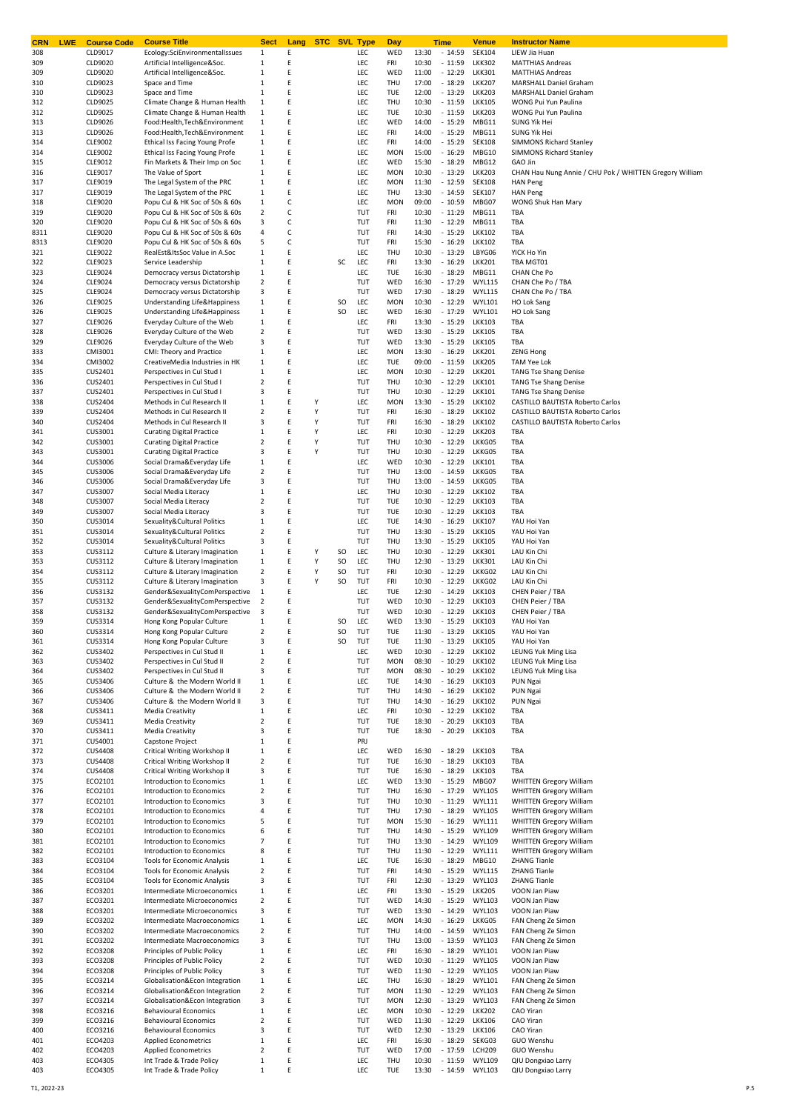| <b>LWE</b><br><b>CRN</b> | <b>Course Code</b>               | <b>Course Title</b>                                              | <b>Sect</b>             | Lang   | <b>STC SVL Type</b> |           |            | <b>Day</b> |                | <b>Time</b>                | Venue                          | <b>Instructor Name</b>                                           |
|--------------------------|----------------------------------|------------------------------------------------------------------|-------------------------|--------|---------------------|-----------|------------|------------|----------------|----------------------------|--------------------------------|------------------------------------------------------------------|
| 308                      | CLD9017                          | Ecology:SciEnvironmentalIssues                                   | 1                       | E      |                     |           | LEC        | WED        | 13:30          | $-14:59$                   | <b>SEK104</b>                  | LIEW Jia Huan                                                    |
| 309                      | CLD9020                          | Artificial Intelligence&Soc.                                     | 1                       | E      |                     |           | LEC        | FRI        | 10:30          | $-11:59$                   | <b>LKK302</b>                  | <b>MATTHIAS Andreas</b>                                          |
| 309                      | CLD9020                          | Artificial Intelligence&Soc.                                     | $\mathbf 1$             | E<br>E |                     |           | LEC        | WED        | 11:00          | $-12:29$                   | <b>LKK301</b>                  | <b>MATTHIAS Andreas</b>                                          |
| 310<br>310               | CLD9023<br>CLD9023               | Space and Time                                                   | 1<br>$\mathbf 1$        | E      |                     |           | LEC<br>LEC | THU<br>TUE | 17:00<br>12:00 | $-18:29$                   | <b>LKK207</b><br><b>LKK203</b> | MARSHALL Daniel Graham<br>MARSHALL Daniel Graham                 |
| 312                      | CLD9025                          | Space and Time<br>Climate Change & Human Health                  | 1                       | E      |                     |           | LEC        | THU        | 10:30          | $-13:29$<br>$-11:59$       | <b>LKK105</b>                  | WONG Pui Yun Paulina                                             |
| 312                      | CLD9025                          | Climate Change & Human Health                                    | 1                       | E      |                     |           | LEC        | TUE        | 10:30          | $-11:59$                   | <b>LKK203</b>                  | WONG Pui Yun Paulina                                             |
| 313                      | CLD9026                          | Food:Health,Tech&Environment                                     | $\mathbf 1$             | E      |                     |           | LEC        | WED        | 14:00          | $-15:29$                   | MBG11                          | SUNG Yik Hei                                                     |
| 313                      | CLD9026                          | Food:Health,Tech&Environment                                     | 1                       | E      |                     |           | LEC        | FRI        | 14:00          | $-15:29$                   | MBG11                          | SUNG Yik Hei                                                     |
| 314                      | CLE9002                          | Ethical Iss Facing Young Profe                                   | 1                       | E      |                     |           | LEC        | FRI        | 14:00          | $-15:29$                   | <b>SEK108</b>                  | SIMMONS Richard Stanley                                          |
| 314                      | CLE9002                          | Ethical Iss Facing Young Profe                                   | 1                       | E      |                     |           | LEC        | <b>MON</b> | 15:00          | $-16:29$                   | MBG10                          | <b>SIMMONS Richard Stanley</b>                                   |
| 315                      | CLE9012                          | Fin Markets & Their Imp on Soc                                   | $\mathbf 1$             | E      |                     |           | LEC        | WED        | 15:30          | $-18:29$                   | MBG12                          | GAO Jin                                                          |
| 316                      | CLE9017                          | The Value of Sport                                               | 1                       | E      |                     |           | LEC        | <b>MON</b> | 10:30          | $-13:29$                   | <b>LKK203</b>                  | CHAN Hau Nung Annie / CHU Pok / WHITTEN Gregory William          |
| 317                      | CLE9019                          | The Legal System of the PRC                                      | 1                       | E      |                     |           | LEC        | <b>MON</b> | 11:30          | $-12:59$                   | <b>SEK108</b>                  | <b>HAN Peng</b>                                                  |
| 317                      | CLE9019                          | The Legal System of the PRC                                      | 1                       | E      |                     |           | LEC        | THU        | 13:30          | $-14:59$                   | <b>SEK107</b>                  | <b>HAN Peng</b>                                                  |
| 318                      | CLE9020                          | Popu Cul & HK Soc of 50s & 60s<br>Popu Cul & HK Soc of 50s & 60s | $\mathbf 1$             | C<br>C |                     |           | LEC        | <b>MON</b> | 09:00          | $-10:59$                   | MBG07                          | WONG Shuk Han Mary                                               |
| 319<br>320               | <b>CLE9020</b><br>CLE9020        | Popu Cul & HK Soc of 50s & 60s                                   | 2<br>3                  | C      |                     |           | TUT<br>TUT | FRI<br>FRI | 10:30<br>11:30 | $-11:29$<br>$-12:29$       | MBG11<br>MBG11                 | TBA<br>TBA                                                       |
| 8311                     | CLE9020                          | Popu Cul & HK Soc of 50s & 60s                                   | 4                       | C      |                     |           | TUT        | FRI        | 14:30          | $-15:29$                   | <b>LKK102</b>                  | TBA                                                              |
| 8313                     | CLE9020                          | Popu Cul & HK Soc of 50s & 60s                                   | 5                       | С      |                     |           | TUT        | FRI        | 15:30          | $-16:29$                   | <b>LKK102</b>                  | TBA                                                              |
| 321                      | CLE9022                          | RealEst&ItsSoc Value in A.Soc                                    | 1                       | E      |                     |           | LEC        | THU        | 10:30          | $-13:29$                   | LBYG06                         | YICK Ho Yin                                                      |
| 322                      | CLE9023                          | Service Leadership                                               | 1                       | E      |                     | SC        | LEC        | FRI        | 13:30          | $-16:29$                   | <b>LKK201</b>                  | TBA MGT01                                                        |
| 323                      | CLE9024                          | Democracy versus Dictatorship                                    | 1                       | E      |                     |           | LEC        | TUE        | 16:30          | $-18:29$                   | MBG11                          | CHAN Che Po                                                      |
| 324                      | CLE9024                          | Democracy versus Dictatorship                                    | $\overline{2}$          | E      |                     |           | TUT        | WED        | 16:30          | $-17:29$                   | <b>WYL115</b>                  | CHAN Che Po / TBA                                                |
| 325                      | CLE9024                          | Democracy versus Dictatorship                                    | 3                       | E      |                     |           | TUT        | WED        | 17:30          | $-18:29$                   | <b>WYL115</b>                  | CHAN Che Po / TBA                                                |
| 326                      | CLE9025                          | Understanding Life&Happiness                                     | $\mathbf 1$             | E      |                     | SO        | LEC        | <b>MON</b> | 10:30          | $-12:29$                   | <b>WYL101</b>                  | <b>HO Lok Sang</b>                                               |
| 326                      | CLE9025                          | Understanding Life&Happiness                                     | $\mathbf 1$             | Ε      |                     | SO        | LEC        | WED        | 16:30          | $-17:29$                   | <b>WYL101</b>                  | HO Lok Sang                                                      |
| 327                      | CLE9026                          | Everyday Culture of the Web                                      | $\mathbf{1}$            | E      |                     |           | LEC        | FRI        | 13:30          | $-15:29$                   | <b>LKK103</b>                  | TBA                                                              |
| 328<br>329               | CLE9026<br>CLE9026               | Everyday Culture of the Web<br>Everyday Culture of the Web       | 2<br>3                  | E<br>E |                     |           | TUT<br>TUT | WED<br>WED | 13:30<br>13:30 | $-15:29$<br>$-15:29$       | <b>LKK105</b><br><b>LKK105</b> | TBA<br>TBA                                                       |
| 333                      | CMI3001                          | CMI: Theory and Practice                                         | $\mathbf 1$             | E      |                     |           | LEC        | <b>MON</b> | 13:30          | $-16:29$                   | <b>LKK201</b>                  | <b>ZENG Hong</b>                                                 |
| 334                      | CMI3002                          | CreativeMedia Industries in HK                                   | 1                       | E      |                     |           | LEC        | TUE        | 09:00          | $-11:59$                   | <b>LKK205</b>                  | TAM Yee Lok                                                      |
| 335                      | CUS2401                          | Perspectives in Cul Stud I                                       | 1                       | E      |                     |           | LEC        | <b>MON</b> | 10:30          | $-12:29$                   | <b>LKK201</b>                  | <b>TANG Tse Shang Denise</b>                                     |
| 336                      | CUS2401                          | Perspectives in Cul Stud I                                       | 2                       | E      |                     |           | TUT        | THU        | 10:30          | $-12:29$                   | <b>LKK101</b>                  | <b>TANG Tse Shang Denise</b>                                     |
| 337                      | CUS2401                          | Perspectives in Cul Stud I                                       | 3                       | Ε      |                     |           | TUT        | THU        | 10:30          | $-12:29$                   | <b>LKK101</b>                  | <b>TANG Tse Shang Denise</b>                                     |
| 338                      | <b>CUS2404</b>                   | Methods in Cul Research II                                       | 1                       | Ε      | Υ                   |           | LEC        | <b>MON</b> | 13:30          | $-15:29$                   | <b>LKK102</b>                  | CASTILLO BAUTISTA Roberto Carlos                                 |
| 339                      | <b>CUS2404</b>                   | Methods in Cul Research II                                       | 2                       | E      | Υ                   |           | TUT        | FRI        | 16:30          | $-18:29$                   | <b>LKK102</b>                  | CASTILLO BAUTISTA Roberto Carlos                                 |
| 340                      | <b>CUS2404</b>                   | Methods in Cul Research II                                       | 3                       | E      | Υ                   |           | TUT        | FRI        | 16:30          | $-18:29$                   | <b>LKK102</b>                  | CASTILLO BAUTISTA Roberto Carlos                                 |
| 341                      | CUS3001                          | <b>Curating Digital Practice</b>                                 | $\mathbf 1$             | E      | Υ                   |           | LEC        | FRI        | 10:30          | $-12:29$                   | <b>LKK203</b>                  | TBA                                                              |
| 342                      | CUS3001                          | <b>Curating Digital Practice</b>                                 | 2                       | E      | Υ                   |           | TUT        | THU        | 10:30          | $-12:29$                   | LKKG05                         | TBA                                                              |
| 343                      | CUS3001                          | <b>Curating Digital Practice</b>                                 | 3                       | E      | Υ                   |           | TUT        | THU        | 10:30          | $-12:29$                   | LKKG05                         | TBA                                                              |
| 344                      | CUS3006                          | Social Drama&Everyday Life                                       | $\mathbf 1$             | E      |                     |           | LEC        | WED        | 10:30          | $-12:29$                   | <b>LKK101</b>                  | TBA                                                              |
| 345                      | <b>CUS3006</b>                   | Social Drama&Everyday Life                                       | $\mathbf 2$             | E<br>E |                     |           | TUT        | THU<br>THU | 13:00<br>13:00 | $-14:59$                   | LKKG05                         | TBA<br>TBA                                                       |
| 346<br>347               | <b>CUS3006</b><br><b>CUS3007</b> | Social Drama&Everyday Life<br>Social Media Literacy              | 3<br>$\mathbf 1$        | E      |                     |           | TUT<br>LEC | THU        | 10:30          | $-14:59$<br>$-12:29$       | LKKG05<br><b>LKK102</b>        | TBA                                                              |
| 348                      | <b>CUS3007</b>                   | Social Media Literacy                                            | 2                       | E      |                     |           | TUT        | TUE        | 10:30          | $-12:29$                   | <b>LKK103</b>                  | TBA                                                              |
| 349                      | <b>CUS3007</b>                   | Social Media Literacy                                            | 3                       | E      |                     |           | TUT        | TUE        | 10:30          | $-12:29$                   | <b>LKK103</b>                  | TBA                                                              |
| 350                      | CUS3014                          | Sexuality&Cultural Politics                                      | 1                       | E      |                     |           | LEC        | TUE        | 14:30          | $-16:29$                   | <b>LKK107</b>                  | YAU Hoi Yan                                                      |
| 351                      | CUS3014                          | Sexuality&Cultural Politics                                      | 2                       | E      |                     |           | TUT        | THU        | 13:30          | $-15:29$                   | <b>LKK105</b>                  | YAU Hoi Yan                                                      |
| 352                      | CUS3014                          | Sexuality&Cultural Politics                                      | 3                       | Ε      |                     |           | TUT        | THU        | 13:30          | $-15:29$                   | <b>LKK105</b>                  | YAU Hoi Yan                                                      |
| 353                      | CUS3112                          | Culture & Literary Imagination                                   | $\mathbf{1}$            | Ε      | Υ                   | SO        | LEC        | THU        | 10:30          | $-12:29$                   | <b>LKK301</b>                  | LAU Kin Chi                                                      |
| 353                      | CUS3112                          | Culture & Literary Imagination                                   | $\mathbf 1$             | Ε      | Υ                   | SO        | LEC        | THU        | 12:30          | $-13:29$                   | <b>LKK301</b>                  | LAU Kin Chi                                                      |
| 354                      | CUS3112                          | Culture & Literary Imagination                                   | 2                       | Ε      | Υ                   | SO        | TUT        | FRI        | 10:30          | $-12:29$                   | LKKG02                         | LAU Kin Chi                                                      |
| 355                      | CUS3112                          | Culture & Literary Imagination                                   | 3                       | E      | Υ                   | <b>SO</b> | TUT        | FRI        | 10:30          | $-12:29$                   | LKKG02                         | LAU Kin Chi                                                      |
| 356                      | CUS3132                          | Gender&SexualityComPerspective                                   | 1                       | Ε      |                     |           | LEC        | TUE        | 12:30          | $-14:29$                   | <b>LKK103</b>                  | CHEN Peier / TBA                                                 |
| 357                      | CUS3132                          | Gender&SexualityComPerspective                                   | $\overline{\mathbf{2}}$ | E      |                     |           | TUT        | WED        | 10:30          | $-12:29$                   | <b>LKK103</b>                  | CHEN Peier / TBA                                                 |
| 358<br>359               | CUS3132<br>CUS3314               | Gender&SexualityComPerspective                                   | 3<br>1                  | E<br>E |                     | SO        | TUT<br>LEC | WED<br>WED | 10:30<br>13:30 | $-12:29$<br>- 15:29 LKK103 | <b>LKK103</b>                  | CHEN Peier / TBA                                                 |
| 360                      | CUS3314                          | Hong Kong Popular Culture<br>Hong Kong Popular Culture           | 2                       |        |                     | <b>SO</b> | TUT        | TUE        | 11:30          | - 13:29 LKK105             |                                | YAU Hoi Yan<br>YAU Hoi Yan                                       |
| 361                      | CUS3314                          | Hong Kong Popular Culture                                        | 3                       | E      |                     | SO        | TUT        | TUE        | 11:30          | $-13:29$                   | <b>LKK105</b>                  | YAU Hoi Yan                                                      |
| 362                      | CUS3402                          | Perspectives in Cul Stud II                                      | 1                       | E      |                     |           | LEC        | WED        | 10:30          | $-12:29$                   | <b>LKK102</b>                  | LEUNG Yuk Ming Lisa                                              |
| 363                      | <b>CUS3402</b>                   | Perspectives in Cul Stud II                                      | 2                       | E      |                     |           | TUT        | <b>MON</b> | 08:30          | $-10:29$                   | <b>LKK102</b>                  | LEUNG Yuk Ming Lisa                                              |
| 364                      | CUS3402                          | Perspectives in Cul Stud II                                      | 3                       | E      |                     |           | TUT        | <b>MON</b> | 08:30          | $-10:29$                   | <b>LKK102</b>                  | LEUNG Yuk Ming Lisa                                              |
| 365                      | CUS3406                          | Culture & the Modern World II                                    | $\mathbf 1$             | E      |                     |           | LEC        | TUE        | 14:30          | $-16:29$                   | <b>LKK103</b>                  | PUN Ngai                                                         |
| 366                      | CUS3406                          | Culture & the Modern World II                                    | 2                       | E      |                     |           | TUT        | THU        | 14:30          | $-16:29$                   | <b>LKK102</b>                  | PUN Ngai                                                         |
| 367                      | CUS3406                          | Culture & the Modern World II                                    | 3                       | E      |                     |           | TUT        | THU        | 14:30          | $-16:29$                   | <b>LKK102</b>                  | PUN Ngai                                                         |
| 368                      | CUS3411                          | Media Creativity                                                 | $\mathbf{1}$            | E      |                     |           | LEC        | FRI        | 10:30          | $-12:29$                   | <b>LKK102</b>                  | TBA                                                              |
| 369                      | CUS3411                          | Media Creativity                                                 | 2                       | E      |                     |           | TUT        | TUE        | 18:30          | $-20:29$                   | <b>LKK103</b>                  | TBA                                                              |
| 370<br>371               | CUS3411<br>CUS4001               | Media Creativity<br>Capstone Project                             | 3<br>$\mathbf 1$        | E<br>E |                     |           | TUT<br>PRJ | TUE        | 18:30          | $-20:29$                   | <b>LKK103</b>                  | TBA                                                              |
| 372                      | <b>CUS4408</b>                   | Critical Writing Workshop II                                     | 1                       | E      |                     |           | LEC        | WED        | 16:30          | $-18:29$                   | <b>LKK103</b>                  | TBA                                                              |
| 373                      | <b>CUS4408</b>                   | Critical Writing Workshop II                                     | 2                       | E      |                     |           | TUT        | TUE        | 16:30          | $-18:29$                   | <b>LKK103</b>                  | TBA                                                              |
| 374                      | <b>CUS4408</b>                   | Critical Writing Workshop II                                     | 3                       | E      |                     |           | TUT        | TUE        | 16:30          | $-18:29$                   | <b>LKK103</b>                  | TBA                                                              |
| 375                      | ECO2101                          | Introduction to Economics                                        | $\mathbf 1$             | E      |                     |           | LEC        | WED        | 13:30          | $-15:29$                   | MBG07                          | <b>WHITTEN Gregory William</b>                                   |
| 376                      | ECO2101                          | Introduction to Economics                                        | 2                       | E      |                     |           | TUT        | THU        | 16:30          | $-17:29$                   | <b>WYL105</b>                  | <b>WHITTEN Gregory William</b>                                   |
| 377                      | ECO2101                          | Introduction to Economics                                        | 3                       | E      |                     |           | TUT        | THU        | 10:30          | $-11:29$                   | <b>WYL111</b>                  | <b>WHITTEN Gregory William</b>                                   |
| 378                      | ECO2101                          | Introduction to Economics                                        | 4                       | E      |                     |           | TUT        | THU        | 17:30          | $-18:29$                   | <b>WYL105</b>                  | <b>WHITTEN Gregory William</b>                                   |
| 379                      | ECO2101                          | Introduction to Economics                                        | 5                       | E      |                     |           | TUT        | <b>MON</b> | 15:30          | $-16:29$                   | <b>WYL111</b>                  | <b>WHITTEN Gregory William</b>                                   |
| 380                      | ECO2101                          | Introduction to Economics                                        | 6<br>7                  | E<br>E |                     |           | TUT        | THU<br>THU | 14:30          | $-15:29$<br>$-14:29$       | <b>WYL109</b><br><b>WYL109</b> | <b>WHITTEN Gregory William</b>                                   |
| 381<br>382               | ECO2101<br>ECO2101               | Introduction to Economics<br>Introduction to Economics           | 8                       | E      |                     |           | TUT<br>TUT | THU        | 13:30<br>11:30 | $-12:29$                   | <b>WYL111</b>                  | <b>WHITTEN Gregory William</b><br><b>WHITTEN Gregory William</b> |
| 383                      | ECO3104                          | <b>Tools for Economic Analysis</b>                               | 1                       | E      |                     |           | LEC        | TUE        | 16:30          | $-18:29$                   | MBG10                          | <b>ZHANG Tianle</b>                                              |
| 384                      | ECO3104                          | Tools for Economic Analysis                                      | 2                       | E      |                     |           | TUT        | FRI        | 14:30          | $-15:29$                   | <b>WYL115</b>                  | <b>ZHANG Tianle</b>                                              |
| 385                      | ECO3104                          | Tools for Economic Analysis                                      | 3                       | E      |                     |           | TUT        | FRI        | 12:30          | $-13:29$                   | <b>WYL103</b>                  | <b>ZHANG Tianle</b>                                              |
| 386                      | ECO3201                          | Intermediate Microeconomics                                      | $\mathbf 1$             | E      |                     |           | LEC        | FRI        | 13:30          | $-15:29$                   | <b>LKK205</b>                  | VOON Jan Piaw                                                    |
| 387                      | ECO3201                          | Intermediate Microeconomics                                      | 2                       | E      |                     |           | TUT        | WED        | 14:30          | $-15:29$                   | <b>WYL103</b>                  | VOON Jan Piaw                                                    |
| 388                      | ECO3201                          | Intermediate Microeconomics                                      | 3                       | E      |                     |           | TUT        | WED        | 13:30          | $-14:29$                   | <b>WYL103</b>                  | VOON Jan Piaw                                                    |
| 389                      | ECO3202                          | Intermediate Macroeconomics                                      | 1                       | E      |                     |           | LEC        | MON        | 14:30          | $-16:29$                   | LKKG05                         | FAN Cheng Ze Simon                                               |
| 390                      | ECO3202                          | Intermediate Macroeconomics                                      | $\mathbf 2$             | E      |                     |           | TUT        | THU        | 14:00          | $-14:59$                   | <b>WYL103</b>                  | FAN Cheng Ze Simon                                               |
| 391                      | ECO3202                          | Intermediate Macroeconomics                                      | 3                       | E      |                     |           | TUT        | THU        | 13:00          | $-13:59$                   | <b>WYL103</b>                  | FAN Cheng Ze Simon                                               |
| 392<br>393               | ECO3208<br>ECO3208               | Principles of Public Policy<br>Principles of Public Policy       | $\mathbf 1$<br>2        | E<br>E |                     |           | LEC<br>TUT | FRI<br>WED | 16:30<br>10:30 | $-18:29$<br>$-11:29$       | <b>WYL101</b><br><b>WYL105</b> | VOON Jan Piaw<br>VOON Jan Piaw                                   |
| 394                      | ECO3208                          | Principles of Public Policy                                      | 3                       | E      |                     |           | TUT        | WED        | 11:30          | $-12:29$                   | <b>WYL105</b>                  | VOON Jan Piaw                                                    |
| 395                      | ECO3214                          | Globalisation&Econ Integration                                   | 1                       | E      |                     |           | LEC        | THU        | 16:30          | $-18:29$                   | <b>WYL101</b>                  | FAN Cheng Ze Simon                                               |
| 396                      | ECO3214                          | Globalisation&Econ Integration                                   | 2                       | E      |                     |           | TUT        | <b>MON</b> | 11:30          | $-12:29$                   | <b>WYL103</b>                  | FAN Cheng Ze Simon                                               |
| 397                      | ECO3214                          | Globalisation&Econ Integration                                   | 3                       | E      |                     |           | TUT        | <b>MON</b> | 12:30          | $-13:29$                   | <b>WYL103</b>                  | FAN Cheng Ze Simon                                               |
| 398                      | ECO3216                          | <b>Behavioural Economics</b>                                     | $\mathbf 1$             | E      |                     |           | LEC        | <b>MON</b> | 10:30          | $-12:29$                   | <b>LKK202</b>                  | CAO Yiran                                                        |
| 399                      | ECO3216                          | <b>Behavioural Economics</b>                                     | 2                       | E      |                     |           | TUT        | WED        | 11:30          | $-12:29$                   | <b>LKK106</b>                  | CAO Yiran                                                        |
| 400                      | ECO3216                          | <b>Behavioural Economics</b>                                     | 3                       | E      |                     |           | TUT        | WED        | 12:30          | $-13:29$                   | <b>LKK106</b>                  | CAO Yiran                                                        |
| 401                      | ECO4203                          | <b>Applied Econometrics</b>                                      | $\mathbf 1$             | E      |                     |           | LEC        | FRI        | 16:30          | $-18:29$                   | SEKG03                         | GUO Wenshu                                                       |
| 402                      | ECO4203                          | <b>Applied Econometrics</b>                                      | 2<br>$\mathbf 1$        | E<br>E |                     |           | TUT        | WED        | 17:00          | $-17:59$                   | <b>LCH209</b><br><b>WYL109</b> | GUO Wenshu                                                       |
| 403<br>403               | ECO4305<br>ECO4305               | Int Trade & Trade Policy<br>Int Trade & Trade Policy             |                         | Ε      |                     |           | LEC<br>LEC | THU<br>TUE | 10:30<br>13:30 | $-11:59$<br>- 14:59 WYL103 |                                | QIU Dongxiao Larry                                               |
|                          |                                  |                                                                  | 1                       |        |                     |           |            |            |                |                            |                                | QIU Dongxiao Larry                                               |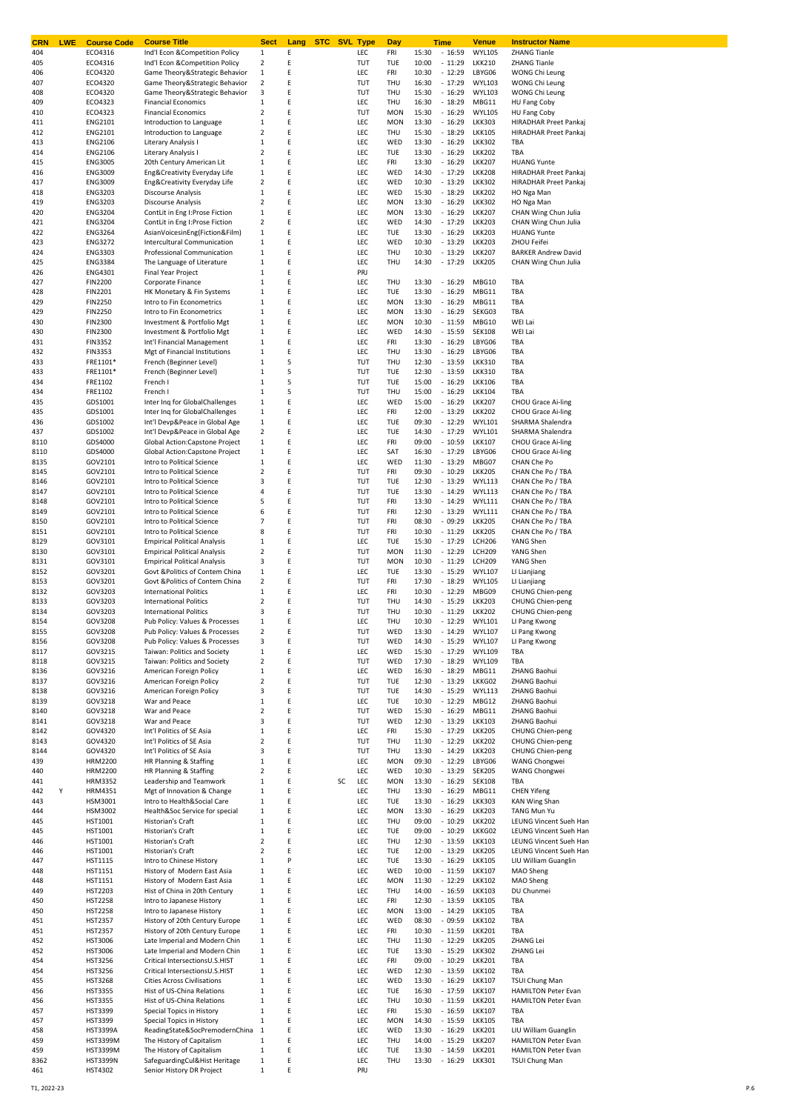| <b>CRN</b><br><b>LWE</b> | <b>Course Code</b>        | <b>Course Title</b>                                           | <b>Sect</b>                    | Lang   | <b>STC</b> SVL Type |            | Day                      |                | <b>Time</b>          | Venue                          | <b>Instructor Name</b>                         |
|--------------------------|---------------------------|---------------------------------------------------------------|--------------------------------|--------|---------------------|------------|--------------------------|----------------|----------------------|--------------------------------|------------------------------------------------|
| 404                      | ECO4316                   | Ind'l Econ &Competition Policy                                | 1                              | Ε      |                     | LEC        | FRI                      | 15:30          | $-16:59$             | <b>WYL105</b>                  | <b>ZHANG Tianle</b>                            |
| 405                      | ECO4316                   | Ind'l Econ & Competition Policy                               | 2                              | E      |                     | TUT        | TUE                      | 10:00          | $-11:29$             | <b>LKK210</b>                  | <b>ZHANG Tianle</b>                            |
| 406                      | ECO4320                   | Game Theory&Strategic Behavior                                | $\,1$                          | E      |                     | LEC        | FRI                      | 10:30          | $-12:29$             | LBYG06                         | WONG Chi Leung                                 |
| 407                      | ECO4320                   | Game Theory&Strategic Behavior                                | $\overline{\mathbf{c}}$        | E      |                     | TUT        | THU                      | 16:30          | $-17:29$             | <b>WYL103</b>                  | WONG Chi Leung                                 |
| 408                      | ECO4320                   | Game Theory&Strategic Behavior                                | 3                              | E<br>E |                     | TUT        | THU                      | 15:30          | $-16:29$             | <b>WYL103</b>                  | WONG Chi Leung                                 |
| 409                      | ECO4323                   | <b>Financial Economics</b>                                    | $\mathbf{1}$                   | E      |                     | LEC        | THU                      | 16:30          | $-18:29$             | MBG11                          | HU Fang Coby                                   |
| 410<br>411               | ECO4323<br><b>ENG2101</b> | <b>Financial Economics</b><br>Introduction to Language        | $\overline{2}$<br>$\mathbf{1}$ | Ε      |                     | TUT<br>LEC | <b>MON</b><br><b>MON</b> | 15:30<br>13:30 | $-16:29$<br>$-16:29$ | <b>WYL105</b><br><b>LKK303</b> | HU Fang Coby<br>HIRADHAR Preet Pankaj          |
| 412                      | <b>ENG2101</b>            | Introduction to Language                                      | 2                              | E      |                     | LEC        | THU                      | 15:30          | $-18:29$             | <b>LKK105</b>                  | HIRADHAR Preet Pankaj                          |
| 413                      | <b>ENG2106</b>            | Literary Analysis I                                           | $\mathbf{1}$                   | Ε      |                     | LEC        | WED                      | 13:30          | $-16:29$             | <b>LKK302</b>                  | TBA                                            |
| 414                      | <b>ENG2106</b>            | Literary Analysis I                                           | $\overline{2}$                 | Ε      |                     | LEC        | TUE                      | 13:30          | $-16:29$             | <b>LKK202</b>                  | TBA                                            |
| 415                      | <b>ENG3005</b>            | 20th Century American Lit                                     | $\,1\,$                        | Ε      |                     | LEC        | FRI                      | 13:30          | $-16:29$             | <b>LKK207</b>                  | <b>HUANG Yunte</b>                             |
| 416                      | <b>ENG3009</b>            | Eng&Creativity Everyday Life                                  | $1\,$                          | Ε      |                     | LEC        | WED                      | 14:30          | $-17:29$             | <b>LKK208</b>                  | HIRADHAR Preet Pankaj                          |
| 417                      | <b>ENG3009</b>            | Eng&Creativity Everyday Life                                  | 2                              | Ε      |                     | LEC        | WED                      | 10:30          | $-13:29$             | <b>LKK302</b>                  | HIRADHAR Preet Pankaj                          |
| 418                      | <b>ENG3203</b>            | Discourse Analysis                                            | $\,1$                          | E      |                     | LEC        | WED                      | 15:30          | $-18:29$             | <b>LKK202</b>                  | HO Nga Man                                     |
| 419                      | <b>ENG3203</b>            | Discourse Analysis                                            | $\overline{\mathbf{c}}$        | Ε      |                     | LEC        | <b>MON</b>               | 13:30          | $-16:29$             | <b>LKK302</b>                  | HO Nga Man                                     |
| 420                      | <b>ENG3204</b>            | ContLit in Eng I:Prose Fiction                                | $\,1$                          | Ε      |                     | LEC        | <b>MON</b>               | 13:30          | $-16:29$             | <b>LKK207</b>                  | CHAN Wing Chun Julia                           |
| 421                      | <b>ENG3204</b>            | ContLit in Eng I:Prose Fiction                                | $\overline{\mathbf{c}}$        | Ε      |                     | LEC        | WED                      | 14:30          | $-17:29$             | <b>LKK203</b>                  | CHAN Wing Chun Julia                           |
| 422                      | <b>ENG3264</b>            | AsianVoicesinEng(Fiction&Film)                                | $\mathbf 1$                    | E      |                     | LEC        | TUE                      | 13:30          | $-16:29$             | <b>LKK203</b>                  | <b>HUANG Yunte</b>                             |
| 423                      | <b>ENG3272</b>            | Intercultural Communication                                   | $\mathbf{1}$                   | E      |                     | LEC        | WED                      | 10:30          | $-13:29$             | <b>LKK203</b>                  | ZHOU Feifei                                    |
| 424                      | <b>ENG3303</b>            | Professional Communication                                    | 1                              | E      |                     | LEC        | THU                      | 10:30          | $-13:29$             | <b>LKK207</b>                  | <b>BARKER Andrew David</b>                     |
| 425                      | <b>ENG3384</b>            | The Language of Literature                                    | 1                              | Ε      |                     | LEC        | THU                      | 14:30          | $-17:29$             | <b>LKK205</b>                  | CHAN Wing Chun Julia                           |
| 426                      | <b>ENG4301</b>            | Final Year Project                                            | 1                              | E      |                     | PRJ        |                          |                |                      |                                |                                                |
| 427                      | <b>FIN2200</b>            | Corporate Finance                                             | $\mathbf 1$                    | E      |                     | LEC        | THU                      | 13:30          | $-16:29$             | MBG10                          | TBA                                            |
| 428                      | <b>FIN2201</b>            | HK Monetary & Fin Systems                                     | $\mathbf{1}$                   | Ε      |                     | LEC        | TUE                      | 13:30          | $-16:29$             | MBG11                          | TBA                                            |
| 429                      | <b>FIN2250</b>            | Intro to Fin Econometrics                                     | $\mathbf{1}$                   | E      |                     | LEC        | <b>MON</b>               | 13:30          | $-16:29$             | MBG11                          | TBA                                            |
| 429                      | <b>FIN2250</b>            | Intro to Fin Econometrics                                     | $\mathbf{1}$                   | E      |                     | LEC        | <b>MON</b>               | 13:30          | $-16:29$             | SEKG03                         | TBA                                            |
| 430                      | <b>FIN2300</b>            | Investment & Portfolio Mgt                                    | $\mathbf{1}$                   | Ε      |                     | LEC        | <b>MON</b>               | 10:30          | $-11:59$             | MBG10                          | WEI Lai                                        |
| 430                      | <b>FIN2300</b>            | Investment & Portfolio Mgt                                    | 1                              | Ε      |                     | LEC        | WED                      | 14:30          | $-15:59$             | <b>SEK108</b>                  | WEI Lai                                        |
| 431                      | <b>FIN3352</b>            | Int'l Financial Management                                    | $\,1$                          | Ε      |                     | LEC        | FRI                      | 13:30          | $-16:29$             | LBYG06                         | TBA                                            |
| 432                      | <b>FIN3353</b>            | Mgt of Financial Institutions                                 | $\,1\,$                        | Ε      |                     | LEC        | THU                      | 13:30          | $-16:29$             | LBYG06                         | TBA                                            |
| 433                      | FRE1101*                  | French (Beginner Level)                                       | $\,1$                          | 5      |                     | TUT        | THU                      | 12:30          | $-13:59$             | <b>LKK310</b>                  | TBA                                            |
| 433                      | FRE1101*                  | French (Beginner Level)                                       | $\mathbf{1}$                   | 5      |                     | TUT        | TUE                      | 12:30          | $-13:59$             | <b>LKK310</b>                  | TBA                                            |
| 434                      | FRE1102                   | French I                                                      | $\mathbf{1}$                   | 5      |                     | TUT        | <b>TUE</b>               | 15:00          | $-16:29$             | <b>LKK106</b>                  | TBA                                            |
| 434                      | FRE1102                   | French                                                        | $\mathbf{1}$                   | 5      |                     | TUT        | THU                      | 15:00          | $-16:29$             | <b>LKK104</b>                  | TBA                                            |
| 435                      | GDS1001                   | Inter Inq for GlobalChallenges                                | $1\,$                          | E      |                     | LEC        | WED                      | 15:00          | $-16:29$             | <b>LKK207</b>                  | CHOU Grace Ai-ling                             |
| 435                      | GDS1001                   | Inter Ing for GlobalChallenges                                | $\,1$                          | Ε      |                     | LEC        | FRI                      | 12:00          | $-13:29$             | <b>LKK202</b>                  | CHOU Grace Ai-ling                             |
| 436                      | GDS1002                   | Int'l Devp&Peace in Global Age                                | $\,1$                          | E      |                     | LEC        | TUE                      | 09:30          | $-12:29$             | <b>WYL101</b>                  | SHARMA Shalendra                               |
| 437                      | GDS1002                   | Int'l Devp&Peace in Global Age                                | $\overline{\mathbf{2}}$        | E      |                     | LEC        | TUE                      | 14:30          | $-17:29$             | <b>WYL101</b>                  | SHARMA Shalendra                               |
| 8110                     | GDS4000                   | Global Action:Capstone Project                                | $\,1$<br>$\mathbf 1$           | Ε<br>Ε |                     | LEC        | FRI                      | 09:00          | $-10:59$<br>$-17:29$ | <b>LKK107</b>                  | <b>CHOU Grace Ai-ling</b>                      |
| 8110<br>8135             | GDS4000<br>GOV2101        | Global Action: Capstone Project<br>Intro to Political Science | $\mathbf 1$                    | E      |                     | LEC<br>LEC | SAT<br>WED               | 16:30<br>11:30 | $-13:29$             | LBYG06<br>MBG07                | <b>CHOU Grace Ai-ling</b><br>CHAN Che Po       |
|                          | GOV2101                   |                                                               | $\overline{2}$                 | E      |                     | TUT        | FRI                      | 09:30          | $-10:29$             | <b>LKK205</b>                  | CHAN Che Po / TBA                              |
| 8145<br>8146             | GOV2101                   | Intro to Political Science<br>Intro to Political Science      | 3                              | E      |                     | TUT        | TUE                      | 12:30          | $-13:29$             | <b>WYL113</b>                  | CHAN Che Po / TBA                              |
| 8147                     | GOV2101                   | Intro to Political Science                                    | 4                              | E      |                     | TUT        | TUE                      | 13:30          | $-14:29$             | <b>WYL113</b>                  | CHAN Che Po / TBA                              |
| 8148                     | GOV2101                   | Intro to Political Science                                    | 5                              | E      |                     | TUT        | FRI                      | 13:30          | $-14:29$             | <b>WYL111</b>                  | CHAN Che Po / TBA                              |
| 8149                     | GOV2101                   | Intro to Political Science                                    | 6                              | E      |                     | TUT        | FRI                      | 12:30          | $-13:29$             | <b>WYL111</b>                  | CHAN Che Po / TBA                              |
| 8150                     | GOV2101                   | Intro to Political Science                                    | $\overline{7}$                 | E      |                     | TUT        | FRI                      | 08:30          | $-09:29$             | <b>LKK205</b>                  | CHAN Che Po / TBA                              |
| 8151                     | GOV2101                   | Intro to Political Science                                    | 8                              | E      |                     | TUT        | FRI                      | 10:30          | $-11:29$             | <b>LKK205</b>                  | CHAN Che Po / TBA                              |
| 8129                     | GOV3101                   | <b>Empirical Political Analysis</b>                           | $\mathbf 1$                    | E      |                     | LEC        | TUE                      | 15:30          | $-17:29$             | <b>LCH206</b>                  | YANG Shen                                      |
| 8130                     | GOV3101                   | <b>Empirical Political Analysis</b>                           | 2                              | E      |                     | TUT        | <b>MON</b>               | 11:30          | $-12:29$             | <b>LCH209</b>                  | YANG Shen                                      |
| 8131                     | GOV3101                   | <b>Empirical Political Analysis</b>                           | 3                              | E      |                     | TUT        | <b>MON</b>               | 10:30          | $-11:29$             | <b>LCH209</b>                  | YANG Shen                                      |
| 8152                     | GOV3201                   | Govt & Politics of Contem China                               | $\,1$                          | E      |                     | LEC        | TUE                      | 13:30          | $-15:29$             | <b>WYL107</b>                  | LI Lianjiang                                   |
| 8153                     | GOV3201                   | Govt & Politics of Contem China                               | $\overline{2}$                 | E      |                     | TUT        | FRI                      | 17:30          | $-18:29$             | <b>WYL105</b>                  | LI Lianjiang                                   |
| 8132                     | GOV3203                   | <b>International Politics</b>                                 | $\mathbf{1}$                   | E      |                     | LEC        | FRI                      | 10:30          | $-12:29$             | MBG09                          | CHUNG Chien-peng                               |
| 8133                     | GOV3203                   | <b>International Politics</b>                                 | $\overline{2}$                 | E      |                     | TUT        | THU                      | 14:30          | $-15:29$             | <b>LKK203</b>                  | CHUNG Chien-peng                               |
| 8134                     | GOV3203                   | <b>International Politics</b>                                 | 3                              | E      |                     | TUT        | THU                      | 10:30          | $-11:29$             | <b>LKK202</b>                  | <b>CHUNG Chien-peng</b>                        |
| 8154                     | GOV3208                   | Pub Policy: Values & Processes                                | $\mathbf{1}$                   | E      |                     | LEC        | THU                      | 10:30          | $-12:29$             | <b>WYL101</b>                  | LI Pang Kwong                                  |
| 8155                     | GOV3208                   | Pub Policy: Values & Processes                                | $\mathcal{P}$                  |        |                     | TUT        | <b>WFD</b>               | 13.30          | $-14.29$             | <b>WYL107</b>                  | LI Pang Kwong                                  |
| 8156                     | GOV3208                   | Pub Policy: Values & Processes                                | 3                              | E      |                     | TUT        | WED                      | 14:30          | $-15:29$             | <b>WYL107</b>                  | LI Pang Kwong                                  |
| 8117                     | GOV3215                   | Taiwan: Politics and Society                                  | $\mathbf 1$                    | E      |                     | LEC        | WED                      | 15:30          | $-17:29$             | <b>WYL109</b>                  | TBA                                            |
| 8118                     | GOV3215                   | Taiwan: Politics and Society                                  | 2                              | E      |                     | TUT        | WED                      | 17:30          | $-18:29$             | <b>WYL109</b>                  | TBA                                            |
| 8136                     | GOV3216                   | American Foreign Policy                                       | $1\,$                          | E      |                     | LEC        | WED                      | 16:30          | $-18:29$             | MBG11                          | ZHANG Baohui                                   |
| 8137                     | GOV3216                   | American Foreign Policy                                       | 2                              | E      |                     | TUT        | TUE                      | 12:30          | $-13:29$             | LKKG02                         | ZHANG Baohui                                   |
| 8138                     | GOV3216                   | American Foreign Policy                                       | 3                              | E      |                     | TUT        | TUE                      | 14:30          | $-15:29$             | <b>WYL113</b>                  | ZHANG Baohui                                   |
| 8139                     | GOV3218                   | War and Peace                                                 | $\mathbf 1$                    | E      |                     | LEC        | TUE                      | 10:30          | $-12:29$             | MBG12                          | ZHANG Baohui                                   |
| 8140                     | GOV3218                   | War and Peace                                                 | $\overline{2}$                 | E      |                     | TUT        | WED                      | 15:30          | $-16:29$             | MBG11                          | ZHANG Baohui                                   |
| 8141                     | GOV3218                   | War and Peace                                                 | 3                              | E      |                     | TUT        | WED                      | 12:30          | $-13:29$             | <b>LKK103</b>                  | ZHANG Baohui                                   |
| 8142                     | GOV4320                   | Int'l Politics of SE Asia                                     | $\mathbf{1}$                   | E      |                     | LEC        | FRI                      | 15:30          | $-17:29$             | <b>LKK205</b>                  | <b>CHUNG Chien-peng</b>                        |
| 8143                     | GOV4320                   | Int'l Politics of SE Asia                                     | $\overline{2}$                 | E      |                     | TUT        | THU                      | 11:30          | $-12:29$             | <b>LKK202</b>                  | <b>CHUNG Chien-peng</b>                        |
| 8144                     | GOV4320                   | Int'l Politics of SE Asia                                     | 3                              | E      |                     | TUT        | THU                      | 13:30          | $-14:29$             | <b>LKK203</b>                  | <b>CHUNG Chien-peng</b>                        |
| 439                      | <b>HRM2200</b>            | HR Planning & Staffing                                        | $\mathbf 1$                    | E      |                     | LEC        | <b>MON</b>               | 09:30          | $-12:29$             | LBYG06                         | WANG Chongwei                                  |
| 440                      | HRM2200                   | HR Planning & Staffing                                        | $\overline{\mathbf{c}}$        | E      |                     | LEC        | WED                      | 10:30          | $-13:29$             | <b>SEK205</b>                  | WANG Chongwei                                  |
| 441                      | <b>HRM3352</b>            | Leadership and Teamwork                                       | $\mathbf{1}$                   | E      | SC                  | LEC        | <b>MON</b>               | 13:30          | $-16:29$             | <b>SEK108</b>                  | TBA                                            |
| Υ<br>442                 | HRM4351                   | Mgt of Innovation & Change                                    | 1                              | E      |                     | LEC        | THU                      | 13:30          | $-16:29$             | MBG11                          | <b>CHEN Yifeng</b>                             |
| 443                      | HSM3001                   | Intro to Health&Social Care                                   | $\,1$                          | E      |                     | LEC        | TUE                      | 13:30          | $-16:29$             | <b>LKK303</b>                  | <b>KAN Wing Shan</b>                           |
| 444                      | HSM3002                   | Health&Soc Service for special                                | $\mathbf 1$                    | E      |                     | LEC        | <b>MON</b>               | 13:30          | $-16:29$             | <b>LKK203</b>                  | TANG Mun Yu                                    |
| 445                      | HST1001                   | Historian's Craft                                             | $\,1$                          | E      |                     | LEC        | THU                      | 09:00          | $-10:29$             | <b>LKK202</b>                  | LEUNG Vincent Sueh Han                         |
| 445                      | HST1001                   | Historian's Craft                                             | $\,1$                          | E      |                     | LEC        | TUE                      | 09:00          | $-10:29$             | LKKG02                         | LEUNG Vincent Sueh Han                         |
| 446                      | HST1001                   | Historian's Craft                                             | 2<br>$\overline{2}$            | E<br>E |                     | LEC        | THU                      | 12:30          | $-13:59$<br>$-13:29$ | <b>LKK103</b>                  | LEUNG Vincent Sueh Han                         |
| 446<br>447               | HST1001<br><b>HST1115</b> | Historian's Craft<br>Intro to Chinese History                 | $\mathbf{1}$                   | P      |                     | LEC<br>LEC | TUE<br>TUE               | 12:00<br>13:30 | $-16:29$             | <b>LKK205</b><br><b>LKK105</b> | LEUNG Vincent Sueh Han<br>LIU William Guanglin |
| 448                      | HST1151                   | History of Modern East Asia                                   | $\mathbf{1}$                   | E      |                     | LEC        | WED                      | 10:00          | $-11:59$             | <b>LKK107</b>                  | MAO Sheng                                      |
| 448                      | HST1151                   | History of Modern East Asia                                   | $\,1$                          | E      |                     | LEC        | <b>MON</b>               | 11:30          | $-12:29$             | <b>LKK102</b>                  | MAO Sheng                                      |
| 449                      | <b>HST2203</b>            | Hist of China in 20th Century                                 | $\mathbf 1$                    | E      |                     | LEC        | THU                      | 14:00          | $-16:59$             | <b>LKK103</b>                  | DU Chunmei                                     |
| 450                      | <b>HST2258</b>            | Intro to Japanese History                                     | $\,1$                          | E      |                     | LEC        | FRI                      | 12:30          | $-13:59$             | <b>LKK105</b>                  | TBA                                            |
| 450                      | <b>HST2258</b>            | Intro to Japanese History                                     | $\,1$                          | Ε      |                     | LEC        | <b>MON</b>               | 13:00          | $-14:29$             | <b>LKK105</b>                  | TBA                                            |
| 451                      | <b>HST2357</b>            | History of 20th Century Europe                                | $\,1$                          | E      |                     | LEC        | WED                      | 08:30          | $-09:59$             | <b>LKK102</b>                  | TBA                                            |
| 451                      | <b>HST2357</b>            | History of 20th Century Europe                                | $\,1$                          | E      |                     | LEC        | FRI                      | 10:30          | $-11:59$             | <b>LKK201</b>                  | TBA                                            |
| 452                      | <b>HST3006</b>            | Late Imperial and Modern Chin                                 | $\,1$                          | Ε      |                     | LEC        | THU                      | 11:30          | $-12:29$             | <b>LKK205</b>                  | <b>ZHANG Lei</b>                               |
| 452                      | <b>HST3006</b>            | Late Imperial and Modern Chin                                 | $\mathbf{1}$                   | Ε      |                     | LEC        | TUE                      | 13:30          | $-15:29$             | <b>LKK302</b>                  | <b>ZHANG Lei</b>                               |
| 454                      | <b>HST3256</b>            | Critical IntersectionsU.S.HIST                                | $\mathbf 1$                    | E      |                     | LEC        | FRI                      | 09:00          | $-10:29$             | <b>LKK201</b>                  | TBA                                            |
| 454                      | <b>HST3256</b>            | Critical IntersectionsU.S.HIST                                | $\mathbf 1$                    | E      |                     | LEC        | WED                      | 12:30          | $-13:59$             | <b>LKK102</b>                  | TBA                                            |
| 455                      | <b>HST3268</b>            | <b>Cities Across Civilisations</b>                            | 1                              | E      |                     | LEC        | WED                      | 13:30          | $-16:29$             | <b>LKK107</b>                  | <b>TSUI Chung Man</b>                          |
| 456                      | <b>HST3355</b>            | Hist of US-China Relations                                    | $\mathbf{1}$                   | E      |                     | LEC        | TUE                      | 16:30          | $-17:59$             | <b>LKK107</b>                  | <b>HAMILTON Peter Evan</b>                     |
| 456                      | <b>HST3355</b>            | Hist of US-China Relations                                    | $\mathbf{1}$                   | E      |                     | LEC        | THU                      | 10:30          | $-11:59$             | <b>LKK201</b>                  | <b>HAMILTON Peter Evan</b>                     |
| 457                      | <b>HST3399</b>            | Special Topics in History                                     | $\mathbf 1$                    | E      |                     | LEC        | FRI                      | 15:30          | $-16:59$             | <b>LKK107</b>                  | TBA                                            |
| 457                      | <b>HST3399</b>            | Special Topics in History                                     | $\,1$                          | E      |                     | LEC        | <b>MON</b>               | 14:30          | $-15:59$             | <b>LKK105</b>                  | TBA                                            |
| 458                      | <b>HST3399A</b>           | ReadingState&SocPremodernChina                                | 1                              | E      |                     | LEC        | WED                      | 13:30          | $-16:29$             | <b>LKK201</b>                  | LIU William Guanglin                           |
| 459                      | <b>HST3399M</b>           | The History of Capitalism                                     | $\mathbf{1}$                   | E      |                     | LEC        | THU                      | 14:00          | $-15:29$             | <b>LKK207</b>                  | <b>HAMILTON Peter Evan</b>                     |
| 459                      | <b>HST3399M</b>           | The History of Capitalism                                     | $\,1$                          | E      |                     | LEC        | TUE                      | 13:30          | $-14:59$             | <b>LKK201</b>                  | <b>HAMILTON Peter Evan</b>                     |
| 8362                     | <b>HST3399N</b>           | SafeguardingCul&Hist Heritage                                 | 1                              | Ε      |                     | LEC        | THU                      | 13:30          | $-16:29$             | <b>LKK301</b>                  | <b>TSUI Chung Man</b>                          |
| 461                      | <b>HST4302</b>            | Senior History DR Project                                     | $\,1$                          | E      |                     | PRJ        |                          |                |                      |                                |                                                |
|                          |                           |                                                               |                                |        |                     |            |                          |                |                      |                                |                                                |

T1, 2022-23 P.6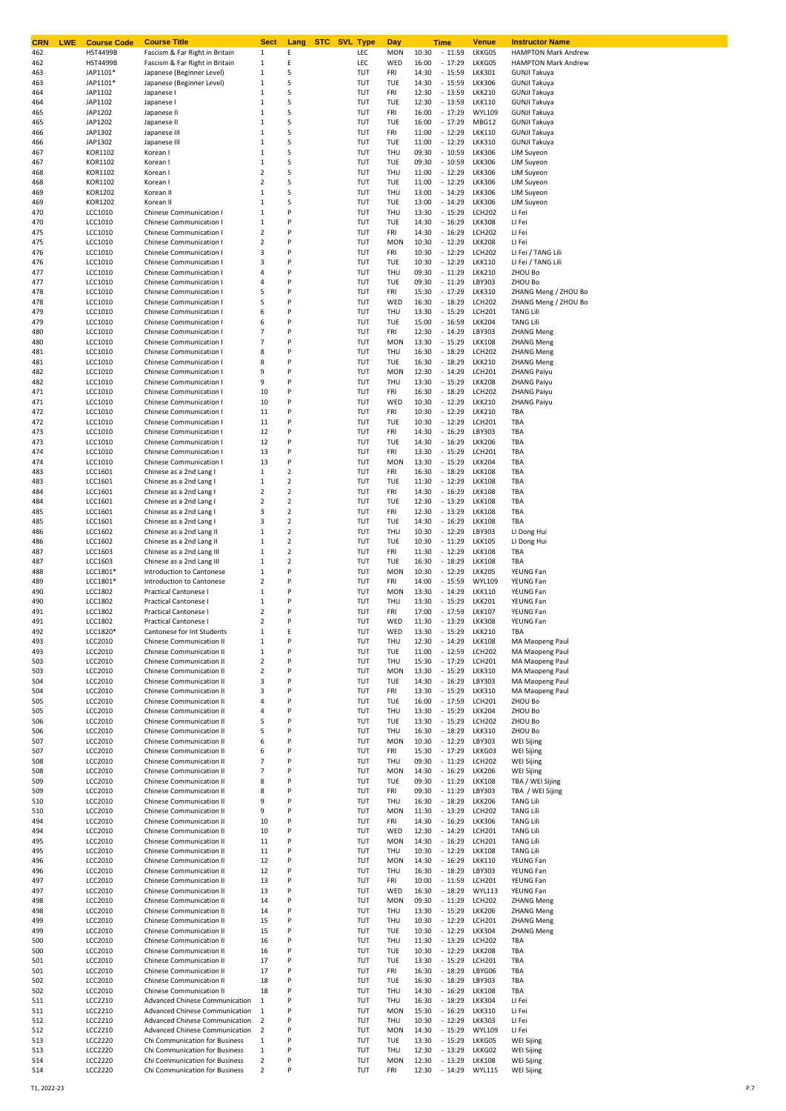| <b>LWE</b><br><b>CRN</b> | <b>Course Code</b>                 | <b>Course Title</b>                                                | <b>Sect</b>                            | <b>STC SVL Type</b><br>Lang |            | Day               | Time                                   | <u>Venue</u>                   | <b>Instructor Name</b>                                   |
|--------------------------|------------------------------------|--------------------------------------------------------------------|----------------------------------------|-----------------------------|------------|-------------------|----------------------------------------|--------------------------------|----------------------------------------------------------|
| 462<br>462               | <b>HST4499B</b><br><b>HST4499B</b> | Fascism & Far Right in Britain<br>Fascism & Far Right in Britain   | 1<br>1                                 | Ε<br>Ε                      | LEC<br>LEC | <b>MON</b><br>WED | 10:30<br>$-11:59$<br>16:00<br>$-17:29$ | LKKG05<br>LKKG05               | <b>HAMPTON Mark Andrew</b><br><b>HAMPTON Mark Andrew</b> |
| 463                      | JAP1101*                           | Japanese (Beginner Level)                                          | $1\,$                                  | 5                           | TUT        | FRI               | 14:30<br>$-15:59$                      | <b>LKK301</b>                  | <b>GUNJI Takuya</b>                                      |
| 463                      | JAP1101*                           | Japanese (Beginner Level)                                          | $\,1\,$                                | 5                           | TUT        | TUE               | 14:30<br>$-15:59$                      | <b>LKK306</b>                  | <b>GUNJI Takuya</b>                                      |
| 464                      | JAP1102                            | Japanese I                                                         | 1                                      | 5                           | TUT        | FRI               | 12:30<br>$-13:59$                      | <b>LKK210</b>                  | <b>GUNJI Takuya</b>                                      |
| 464                      | JAP1102                            | Japanese I                                                         | 1                                      | 5                           | TUT        | TUE               | 12:30<br>$-13:59$                      | <b>LKK110</b>                  | <b>GUNJI Takuya</b>                                      |
| 465                      | JAP1202                            | Japanese II                                                        | $\,1\,$                                | 5                           | TUT        | FRI               | 16:00<br>$-17:29$                      | <b>WYL109</b>                  | <b>GUNJI Takuya</b>                                      |
| 465                      | JAP1202                            | Japanese II                                                        | $1\,$                                  | 5                           | TUT        | TUE               | 16:00<br>$-17:29$                      | MBG12                          | <b>GUNJI Takuya</b>                                      |
| 466<br>466               | JAP1302<br>JAP1302                 | Japanese III<br>Japanese III                                       | $\,1\,$<br>$\,1\,$                     | 5<br>5                      | TUT<br>TUT | FRI<br>TUE        | 11:00<br>$-12:29$<br>11:00<br>$-12:29$ | <b>LKK110</b><br><b>LKK310</b> | <b>GUNJI Takuya</b><br><b>GUNJI Takuya</b>               |
| 467                      | KOR1102                            | Korean I                                                           | $\,1\,$                                | 5                           | TUT        | THU               | 09:30<br>$-10:59$                      | <b>LKK306</b>                  | <b>LIM Suyeon</b>                                        |
| 467                      | KOR1102                            | Korean I                                                           | 1                                      | 5                           | TUT        | TUE               | 09:30<br>$-10:59$                      | <b>LKK306</b>                  | <b>LIM Suyeon</b>                                        |
| 468                      | KOR1102                            | Korean I                                                           | 2                                      | 5                           | TUT        | THU               | 11:00<br>$-12:29$                      | <b>LKK306</b>                  | <b>LIM Suyeon</b>                                        |
| 468                      | KOR1102                            | Korean I                                                           | $\overline{\mathbf{2}}$                | 5                           | TUT        | TUE               | 11:00<br>$-12:29$                      | <b>LKK306</b>                  | <b>LIM Suyeon</b>                                        |
| 469                      | KOR1202                            | Korean II                                                          | 1                                      | 5                           | TUT        | THU               | 13:00<br>$-14:29$                      | <b>LKK306</b>                  | <b>LIM Suyeon</b>                                        |
| 469                      | KOR1202                            | Korean II                                                          | 1                                      | 5                           | TUT        | TUE               | 13:00<br>$-14:29$                      | <b>LKK306</b>                  | <b>LIM Suyeon</b>                                        |
| 470                      | LCC1010                            | Chinese Communication I                                            | $\,1\,$                                | P                           | TUT        | THU               | 13:30<br>$-15:29$                      | <b>LCH202</b>                  | LI Fei                                                   |
| 470                      | LCC1010                            | Chinese Communication I                                            | $\,1\,$                                | P<br>P                      | TUT        | TUE               | 14:30<br>$-16:29$                      | <b>LKK308</b>                  | LI Fei                                                   |
| 475<br>475               | LCC1010<br>LCC1010                 | Chinese Communication I<br><b>Chinese Communication I</b>          | $\mathbf 2$<br>2                       | P                           | TUT<br>TUT | FRI<br><b>MON</b> | 14:30<br>$-16:29$<br>10:30<br>$-12:29$ | <b>LCH202</b><br><b>LKK208</b> | LI Fei<br>LI Fei                                         |
| 476                      | LCC1010                            | Chinese Communication I                                            | 3                                      | P                           | TUT        | FRI               | 10:30<br>$-12:29$                      | <b>LCH202</b>                  | LI Fei / TANG Lili                                       |
| 476                      | LCC1010                            | <b>Chinese Communication I</b>                                     | 3                                      | P                           | TUT        | TUE               | 10:30<br>$-12:29$                      | <b>LKK110</b>                  | LI Fei / TANG Lili                                       |
| 477                      | LCC1010                            | Chinese Communication I                                            | 4                                      | P                           | TUT        | THU               | $-11:29$<br>09:30                      | <b>LKK210</b>                  | ZHOU Bo                                                  |
| 477                      | LCC1010                            | <b>Chinese Communication I</b>                                     | 4                                      | P                           | TUT        | TUE               | 09:30<br>$-11:29$                      | LBY303                         | ZHOU Bo                                                  |
| 478                      | LCC1010                            | <b>Chinese Communication I</b>                                     | 5                                      | P                           | TUT        | FRI               | 15:30<br>$-17:29$                      | <b>LKK310</b>                  | ZHANG Meng / ZHOU Bo                                     |
| 478                      | LCC1010                            | <b>Chinese Communication I</b>                                     | 5                                      | P                           | TUT        | WED               | 16:30<br>$-18:29$                      | <b>LCH202</b>                  | ZHANG Meng / ZHOU Bo                                     |
| 479                      | LCC1010                            | Chinese Communication I                                            | 6                                      | P                           | TUT        | THU               | 13:30<br>$-15:29$                      | <b>LCH201</b>                  | <b>TANG Lili</b>                                         |
| 479<br>480               | LCC1010<br>LCC1010                 | <b>Chinese Communication I</b><br>Chinese Communication I          | 6<br>7                                 | P<br>P                      | TUT<br>TUT | TUE<br>FRI        | 15:00<br>$-16:59$<br>12:30<br>$-14:29$ | <b>LKK204</b><br>LBY303        | <b>TANG Lili</b><br><b>ZHANG Meng</b>                    |
| 480                      | LCC1010                            | Chinese Communication I                                            | 7                                      | P                           | TUT        | <b>MON</b>        | 13:30<br>$-15:29$                      | <b>LKK108</b>                  | <b>ZHANG Meng</b>                                        |
| 481                      | LCC1010                            | <b>Chinese Communication I</b>                                     | 8                                      | P                           | TUT        | THU               | $-18:29$<br>16:30                      | <b>LCH202</b>                  | <b>ZHANG Meng</b>                                        |
| 481                      | LCC1010                            | Chinese Communication I                                            | 8                                      | P                           | TUT        | TUE               | 16:30<br>$-18:29$                      | <b>LKK210</b>                  | <b>ZHANG Meng</b>                                        |
| 482                      | LCC1010                            | <b>Chinese Communication I</b>                                     | 9                                      | P                           | TUT        | <b>MON</b>        | 12:30<br>$-14:29$                      | <b>LCH201</b>                  | ZHANG Paiyu                                              |
| 482                      | LCC1010                            | Chinese Communication I                                            | 9                                      | P                           | TUT        | THU               | 13:30<br>$-15:29$                      | <b>LKK208</b>                  | <b>ZHANG Paiyu</b>                                       |
| 471                      | LCC1010                            | <b>Chinese Communication I</b>                                     | 10                                     | P                           | TUT        | FRI               | 16:30<br>$-18:29$                      | <b>LCH202</b>                  | ZHANG Paiyu                                              |
| 471                      | LCC1010                            | Chinese Communication I                                            | 10                                     | P                           | TUT        | WED               | 10:30<br>$-12:29$                      | <b>LKK210</b>                  | ZHANG Paiyu                                              |
| 472                      | LCC1010                            | <b>Chinese Communication I</b>                                     | 11                                     | P                           | TUT        | FRI               | 10:30<br>$-12:29$                      | <b>LKK210</b>                  | TBA                                                      |
| 472<br>473               | LCC1010<br>LCC1010                 | Chinese Communication I                                            | 11<br>12                               | P<br>P                      | TUT<br>TUT | TUE<br>FRI        | 10:30<br>$-12:29$<br>14:30<br>$-16:29$ | <b>LCH201</b><br>LBY303        | TBA<br>TBA                                               |
| 473                      | LCC1010                            | <b>Chinese Communication I</b><br>Chinese Communication I          | 12                                     | P                           | TUT        | TUE               | 14:30<br>$-16:29$                      | <b>LKK206</b>                  | TBA                                                      |
| 474                      | LCC1010                            | <b>Chinese Communication I</b>                                     | 13                                     | P                           | TUT        | FRI               | 13:30<br>$-15:29$                      | <b>LCH201</b>                  | TBA                                                      |
| 474                      | LCC1010                            | Chinese Communication I                                            | 13                                     | P                           | TUT        | <b>MON</b>        | 13:30<br>$-15:29$                      | <b>LKK204</b>                  | TBA                                                      |
| 483                      | LCC1601                            | Chinese as a 2nd Lang I                                            | $\,1\,$                                | $\overline{2}$              | TUT        | FRI               | 16:30<br>$-18:29$                      | <b>LKK108</b>                  | TBA                                                      |
| 483                      | LCC1601                            | Chinese as a 2nd Lang I                                            | $\,1\,$                                | $\overline{2}$              | TUT        | TUE               | 11:30<br>$-12:29$                      | <b>LKK108</b>                  | TBA                                                      |
| 484                      | LCC1601                            | Chinese as a 2nd Lang I                                            | $\overline{2}$                         | $\overline{2}$              | TUT        | FRI               | 14:30<br>$-16:29$                      | <b>LKK108</b>                  | TBA                                                      |
| 484                      | LCC1601                            | Chinese as a 2nd Lang I                                            | $\overline{\mathbf{c}}$                | $\mathbf 2$                 | TUT        | TUE               | 12:30<br>$-13:29$                      | <b>LKK108</b>                  | TBA                                                      |
| 485                      | LCC1601                            | Chinese as a 2nd Lang I                                            | 3                                      | $\mathbf 2$                 | TUT        | FRI               | 12:30<br>$-13:29$                      | <b>LKK108</b>                  | TBA                                                      |
| 485                      | LCC1601                            | Chinese as a 2nd Lang I                                            | 3                                      | $\overline{2}$              | TUT        | TUE               | 14:30<br>$-16:29$                      | <b>LKK108</b>                  | TBA                                                      |
| 486                      | LCC1602                            | Chinese as a 2nd Lang II                                           | $1\,$                                  | $\overline{2}$              | TUT        | THU               | 10:30<br>$-12:29$                      | LBY303                         | LI Dong Hui                                              |
| 486                      | LCC1602                            | Chinese as a 2nd Lang II                                           | 1                                      | $\overline{2}$              | TUT        | TUE               | 10:30<br>$-11:29$                      | <b>LKK105</b>                  | LI Dong Hui                                              |
| 487<br>487               | LCC1603<br>LCC1603                 | Chinese as a 2nd Lang III<br>Chinese as a 2nd Lang III             | 1<br>1                                 | $\overline{2}$<br>2         | TUT<br>TUT | FRI<br>TUE        | 11:30<br>$-12:29$<br>16:30<br>$-18:29$ | <b>LKK108</b><br><b>LKK108</b> | TBA<br>TBA                                               |
| 488                      | LCC1801*                           | Introduction to Cantonese                                          | $1\,$                                  | P                           | TUT        | <b>MON</b>        | 10:30<br>$-12:29$                      | <b>LKK205</b>                  | YEUNG Fan                                                |
| 489                      | LCC1801*                           | Introduction to Cantonese                                          | 2                                      | P                           | TUT        | FRI               | 14:00<br>$-15:59$                      | <b>WYL109</b>                  | YEUNG Fan                                                |
| 490                      | <b>LCC1802</b>                     | Practical Cantonese I                                              | $1\,$                                  | P                           | TUT        | <b>MON</b>        | 13:30<br>$-14:29$                      | <b>LKK110</b>                  | YEUNG Fan                                                |
| 490                      | <b>LCC1802</b>                     | Practical Cantonese I                                              | $\,1\,$                                | P                           | TUT        | THU               | 13:30<br>$-15:29$                      | <b>LKK201</b>                  | YEUNG Fan                                                |
| 491                      | <b>LCC1802</b>                     | Practical Cantonese I                                              | $\overline{2}$                         | P                           | TUT        | FRI               | 17:00<br>$-17:59$                      | <b>LKK107</b>                  | YEUNG Fan                                                |
| 491                      | <b>LCC1802</b>                     | Practical Cantonese I                                              | $\overline{2}$                         | P                           | TUT        | WED               | 11:30<br>$-13:29$                      | <b>LKK308</b>                  | YEUNG Fan                                                |
| 492                      | LCC1820*                           | Cantonese for Int Students                                         | 1                                      |                             | TUT        | <b>WFD</b>        | 13.30                                  | - 15:29 LKK210                 | TBA                                                      |
| 493                      | LCC2010                            | <b>Chinese Communication II</b>                                    | $\,1\,$                                | P                           | TUT        | THU               | 12:30<br>$-14:29$                      | <b>LKK108</b>                  | MA Maopeng Paul                                          |
| 493                      | LCC2010                            | Chinese Communication II                                           | $\,1\,$                                | P                           | TUT        | TUE               | 11:00<br>$-12:59$                      | <b>LCH202</b>                  | MA Maopeng Paul                                          |
| 503<br>503               | LCC2010<br>LCC2010                 | Chinese Communication II                                           | $\mathbf 2$<br>$\overline{\mathbf{2}}$ | P<br>P                      | TUT<br>TUT | THU<br><b>MON</b> | 15:30<br>$-17:29$<br>13:30<br>$-15:29$ | <b>LCH201</b><br><b>LKK310</b> | MA Maopeng Paul<br>MA Maopeng Paul                       |
| 504                      | LCC2010                            | <b>Chinese Communication II</b><br><b>Chinese Communication II</b> | 3                                      | P                           | TUT        | TUE               | 14:30<br>$-16:29$                      | LBY303                         | MA Maopeng Paul                                          |
| 504                      | LCC2010                            | <b>Chinese Communication II</b>                                    | 3                                      | P                           | TUT        | FRI               | 13:30<br>$-15:29$                      | <b>LKK310</b>                  | MA Maopeng Paul                                          |
| 505                      | LCC2010                            | <b>Chinese Communication II</b>                                    | 4                                      | P                           | TUT        | TUE               | 16:00<br>$-17:59$                      | <b>LCH201</b>                  | ZHOU Bo                                                  |
| 505                      | LCC2010                            | <b>Chinese Communication II</b>                                    | 4                                      | P                           | TUT        | THU               | 13:30<br>$-15:29$                      | <b>LKK204</b>                  | ZHOU Bo                                                  |
| 506                      | LCC2010                            | <b>Chinese Communication II</b>                                    | 5                                      | P                           | TUT        | TUE               | 13:30<br>$-15:29$                      | <b>LCH202</b>                  | ZHOU Bo                                                  |
| 506                      | LCC2010                            | <b>Chinese Communication II</b>                                    | 5                                      | P                           | TUT        | THU               | 16:30<br>$-18:29$                      | <b>LKK310</b>                  | ZHOU Bo                                                  |
| 507                      | LCC2010                            | <b>Chinese Communication II</b>                                    | 6                                      | P                           | TUT        | <b>MON</b>        | 10:30<br>$-12:29$                      | LBY303                         | <b>WEI Sijing</b>                                        |
| 507                      | LCC2010                            | <b>Chinese Communication II</b>                                    | 6                                      | P                           | TUT        | FRI               | 15:30<br>$-17:29$                      | LKKG03                         | <b>WEI Sijing</b>                                        |
| 508                      | LCC2010                            | <b>Chinese Communication II</b>                                    | 7                                      | P                           | TUT        | THU               | 09:30<br>$-11:29$                      | <b>LCH202</b>                  | <b>WEI Sijing</b>                                        |
| 508                      | LCC2010                            | <b>Chinese Communication II</b>                                    | 7                                      | P<br>P                      | TUT        | <b>MON</b>        | 14:30<br>$-16:29$                      | <b>LKK206</b>                  | <b>WEI Sijing</b><br>TBA / WEI Sijing                    |
| 509<br>509               | LCC2010<br>LCC2010                 | <b>Chinese Communication II</b><br><b>Chinese Communication II</b> | 8<br>8                                 | P                           | TUT<br>TUT | <b>TUE</b><br>FRI | 09:30<br>$-11:29$<br>09:30<br>$-11:29$ | <b>LKK108</b><br>LBY303        | TBA / WEI Sijing                                         |
| 510                      | LCC2010                            | <b>Chinese Communication II</b>                                    | 9                                      | P                           | TUT        | THU               | 16:30<br>$-18:29$                      | <b>LKK206</b>                  | <b>TANG Lili</b>                                         |
| 510                      | LCC2010                            | Chinese Communication II                                           | 9                                      | P                           | TUT        | <b>MON</b>        | 11:30<br>$-13:29$                      | <b>LCH202</b>                  | <b>TANG Lili</b>                                         |
| 494                      | LCC2010                            | <b>Chinese Communication II</b>                                    | 10                                     | P                           | TUT        | FRI               | 14:30<br>$-16:29$                      | <b>LKK306</b>                  | <b>TANG Lili</b>                                         |
| 494                      | LCC2010                            | <b>Chinese Communication II</b>                                    | 10                                     | P                           | TUT        | WED               | 12:30<br>$-14:29$                      | <b>LCH201</b>                  | <b>TANG Lili</b>                                         |
| 495                      | LCC2010                            | <b>Chinese Communication II</b>                                    | 11                                     | P                           | TUT        | <b>MON</b>        | 14:30<br>$-16:29$                      | <b>LCH201</b>                  | <b>TANG Lili</b>                                         |
| 495                      | LCC2010                            | <b>Chinese Communication II</b>                                    | 11                                     | P                           | TUT        | THU               | 10:30<br>$-12:29$                      | <b>LKK108</b>                  | <b>TANG Lili</b>                                         |
| 496                      | LCC2010                            | <b>Chinese Communication II</b>                                    | 12                                     | P                           | TUT        | <b>MON</b>        | 14:30<br>$-16:29$                      | <b>LKK110</b>                  | YEUNG Fan                                                |
| 496                      | LCC2010                            | <b>Chinese Communication II</b>                                    | 12                                     | P                           | TUT        | THU               | 16:30<br>$-18:29$                      | LBY303                         | YEUNG Fan                                                |
| 497                      | LCC2010                            | Chinese Communication II                                           | 13                                     | P                           | TUT        | FRI               | 10:00<br>$-11:59$                      | <b>LCH201</b>                  | YEUNG Fan                                                |
| 497<br>498               | LCC2010<br>LCC2010                 | Chinese Communication II<br><b>Chinese Communication II</b>        | 13<br>14                               | P<br>P                      | TUT<br>TUT | WED<br><b>MON</b> | 16:30<br>$-18:29$<br>09:30<br>$-11:29$ | <b>WYL113</b><br><b>LCH202</b> | YEUNG Fan<br><b>ZHANG Meng</b>                           |
| 498                      | LCC2010                            | <b>Chinese Communication II</b>                                    | 14                                     | P                           | TUT        | THU               | 13:30<br>$-15:29$                      | <b>LKK206</b>                  | <b>ZHANG Meng</b>                                        |
| 499                      | LCC2010                            | Chinese Communication II                                           | 15                                     | P                           | TUT        | THU               | 10:30<br>$-12:29$                      | <b>LCH201</b>                  | <b>ZHANG Meng</b>                                        |
| 499                      | LCC2010                            | <b>Chinese Communication II</b>                                    | 15                                     | P                           | TUT        | TUE               | 10:30<br>$-12:29$                      | <b>LKK304</b>                  | <b>ZHANG Meng</b>                                        |
| 500                      | LCC2010                            | <b>Chinese Communication II</b>                                    | 16                                     | P                           | TUT        | THU               | 11:30<br>$-13:29$                      | <b>LCH202</b>                  | TBA                                                      |
| 500                      | LCC2010                            | <b>Chinese Communication II</b>                                    | 16                                     | P                           | TUT        | TUE               | 10:30<br>$-12:29$                      | <b>LKK208</b>                  | TBA                                                      |
| 501                      | LCC2010                            | Chinese Communication II                                           | 17                                     | P                           | TUT        | TUE               | 13:30<br>$-15:29$                      | <b>LCH201</b>                  | TBA                                                      |
| 501                      | LCC2010                            | <b>Chinese Communication II</b>                                    | 17                                     | P                           | TUT        | FRI               | 16:30<br>$-18:29$                      | LBYG06                         | TBA                                                      |
| 502                      | LCC2010                            | <b>Chinese Communication II</b>                                    | 18                                     | P                           | TUT        | TUE               | 16:30<br>$-18:29$                      | LBY303                         | TBA                                                      |
| 502                      | LCC2010                            | <b>Chinese Communication II</b>                                    | 18                                     | P                           | TUT        | THU               | 14:30<br>$-16:29$                      | <b>LKK108</b>                  | TBA                                                      |
| 511                      | LCC2210                            | Advanced Chinese Communication                                     | 1                                      | P<br>P                      | TUT        | THU               | 16:30<br>$-18:29$                      | <b>LKK304</b>                  | LI Fei                                                   |
| 511<br>512               | LCC2210<br>LCC2210                 | Advanced Chinese Communication<br>Advanced Chinese Communication   | 1<br>$\overline{2}$                    | P                           | TUT<br>TUT | <b>MON</b><br>THU | 15:30<br>$-16:29$<br>10:30<br>$-12:29$ | LKK310<br><b>LKK303</b>        | LI Fei<br>LI Fei                                         |
| 512                      | LCC2210                            | Advanced Chinese Communication                                     | $\overline{2}$                         | P                           | TUT        | <b>MON</b>        | 14:30<br>$-15:29$                      | <b>WYL109</b>                  | LI Fei                                                   |
| 513                      | <b>LCC2220</b>                     | Chi Communication for Business                                     | 1                                      | P                           | TUT        | TUE               | 13:30<br>$-15:29$                      | LKKG05                         | <b>WEI Sijing</b>                                        |
| 513                      | <b>LCC2220</b>                     | Chi Communication for Business                                     | $1\,$                                  | P                           | TUT        | THU               | 12:30<br>$-13:29$                      | LKKG02                         | <b>WEI Sijing</b>                                        |
| 514                      | <b>LCC2220</b>                     | Chi Communication for Business                                     | $\overline{2}$                         | P                           | TUT        | <b>MON</b>        | 12:30<br>$-13:29$                      | <b>LKK108</b>                  | <b>WEI Sijing</b>                                        |
| 514                      | <b>LCC2220</b>                     | Chi Communication for Business                                     | $\overline{2}$                         | P                           | TUT        | FRI               | $-14:29$<br>12:30                      | <b>WYL115</b>                  | <b>WEI Sijing</b>                                        |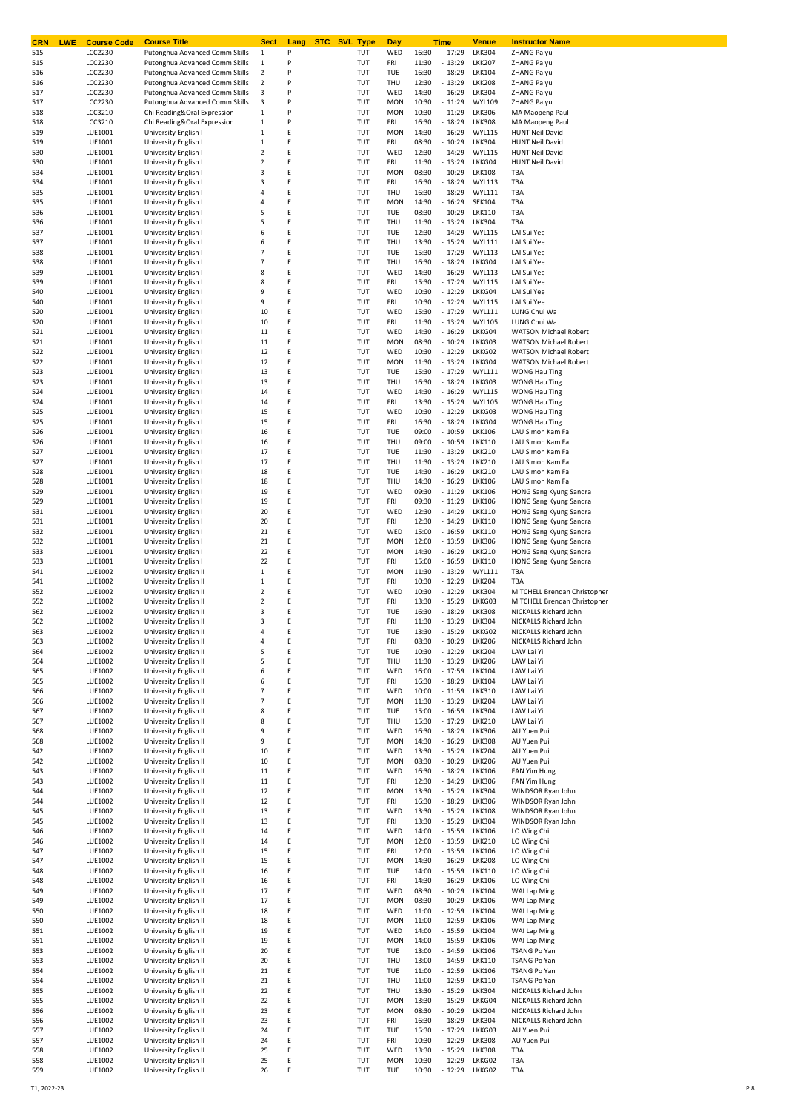| <b>CRN</b><br><b>LWE</b> | <b>Course Code</b>               | <b>Course Title</b>                                              | Sect                                   | Lang   | <b>STC SVL Type</b> |            | Day                      |                | Time                 | Venue                          | <b>Instructor Name</b>                                       |
|--------------------------|----------------------------------|------------------------------------------------------------------|----------------------------------------|--------|---------------------|------------|--------------------------|----------------|----------------------|--------------------------------|--------------------------------------------------------------|
| 515                      | <b>LCC2230</b>                   | Putonghua Advanced Comm Skills<br>Putonghua Advanced Comm Skills | 1                                      | P<br>P |                     | TUT        | WED                      | 16:30          | $-17:29$             | <b>LKK304</b>                  | ZHANG Paiyu                                                  |
| 515<br>516               | <b>LCC2230</b><br><b>LCC2230</b> | Putonghua Advanced Comm Skills                                   | 1<br>$\overline{\mathbf{2}}$           | P      |                     | TUT<br>TUT | FRI<br><b>TUE</b>        | 11:30<br>16:30 | $-13:29$<br>$-18:29$ | <b>LKK207</b><br><b>LKK104</b> | <b>ZHANG Paiyu</b><br><b>ZHANG Paiyu</b>                     |
| 516                      | <b>LCC2230</b>                   | Putonghua Advanced Comm Skills                                   | $\overline{\mathbf{2}}$                | P      |                     | TUT        | THU                      | 12:30          | $-13:29$             | <b>LKK208</b>                  | <b>ZHANG Paiyu</b>                                           |
| 517                      | <b>LCC2230</b>                   | Putonghua Advanced Comm Skills                                   | 3                                      | P      |                     | TUT        | WED                      | 14:30          | $-16:29$             | <b>LKK304</b>                  | <b>ZHANG Paiyu</b>                                           |
| 517                      | LCC2230                          | Putonghua Advanced Comm Skills                                   | 3                                      | P      |                     | TUT        | <b>MON</b>               | 10:30          | $-11:29$             | <b>WYL109</b>                  | ZHANG Paiyu                                                  |
| 518                      | LCC3210                          | Chi Reading&Oral Expression                                      | $\,1\,$                                | P      |                     | TUT        | <b>MON</b>               | 10:30          | $-11:29$             | <b>LKK306</b>                  | MA Maopeng Paul                                              |
| 518                      | LCC3210                          | Chi Reading&Oral Expression                                      | $\,1\,$                                | P      |                     | TUT        | FRI                      | 16:30          | $-18:29$             | <b>LKK308</b>                  | MA Maopeng Paul                                              |
| 519                      | LUE1001                          | University English I                                             | $\,1\,$                                | Ε      |                     | TUT        | <b>MON</b>               | 14:30          | $-16:29$             | <b>WYL115</b>                  | <b>HUNT Neil David</b>                                       |
| 519                      | LUE1001                          | University English I                                             | $\,1\,$                                | E<br>E |                     | TUT        | FRI                      | 08:30          | $-10:29$             | <b>LKK304</b>                  | <b>HUNT Neil David</b>                                       |
| 530<br>530               | LUE1001<br>LUE1001               | University English I<br>University English I                     | $\overline{\mathbf{2}}$<br>$\mathbf 2$ | E      |                     | TUT<br>TUT | WED<br>FRI               | 12:30<br>11:30 | $-14:29$<br>$-13:29$ | <b>WYL115</b><br>LKKG04        | <b>HUNT Neil David</b><br><b>HUNT Neil David</b>             |
| 534                      | LUE1001                          | University English I                                             | 3                                      | Ε      |                     | TUT        | <b>MON</b>               | 08:30          | $-10:29$             | <b>LKK108</b>                  | TBA                                                          |
| 534                      | LUE1001                          | University English I                                             | 3                                      | E      |                     | TUT        | FRI                      | 16:30          | $-18:29$             | <b>WYL113</b>                  | TBA                                                          |
| 535                      | LUE1001                          | University English I                                             | 4                                      | E      |                     | TUT        | THU                      | 16:30          | $-18:29$             | <b>WYL111</b>                  | TBA                                                          |
| 535                      | LUE1001                          | University English I                                             | $\overline{4}$                         | E      |                     | TUT        | <b>MON</b>               | 14:30          | $-16:29$             | SEK104                         | TBA                                                          |
| 536                      | LUE1001                          | University English I                                             | 5                                      | Ε      |                     | TUT        | TUE                      | 08:30          | $-10:29$             | <b>LKK110</b>                  | TBA                                                          |
| 536                      | LUE1001                          | University English I                                             | 5                                      | E      |                     | TUT        | THU                      | 11:30          | $-13:29$             | <b>LKK304</b>                  | TBA                                                          |
| 537                      | LUE1001                          | University English I                                             | 6                                      | E      |                     | TUT        | TUE                      | 12:30          | $-14:29$             | <b>WYL115</b>                  | LAI Sui Yee                                                  |
| 537<br>538               | LUE1001<br>LUE1001               | University English I<br>University English I                     | 6<br>$\overline{7}$                    | E<br>Ε |                     | TUT<br>TUT | THU<br><b>TUE</b>        | 13:30<br>15:30 | $-15:29$<br>$-17:29$ | <b>WYL111</b><br><b>WYL113</b> | LAI Sui Yee<br>LAI Sui Yee                                   |
| 538                      | LUE1001                          | University English I                                             | $\overline{7}$                         | E      |                     | TUT        | THU                      | 16:30          | $-18:29$             | LKKG04                         | LAI Sui Yee                                                  |
| 539                      | LUE1001                          | University English I                                             | 8                                      | Ε      |                     | TUT        | WED                      | 14:30          | $-16:29$             | <b>WYL113</b>                  | LAI Sui Yee                                                  |
| 539                      | LUE1001                          | University English I                                             | 8                                      | E      |                     | TUT        | FRI                      | 15:30          | $-17:29$             | <b>WYL115</b>                  | LAI Sui Yee                                                  |
| 540                      | LUE1001                          | University English I                                             | 9                                      | Ε      |                     | TUT        | WED                      | 10:30          | $-12:29$             | LKKG04                         | LAI Sui Yee                                                  |
| 540                      | LUE1001                          | University English I                                             | 9                                      | E      |                     | TUT        | FRI                      | 10:30          | $-12:29$             | <b>WYL115</b>                  | LAI Sui Yee                                                  |
| 520                      | LUE1001                          | University English I                                             | 10                                     | E      |                     | TUT        | WED                      | 15:30          | $-17:29$             | <b>WYL111</b>                  | LUNG Chui Wa                                                 |
| 520                      | LUE1001                          | University English I                                             | 10                                     | E      |                     | TUT        | FRI                      | 11:30          | $-13:29$             | <b>WYL105</b>                  | LUNG Chui Wa                                                 |
| 521<br>521               | LUE1001<br>LUE1001               | University English I<br>University English I                     | 11<br>11                               | Ε<br>E |                     | TUT<br>TUT | WED<br><b>MON</b>        | 14:30<br>08:30 | $-16:29$<br>$-10:29$ | LKKG04<br>LKKG03               | <b>WATSON Michael Robert</b><br><b>WATSON Michael Robert</b> |
| 522                      | LUE1001                          | University English I                                             | 12                                     | E      |                     | TUT        | WED                      | 10:30          | $-12:29$             | LKKG02                         | <b>WATSON Michael Robert</b>                                 |
| 522                      | LUE1001                          | University English I                                             | 12                                     | E      |                     | TUT        | <b>MON</b>               | 11:30          | $-13:29$             | LKKG04                         | WATSON Michael Robert                                        |
| 523                      | LUE1001                          | University English I                                             | 13                                     | E      |                     | TUT        | <b>TUE</b>               | 15:30          | $-17:29$             | <b>WYL111</b>                  | WONG Hau Ting                                                |
| 523                      | LUE1001                          | University English I                                             | 13                                     | Ε      |                     | TUT        | THU                      | 16:30          | $-18:29$             | LKKG03                         | <b>WONG Hau Ting</b>                                         |
| 524                      | LUE1001                          | University English I                                             | 14                                     | Ε      |                     | TUT        | WED                      | 14:30          | $-16:29$             | <b>WYL115</b>                  | WONG Hau Ting                                                |
| 524                      | LUE1001                          | University English I                                             | 14                                     | Ε      |                     | TUT        | FRI                      | 13:30          | $-15:29$             | <b>WYL105</b>                  | WONG Hau Ting                                                |
| 525                      | LUE1001                          | University English I                                             | 15                                     | E      |                     | TUT        | WED                      | 10:30          | $-12:29$             | LKKG03                         | <b>WONG Hau Ting</b>                                         |
| 525                      | LUE1001                          | University English I                                             | 15                                     | E      |                     | TUT        | FRI                      | 16:30          | $-18:29$             | LKKG04                         | <b>WONG Hau Ting</b>                                         |
| 526<br>526               | LUE1001<br>LUE1001               | University English I<br>University English I                     | 16<br>16                               | E<br>Ε |                     | TUT<br>TUT | TUE<br>THU               | 09:00<br>09:00 | $-10:59$<br>$-10:59$ | <b>LKK106</b><br><b>LKK110</b> | LAU Simon Kam Fai<br>LAU Simon Kam Fai                       |
| 527                      | LUE1001                          | University English I                                             | 17                                     | E      |                     | TUT        | TUE                      | 11:30          | $-13:29$             | <b>LKK210</b>                  | LAU Simon Kam Fai                                            |
| 527                      | LUE1001                          | University English I                                             | 17                                     | E      |                     | TUT        | THU                      | 11:30          | $-13:29$             | <b>LKK210</b>                  | LAU Simon Kam Fai                                            |
| 528                      | LUE1001                          | University English I                                             | 18                                     | E      |                     | TUT        | <b>TUE</b>               | 14:30          | $-16:29$             | <b>LKK210</b>                  | LAU Simon Kam Fai                                            |
| 528                      | LUE1001                          | University English I                                             | 18                                     | Ε      |                     | TUT        | THU                      | 14:30          | $-16:29$             | <b>LKK106</b>                  | LAU Simon Kam Fai                                            |
| 529                      | LUE1001                          | University English I                                             | 19                                     | E      |                     | TUT        | WED                      | 09:30          | $-11:29$             | <b>LKK106</b>                  | HONG Sang Kyung Sandra                                       |
| 529                      | LUE1001                          | University English I                                             | 19                                     | Ε      |                     | TUT        | FRI                      | 09:30          | $-11:29$             | <b>LKK106</b>                  | HONG Sang Kyung Sandra                                       |
| 531                      | LUE1001                          | University English I                                             | 20                                     | E      |                     | TUT        | WED                      | 12:30          | $-14:29$             | <b>LKK110</b>                  | HONG Sang Kyung Sandra                                       |
| 531                      | LUE1001                          | University English I                                             | 20                                     | Ε<br>E |                     | TUT        | FRI                      | 12:30          | $-14:29$             | <b>LKK110</b>                  | HONG Sang Kyung Sandra                                       |
| 532<br>532               | LUE1001<br>LUE1001               | University English I<br>University English I                     | 21<br>21                               | E      |                     | TUT<br>TUT | WED<br><b>MON</b>        | 15:00<br>12:00 | $-16:59$<br>$-13:59$ | <b>LKK110</b><br><b>LKK306</b> | HONG Sang Kyung Sandra<br>HONG Sang Kyung Sandra             |
| 533                      | LUE1001                          | University English I                                             | 22                                     | E      |                     | TUT        | <b>MON</b>               | 14:30          | $-16:29$             | <b>LKK210</b>                  | HONG Sang Kyung Sandra                                       |
| 533                      | LUE1001                          | University English I                                             | 22                                     | Ε      |                     | TUT        | FRI                      | 15:00          | $-16:59$             | <b>LKK110</b>                  | HONG Sang Kyung Sandra                                       |
| 541                      | LUE1002                          | University English II                                            | $\,1\,$                                | E      |                     | TUT        | <b>MON</b>               | 11:30          | $-13:29$             | <b>WYL111</b>                  | TBA                                                          |
| 541                      | LUE1002                          | University English II                                            | $1\,$                                  | E      |                     | TUT        | FRI                      | 10:30          | $-12:29$             | <b>LKK204</b>                  | TBA                                                          |
| 552                      | LUE1002                          | University English II                                            | $\mathbf 2$                            | E      |                     | TUT        | WED                      | 10:30          | $-12:29$             | <b>LKK304</b>                  | MITCHELL Brendan Christopher                                 |
| 552                      | LUE1002                          | University English II                                            | $\overline{2}$                         | E      |                     | TUT        | FRI                      | 13:30          | $-15:29$             | LKKG03                         | MITCHELL Brendan Christopher                                 |
| 562                      | LUE1002                          | University English II                                            | 3                                      | E      |                     | TUT        | TUE                      | 16:30          | $-18:29$             | <b>LKK308</b>                  | NICKALLS Richard John                                        |
| 562<br>563               | LUE1002<br>LUE1002               | University English II<br>University English II                   | 3<br>4                                 | E      |                     | TUT        | FRI<br>TUE               | 11:30<br>13.30 | $-13:29$<br>$-15.29$ | <b>LKK304</b><br>LKKG02        | NICKALLS Richard John<br>NICKALLS Richard John               |
| 563                      | LUE1002                          | University English II                                            | 4                                      | E      |                     | TUT<br>TUT | FRI                      | 08:30          | $-10:29$             | <b>LKK206</b>                  | NICKALLS Richard John                                        |
| 564                      | LUE1002                          | University English II                                            | 5                                      | E      |                     | TUT        | TUE                      | 10:30          | $-12:29$             | <b>LKK204</b>                  | LAW Lai Yi                                                   |
| 564                      | LUE1002                          | University English II                                            | 5                                      | E      |                     | TUT        | THU                      | 11:30          | $-13:29$             | <b>LKK206</b>                  | LAW Lai Yi                                                   |
| 565                      | LUE1002                          | University English II                                            | 6                                      | E      |                     | TUT        | WED                      | 16:00          | $-17:59$             | <b>LKK104</b>                  | LAW Lai Yi                                                   |
| 565                      | LUE1002                          | University English II                                            | 6                                      | E      |                     | TUT        | FRI                      | 16:30          | $-18:29$             | <b>LKK104</b>                  | LAW Lai Yi                                                   |
| 566                      | LUE1002                          | University English II                                            | $\overline{7}$                         | E      |                     | TUT        | WED                      | 10:00          | $-11:59$             | <b>LKK310</b>                  | LAW Lai Yi                                                   |
| 566                      | LUE1002                          | University English II                                            | $\overline{7}$                         | E      |                     | TUT        | <b>MON</b>               | 11:30          | $-13:29$             | <b>LKK204</b>                  | LAW Lai Yi                                                   |
| 567                      | LUE1002                          | University English II                                            | 8                                      | E<br>E |                     | TUT        | TUE                      | 15:00          | $-16:59$             | <b>LKK304</b>                  | LAW Lai Yi                                                   |
| 567<br>568               | LUE1002<br>LUE1002               | University English II<br>University English II                   | 8<br>9                                 | E      |                     | TUT<br>TUT | THU<br>WED               | 15:30<br>16:30 | $-17:29$<br>$-18:29$ | <b>LKK210</b><br><b>LKK306</b> | LAW Lai Yi<br>AU Yuen Pui                                    |
| 568                      | LUE1002                          | University English II                                            | 9                                      | E      |                     | TUT        | <b>MON</b>               | 14:30          | $-16:29$             | <b>LKK308</b>                  | AU Yuen Pui                                                  |
| 542                      | LUE1002                          | University English II                                            | 10                                     | E      |                     | TUT        | WED                      | 13:30          | $-15:29$             | <b>LKK204</b>                  | AU Yuen Pui                                                  |
| 542                      | LUE1002                          | University English II                                            | 10                                     | E      |                     | TUT        | <b>MON</b>               | 08:30          | $-10:29$             | <b>LKK206</b>                  | AU Yuen Pui                                                  |
| 543                      | LUE1002                          | University English II                                            | 11                                     | E      |                     | TUT        | WED                      | 16:30          | $-18:29$             | <b>LKK106</b>                  | FAN Yim Hung                                                 |
| 543                      | LUE1002                          | University English II                                            | 11                                     | E      |                     | TUT        | FRI                      | 12:30          | $-14:29$             | <b>LKK306</b>                  | <b>FAN Yim Hung</b>                                          |
| 544                      | LUE1002                          | University English II                                            | 12                                     | E      |                     | TUT        | <b>MON</b>               | 13:30          | $-15:29$             | <b>LKK304</b>                  | WINDSOR Ryan John                                            |
| 544                      | LUE1002                          | University English II                                            | 12                                     | E<br>E |                     | TUT        | FRI                      | 16:30          | $-18:29$<br>$-15:29$ | <b>LKK306</b>                  | WINDSOR Ryan John                                            |
| 545<br>545               | LUE1002<br>LUE1002               | University English II<br>University English II                   | 13<br>13                               | E      |                     | TUT<br>TUT | WED<br>FRI               | 13:30<br>13:30 | $-15:29$             | <b>LKK108</b><br><b>LKK304</b> | WINDSOR Ryan John<br>WINDSOR Ryan John                       |
| 546                      | LUE1002                          | University English II                                            | 14                                     | E      |                     | TUT        | WED                      | 14:00          | $-15:59$             | <b>LKK106</b>                  | LO Wing Chi                                                  |
| 546                      | LUE1002                          | University English II                                            | 14                                     | E      |                     | TUT        | <b>MON</b>               | 12:00          | $-13:59$             | <b>LKK210</b>                  | LO Wing Chi                                                  |
| 547                      | LUE1002                          | University English II                                            | 15                                     | E      |                     | TUT        | FRI                      | 12:00          | $-13:59$             | <b>LKK106</b>                  | LO Wing Chi                                                  |
| 547                      | LUE1002                          | University English II                                            | 15                                     | E      |                     | TUT        | <b>MON</b>               | 14:30          | $-16:29$             | <b>LKK208</b>                  | LO Wing Chi                                                  |
| 548                      | LUE1002                          | University English II                                            | 16                                     | E      |                     | TUT        | TUE                      | 14:00          | $-15:59$             | <b>LKK110</b>                  | LO Wing Chi                                                  |
| 548                      | LUE1002                          | University English II                                            | 16                                     | E      |                     | TUT        | FRI                      | 14:30          | $-16:29$             | <b>LKK106</b>                  | LO Wing Chi                                                  |
| 549                      | LUE1002                          | University English II                                            | 17                                     | E      |                     | TUT        | WED                      | 08:30          | $-10:29$             | <b>LKK104</b>                  | WAI Lap Ming                                                 |
| 549                      | LUE1002                          | University English II<br>University English II                   | 17                                     | E<br>E |                     | TUT        | <b>MON</b>               | 08:30          | $-10:29$<br>$-12:59$ | <b>LKK106</b><br><b>LKK104</b> | WAI Lap Ming                                                 |
| 550<br>550               | LUE1002<br>LUE1002               | University English II                                            | 18<br>18                               | E      |                     | TUT<br>TUT | WED<br><b>MON</b>        | 11:00<br>11:00 | $-12:59$             | <b>LKK106</b>                  | WAI Lap Ming<br>WAI Lap Ming                                 |
| 551                      | LUE1002                          | University English II                                            | 19                                     | E      |                     | TUT        | WED                      | 14:00          | $-15:59$             | <b>LKK104</b>                  | WAI Lap Ming                                                 |
| 551                      | LUE1002                          | University English II                                            | 19                                     | E      |                     | TUT        | <b>MON</b>               | 14:00          | $-15:59$             | <b>LKK106</b>                  | WAI Lap Ming                                                 |
| 553                      | LUE1002                          | University English II                                            | 20                                     | E      |                     | TUT        | TUE                      | 13:00          | $-14:59$             | <b>LKK106</b>                  | TSANG Po Yan                                                 |
| 553                      | LUE1002                          | University English II                                            | 20                                     | E      |                     | TUT        | THU                      | 13:00          | $-14:59$             | <b>LKK110</b>                  | TSANG Po Yan                                                 |
| 554                      | LUE1002                          | University English II                                            | 21                                     | E      |                     | TUT        | TUE                      | 11:00          | $-12:59$             | <b>LKK106</b>                  | TSANG Po Yan                                                 |
| 554                      | LUE1002                          | University English II                                            | 21                                     | E      |                     | TUT        | THU                      | 11:00          | $-12:59$             | <b>LKK110</b>                  | TSANG Po Yan                                                 |
| 555                      | LUE1002                          | University English II                                            | 22                                     | E      |                     | TUT        | THU                      | 13:30          | $-15:29$             | <b>LKK304</b>                  | NICKALLS Richard John                                        |
| 555<br>556               | LUE1002<br>LUE1002               | University English II<br>University English II                   | 22<br>23                               | E<br>E |                     | TUT<br>TUT | <b>MON</b><br><b>MON</b> | 13:30<br>08:30 | $-15:29$<br>$-10:29$ | LKKG04<br><b>LKK204</b>        | NICKALLS Richard John<br>NICKALLS Richard John               |
| 556                      | LUE1002                          | University English II                                            | 23                                     | E      |                     | TUT        | FRI                      | 16:30          | $-18:29$             | <b>LKK304</b>                  | NICKALLS Richard John                                        |
| 557                      | LUE1002                          | University English II                                            | 24                                     | E      |                     | TUT        | TUE                      | 15:30          | $-17:29$             | LKKG03                         | AU Yuen Pui                                                  |
| 557                      | LUE1002                          | University English II                                            | 24                                     | E      |                     | TUT        | FRI                      | 10:30          | $-12:29$             | <b>LKK308</b>                  | AU Yuen Pui                                                  |
| 558                      | LUE1002                          | University English II                                            | 25                                     | E      |                     | TUT        | WED                      | 13:30          | $-15:29$             | <b>LKK308</b>                  | TBA                                                          |
| 558                      | LUE1002                          | University English II                                            | 25                                     | E      |                     | TUT        | <b>MON</b>               | 10:30          | $-12:29$             | LKKG02                         | TBA                                                          |
| 559                      | LUE1002                          | University English II                                            | 26                                     | Ε      |                     | TUT        | TUE                      | 10:30          | - 12:29 LKKG02       |                                | TBA                                                          |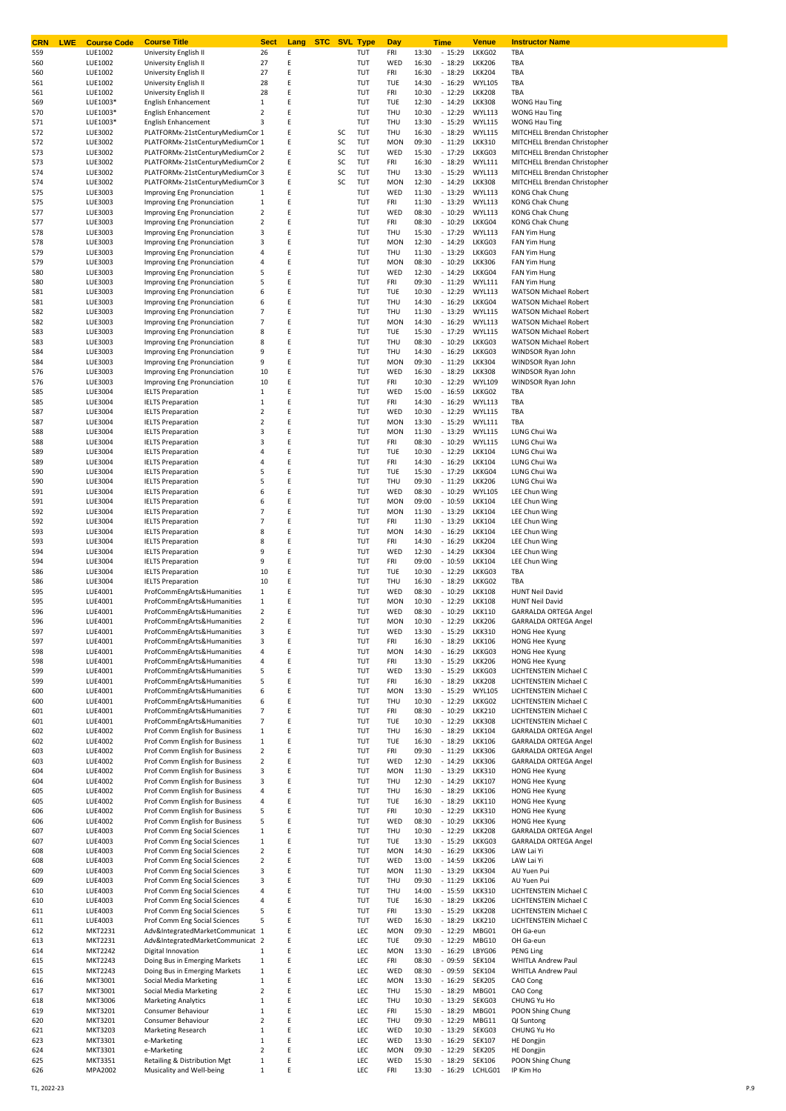| CRN<br><b>LWE</b> | <b>Course Code</b>        | <b>Course Title</b>                                              | <b>Sect</b>             | Lang   | <b>STC</b> SVL Type |            | Day               |                | Time                 | <b>Venue</b>                   | <b>Instructor Name</b>                                |
|-------------------|---------------------------|------------------------------------------------------------------|-------------------------|--------|---------------------|------------|-------------------|----------------|----------------------|--------------------------------|-------------------------------------------------------|
| 559               | LUE1002                   | University English II                                            | 26                      | Ε      |                     | TUT        | FRI               | 13:30          | $-15:29$             | LKKG02                         | TBA                                                   |
| 560               | LUE1002                   | University English II                                            | 27                      | Ε      |                     | TUT        | WED               | 16:30          | $-18:29$             | <b>LKK206</b>                  | TBA                                                   |
| 560               | LUE1002                   | University English II                                            | 27                      | Ε      |                     | TUT        | FRI               | 16:30          | $-18:29$             | <b>LKK204</b>                  | TBA                                                   |
| 561               | LUE1002                   | University English II                                            | 28                      | Ε      |                     | TUT        | TUE               | 14:30          | $-16:29$             | <b>WYL105</b>                  | TBA                                                   |
| 561               | LUE1002                   | University English II                                            | 28                      | Ε      |                     | TUT        | FRI               | 10:30          | $-12:29$             | <b>LKK208</b>                  | TBA                                                   |
| 569               | LUE1003*                  | <b>English Enhancement</b>                                       | $\,1\,$                 | Ε      |                     | TUT        | TUE               | 12:30          | $-14:29$             | <b>LKK308</b>                  | <b>WONG Hau Ting</b>                                  |
| 570               | LUE1003*                  | <b>English Enhancement</b>                                       | $\mathbf 2$             | Ε      |                     | TUT        | THU               | 10:30          | $-12:29$             | <b>WYL113</b>                  | <b>WONG Hau Ting</b>                                  |
| 571               | LUE1003*                  | <b>English Enhancement</b>                                       | 3                       | Ε      |                     | TUT        | THU               | 13:30          | $-15:29$             | <b>WYL115</b>                  | <b>WONG Hau Ting</b>                                  |
| 572               | LUE3002                   | PLATFORMx-21stCenturyMediumCor 1                                 |                         | Ε      | SC                  | TUT        | THU               | 16:30          | $-18:29$             | <b>WYL115</b>                  | MITCHELL Brendan Christopher                          |
| 572               | LUE3002                   | PLATFORMx-21stCenturyMediumCor 1                                 |                         | Ε      | SC                  | TUT        | <b>MON</b>        | 09:30          | $-11:29$             | <b>LKK310</b>                  | MITCHELL Brendan Christopher                          |
| 573               | LUE3002                   | PLATFORMx-21stCenturyMediumCor 2                                 |                         | Ε      | SC                  | TUT        | WED               | 15:30          | $-17:29$             | LKKG03                         | MITCHELL Brendan Christopher                          |
| 573               | LUE3002                   | PLATFORMx-21stCenturyMediumCor 2                                 |                         | Ε      | SC                  | TUT        | FRI               | 16:30          | $-18:29$             | <b>WYL111</b>                  | MITCHELL Brendan Christopher                          |
| 574               | LUE3002                   | PLATFORMx-21stCenturyMediumCor 3                                 |                         | Ε      | SC                  | TUT        | THU               | 13:30          | $-15:29$             | <b>WYL113</b>                  | MITCHELL Brendan Christopher                          |
| 574               | LUE3002                   | PLATFORMx-21stCenturyMediumCor 3                                 |                         | Ε      | SC                  | TUT        | <b>MON</b>        | 12:30          | $-14:29$             | <b>LKK308</b>                  | MITCHELL Brendan Christopher                          |
| 575               | LUE3003                   | Improving Eng Pronunciation                                      | 1                       | Ε      |                     | TUT        | WED               | 11:30          | $-13:29$             | <b>WYL113</b>                  | <b>KONG Chak Chung</b>                                |
| 575               | LUE3003                   | Improving Eng Pronunciation                                      | $\mathbf 1$             | Ε      |                     | TUT        | FRI               | 11:30          | $-13:29$             | <b>WYL113</b>                  | <b>KONG Chak Chung</b>                                |
| 577               | LUE3003                   | Improving Eng Pronunciation                                      | $\overline{2}$          | Ε      |                     | TUT        | WED               | 08:30          | $-10:29$             | <b>WYL113</b>                  | <b>KONG Chak Chung</b>                                |
| 577               | LUE3003                   | Improving Eng Pronunciation                                      | $\overline{2}$          | Ε      |                     | TUT        | FRI               | 08:30          | $-10:29$             | LKKG04                         | <b>KONG Chak Chung</b>                                |
| 578               | LUE3003                   | Improving Eng Pronunciation                                      | 3                       | Ε      |                     | TUT        | THU               | 15:30          | $-17:29$             | <b>WYL113</b>                  | FAN Yim Hung                                          |
| 578               | LUE3003                   | Improving Eng Pronunciation                                      | 3                       | Ε      |                     | TUT        | <b>MON</b>        | 12:30          | $-14:29$             | LKKG03                         | FAN Yim Hung                                          |
| 579               | LUE3003                   | Improving Eng Pronunciation                                      | 4                       | Ε      |                     | TUT        | THU               | 11:30          | $-13:29$             | LKKG03                         | FAN Yim Hung                                          |
|                   |                           |                                                                  | 4                       | Ε      |                     | TUT        | <b>MON</b>        | 08:30          | $-10:29$             | <b>LKK306</b>                  |                                                       |
| 579               | LUE3003                   | Improving Eng Pronunciation                                      | 5                       | Ε      |                     | TUT        | WED               | 12:30          | $-14:29$             | LKKG04                         | FAN Yim Hung                                          |
| 580               | LUE3003                   | Improving Eng Pronunciation                                      |                         | Ε      |                     |            |                   |                |                      |                                | FAN Yim Hung                                          |
| 580               | LUE3003                   | Improving Eng Pronunciation                                      | 5                       |        |                     | TUT        | FRI               | 09:30          | $-11:29$             | <b>WYL111</b>                  | FAN Yim Hung                                          |
| 581               | LUE3003                   | Improving Eng Pronunciation                                      | 6                       | Ε      |                     | TUT        | TUE               | 10:30          | $-12:29$             | <b>WYL113</b>                  | <b>WATSON Michael Robert</b>                          |
| 581               | LUE3003                   | Improving Eng Pronunciation                                      | 6                       | Ε      |                     | TUT        | THU               | 14:30          | $-16:29$             | LKKG04                         | <b>WATSON Michael Robert</b>                          |
| 582               | LUE3003                   | Improving Eng Pronunciation                                      | 7                       | Ε      |                     | TUT        | THU               | 11:30          | $-13:29$             | <b>WYL115</b>                  | <b>WATSON Michael Robert</b>                          |
| 582               | LUE3003                   | Improving Eng Pronunciation                                      | 7                       | Ε      |                     | TUT        | <b>MON</b>        | 14:30          | $-16:29$             | <b>WYL113</b>                  | <b>WATSON Michael Robert</b>                          |
| 583               | LUE3003                   | Improving Eng Pronunciation                                      | 8                       | Ε      |                     | TUT        | TUE               | 15:30          | $-17:29$             | <b>WYL115</b>                  | <b>WATSON Michael Robert</b>                          |
| 583               | LUE3003                   | Improving Eng Pronunciation                                      | 8                       | Ε      |                     | TUT        | THU               | 08:30          | $-10:29$             | LKKG03                         | <b>WATSON Michael Robert</b>                          |
| 584               | LUE3003                   | Improving Eng Pronunciation                                      | 9                       | Ε      |                     | TUT        | THU               | 14:30          | $-16:29$             | LKKG03                         | WINDSOR Ryan John                                     |
| 584               | LUE3003                   | Improving Eng Pronunciation                                      | 9                       | Ε      |                     | TUT        | <b>MON</b>        | 09:30          | $-11:29$             | <b>LKK304</b>                  | WINDSOR Ryan John                                     |
| 576               | LUE3003                   | Improving Eng Pronunciation                                      | 10                      | Ε      |                     | TUT        | WED               | 16:30          | $-18:29$             | <b>LKK308</b>                  | WINDSOR Ryan John                                     |
| 576               | LUE3003                   | Improving Eng Pronunciation                                      | 10                      | Ε      |                     | TUT        | FRI               | 10:30          | $-12:29$             | <b>WYL109</b>                  | WINDSOR Ryan John                                     |
| 585               | LUE3004                   | <b>IELTS Preparation</b>                                         | $\mathbf{1}$            | Ε      |                     | TUT        | WED               | 15:00          | $-16:59$             | LKKG02                         | TBA                                                   |
| 585               | LUE3004                   | <b>IELTS Preparation</b>                                         | $\mathbf 1$             | Ε      |                     | TUT        | FRI               | 14:30          | $-16:29$             | <b>WYL113</b>                  | TBA                                                   |
| 587               | LUE3004                   | <b>IELTS Preparation</b>                                         | $\mathbf 2$             | Ε      |                     | TUT        | WED               | 10:30          | $-12:29$             | <b>WYL115</b>                  | TBA                                                   |
| 587               | LUE3004                   | <b>IELTS Preparation</b>                                         | $\mathbf 2$             | Ε      |                     | TUT        | <b>MON</b>        | 13:30          | $-15:29$             | <b>WYL111</b>                  | TBA                                                   |
| 588               | LUE3004                   | <b>IELTS Preparation</b>                                         | 3                       | Ε      |                     | TUT        | <b>MON</b>        | 11:30          | $-13:29$             | <b>WYL115</b>                  | LUNG Chui Wa                                          |
| 588               | LUE3004                   | <b>IELTS Preparation</b>                                         | 3                       | Ε      |                     | TUT        | FRI               | 08:30          | $-10:29$             | <b>WYL115</b>                  | LUNG Chui Wa                                          |
| 589               | LUE3004                   | <b>IELTS Preparation</b>                                         | 4                       | Ε      |                     | TUT        | TUE               | 10:30          | $-12:29$             | <b>LKK104</b>                  | LUNG Chui Wa                                          |
| 589               | LUE3004                   | <b>IELTS Preparation</b>                                         | 4                       | Ε      |                     | TUT        | FRI               | 14:30          | $-16:29$             | <b>LKK104</b>                  | LUNG Chui Wa                                          |
| 590               | LUE3004                   | <b>IELTS Preparation</b>                                         | 5                       | Ε      |                     | TUT        | TUE               | 15:30          | $-17:29$             | LKKG04                         | LUNG Chui Wa                                          |
| 590               | LUE3004                   | <b>IELTS Preparation</b>                                         | 5                       | Ε      |                     | TUT        | THU               | 09:30          | $-11:29$             | <b>LKK206</b>                  | LUNG Chui Wa                                          |
| 591               | LUE3004                   | <b>IELTS Preparation</b>                                         | 6                       | Ε      |                     | TUT        | WED               | 08:30          | $-10:29$             | <b>WYL105</b>                  | LEE Chun Wing                                         |
| 591               | LUE3004                   | <b>IELTS Preparation</b>                                         | 6                       | Ε      |                     | TUT        | <b>MON</b>        | 09:00          | $-10:59$             | <b>LKK104</b>                  | <b>LEE Chun Wing</b>                                  |
| 592               | LUE3004                   | <b>IELTS Preparation</b>                                         | $\overline{7}$          | Ε      |                     | TUT        | <b>MON</b>        | 11:30          | $-13:29$             | <b>LKK104</b>                  | LEE Chun Wing                                         |
| 592               | LUE3004                   | <b>IELTS Preparation</b>                                         | $\overline{7}$          | Ε      |                     | TUT        | FRI               | 11:30          | $-13:29$             | <b>LKK104</b>                  | LEE Chun Wing                                         |
|                   |                           |                                                                  |                         |        |                     |            |                   |                |                      |                                |                                                       |
| 593               | LUE3004                   | <b>IELTS Preparation</b>                                         | 8                       | Ε      |                     | TUT        | <b>MON</b>        | 14:30          | $-16:29$             | <b>LKK104</b>                  | <b>LEE Chun Wing</b>                                  |
| 593               | LUE3004                   | <b>IELTS Preparation</b>                                         | 8                       | Ε      |                     | TUT        | FRI               | 14:30          | $-16:29$             | <b>LKK204</b>                  | <b>LEE Chun Wing</b>                                  |
| 594               | LUE3004                   | <b>IELTS Preparation</b>                                         | 9                       | Ε      |                     | TUT        | WED               | 12:30          | $-14:29$             | <b>LKK304</b>                  | <b>LEE Chun Wing</b>                                  |
| 594               | LUE3004                   | <b>IELTS Preparation</b>                                         | 9                       | Ε      |                     | TUT        | FRI               | 09:00          | $-10:59$             | <b>LKK104</b>                  | <b>LEE Chun Wing</b>                                  |
| 586               | LUE3004                   | <b>IELTS Preparation</b>                                         | 10                      | Ε      |                     | TUT        | TUE               | 10:30          | $-12:29$             | LKKG03                         | TBA                                                   |
| 586               | LUE3004                   | <b>IELTS Preparation</b>                                         | 10                      | Ε      |                     | TUT        | THU               | 16:30          | $-18:29$             | LKKG02                         | TBA                                                   |
| 595               | LUE4001                   | ProfCommEngArts&Humanities                                       | $\mathbf{1}$            | Ε      |                     | TUT        | WED               | 08:30          | $-10:29$             | <b>LKK108</b>                  | <b>HUNT Neil David</b>                                |
| 595               | LUE4001                   | ProfCommEngArts&Humanities                                       | $\mathbf{1}$            | Ε      |                     | TUT        | <b>MON</b>        | 10:30          | $-12:29$             | <b>LKK108</b>                  | <b>HUNT Neil David</b>                                |
| 596               | LUE4001                   | ProfCommEngArts&Humanities                                       | $\overline{2}$          | Ε      |                     | TUT        | WED               | 08:30          | $-10:29$             | <b>LKK110</b>                  | GARRALDA ORTEGA Angel                                 |
| 596               | LUE4001                   | ProfCommEngArts&Humanities                                       | $\overline{2}$          | E      |                     | TUT        | <b>MON</b>        | 10:30          | - 12:29 LKK206       |                                | <b>GARRALDA ORTEGA Angel</b>                          |
| 597               | LUE4001                   | ProfCommEngArts&Humanities                                       | $\mathbf{R}$            |        |                     | TUT        | WFD               |                | $13.30 - 15.29$      | <b>LKK310</b>                  | <b>HONG Hee Kyung</b>                                 |
| 597               | LUE4001                   | ProfCommEngArts&Humanities                                       | 3                       | Ε      |                     | TUT        | FRI               | 16:30          | $-18:29$             | <b>LKK106</b>                  | <b>HONG Hee Kyung</b>                                 |
| 598               | LUE4001                   | ProfCommEngArts&Humanities                                       | 4                       | Ε      |                     | TUT        | <b>MON</b>        | 14:30          | $-16:29$             | LKKG03                         | <b>HONG Hee Kyung</b>                                 |
| 598               | LUE4001                   | ProfCommEngArts&Humanities                                       | 4                       | Ε      |                     | TUT        | FRI               | 13:30          | $-15:29$             | <b>LKK206</b>                  | <b>HONG Hee Kyung</b>                                 |
| 599               | LUE4001                   | ProfCommEngArts&Humanities                                       | 5                       | Ε      |                     | TUT        | WED               | 13:30          | $-15:29$             | LKKG03                         | LICHTENSTEIN Michael C                                |
| 599               | LUE4001                   | ProfCommEngArts&Humanities                                       | 5                       | Ε      |                     | TUT        | FRI               | 16:30          | $-18:29$             | <b>LKK208</b>                  | LICHTENSTEIN Michael C                                |
| 600               | LUE4001                   | ProfCommEngArts&Humanities                                       | 6                       | Ε      |                     | TUT        | <b>MON</b>        | 13:30          | $-15:29$             | <b>WYL105</b>                  | LICHTENSTEIN Michael C                                |
| 600               | LUE4001                   | ProfCommEngArts&Humanities                                       | 6                       | Ε      |                     | TUT        | THU               | 10:30          | $-12:29$             | LKKG02                         | LICHTENSTEIN Michael C                                |
| 601               | LUE4001                   | ProfCommEngArts&Humanities                                       | $\overline{7}$          | Ε      |                     | TUT        | FRI               | 08:30          | $-10:29$             | <b>LKK210</b>                  | LICHTENSTEIN Michael C                                |
| 601               | LUE4001                   | ProfCommEngArts&Humanities                                       | 7                       | Ε      |                     | TUT        | TUE               | 10:30          | $-12:29$             | <b>LKK308</b>                  | LICHTENSTEIN Michael C                                |
| 602               | LUE4002                   | Prof Comm English for Business                                   | $\mathbf{1}$            | Ε      |                     | TUT        | THU               | 16:30          | $-18:29$             | <b>LKK104</b>                  | <b>GARRALDA ORTEGA Angel</b>                          |
|                   |                           |                                                                  |                         | Ε      |                     |            | TUE               | 16:30          | $-18:29$             | <b>LKK106</b>                  | <b>GARRALDA ORTEGA Angel</b>                          |
| 602               | LUE4002                   | Prof Comm English for Business                                   | $\mathbf{1}$            |        |                     | TUT        |                   |                | $-11:29$             |                                |                                                       |
| 603               | <b>LUE4002</b>            | Prof Comm English for Business                                   | $\overline{2}$          | Ε      |                     | TUT        | FRI               | 09:30          |                      | <b>LKK306</b>                  | <b>GARRALDA ORTEGA Angel</b>                          |
| 603               | LUE4002<br><b>LUE4002</b> | Prof Comm English for Business<br>Prof Comm English for Business | $\overline{2}$<br>3     | Ε<br>Ε |                     | TUT<br>TUT | WED<br><b>MON</b> | 12:30<br>11:30 | $-14:29$<br>$-13:29$ | <b>LKK306</b><br><b>LKK310</b> | <b>GARRALDA ORTEGA Angel</b><br><b>HONG Hee Kyung</b> |
| 604               |                           |                                                                  |                         |        |                     |            |                   |                |                      |                                |                                                       |
| 604               | <b>LUE4002</b>            | Prof Comm English for Business<br>Prof Comm English for Business | 3                       | Ε      |                     | TUT        | THU               | 12:30          | $-14:29$             | <b>LKK107</b>                  | <b>HONG Hee Kyung</b>                                 |
| 605               | <b>LUE4002</b>            |                                                                  | 4                       | Ε      |                     | TUT        | THU               | 16:30          | $-18:29$             | <b>LKK106</b>                  | <b>HONG Hee Kyung</b>                                 |
| 605               | <b>LUE4002</b>            | Prof Comm English for Business                                   | 4                       | Ε      |                     | TUT        | TUE               | 16:30          | $-18:29$             | <b>LKK110</b>                  | <b>HONG Hee Kyung</b>                                 |
| 606               | <b>LUE4002</b>            | Prof Comm English for Business                                   | 5                       | Ε      |                     | TUT        | FRI               | 10:30          | $-12:29$             | <b>LKK310</b>                  | <b>HONG Hee Kyung</b>                                 |
| 606               | <b>LUE4002</b>            | Prof Comm English for Business                                   | 5                       | Ε      |                     | TUT        | WED               | 08:30          | $-10:29$             | <b>LKK306</b>                  | <b>HONG Hee Kyung</b>                                 |
| 607               | LUE4003                   | Prof Comm Eng Social Sciences                                    | $\mathbf{1}$            | Ε      |                     | TUT        | THU               | 10:30          | $-12:29$             | <b>LKK208</b>                  | GARRALDA ORTEGA Angel                                 |
| 607               | LUE4003                   | Prof Comm Eng Social Sciences                                    | $\mathbf{1}$            | Ε      |                     | TUT        | TUE               | 13:30          | $-15:29$             | LKKG03                         | <b>GARRALDA ORTEGA Angel</b>                          |
| 608               | LUE4003                   | Prof Comm Eng Social Sciences                                    | $\overline{2}$          | Ε      |                     | TUT        | <b>MON</b>        | 14:30          | $-16:29$             | <b>LKK306</b>                  | LAW Lai Yi                                            |
| 608               | LUE4003                   | Prof Comm Eng Social Sciences                                    | $\overline{2}$          | Ε      |                     | TUT        | WED               | 13:00          | $-14:59$             | <b>LKK206</b>                  | LAW Lai Yi                                            |
| 609               | LUE4003                   | Prof Comm Eng Social Sciences                                    | 3                       | Ε      |                     | TUT        | <b>MON</b>        | 11:30          | $-13:29$             | <b>LKK304</b>                  | AU Yuen Pui                                           |
| 609               | LUE4003                   | Prof Comm Eng Social Sciences                                    | 3                       | Ε      |                     | TUT        | THU               | 09:30          | $-11:29$             | <b>LKK106</b>                  | AU Yuen Pui                                           |
| 610               | LUE4003                   | Prof Comm Eng Social Sciences                                    | 4                       | Ε      |                     | TUT        | THU               | 14:00          | $-15:59$             | <b>LKK310</b>                  | LICHTENSTEIN Michael C                                |
| 610               | LUE4003                   | Prof Comm Eng Social Sciences                                    | 4                       | Ε      |                     | TUT        | TUE               | 16:30          | $-18:29$             | <b>LKK206</b>                  | LICHTENSTEIN Michael C                                |
| 611               | LUE4003                   | Prof Comm Eng Social Sciences                                    | 5                       | Ε      |                     | TUT        | FRI               | 13:30          | $-15:29$             | <b>LKK208</b>                  | LICHTENSTEIN Michael C                                |
| 611               | LUE4003                   | Prof Comm Eng Social Sciences                                    | 5                       | Ε      |                     | TUT        | WED               | 16:30          | $-18:29$             | <b>LKK210</b>                  | LICHTENSTEIN Michael C                                |
| 612               | MKT2231                   | Adv&IntegratedMarketCommunicat 1                                 |                         | Ε      |                     | LEC        | <b>MON</b>        | 09:30          | $-12:29$             | MBG01                          | OH Ga-eun                                             |
| 613               | MKT2231                   | Adv&IntegratedMarketCommunicat 2                                 |                         | Ε      |                     | LEC        | TUE               | 09:30          | $-12:29$             | MBG10                          | OH Ga-eun                                             |
| 614               | <b>MKT2242</b>            | Digital Innovation                                               | $\,1\,$                 | Ε      |                     | LEC        | <b>MON</b>        | 13:30          | $-16:29$             | LBYG06                         | PENG Ling                                             |
| 615               | MKT2243                   | Doing Bus in Emerging Markets                                    | $\,1\,$                 | Ε      |                     | LEC        | FRI               | 08:30          | $-09:59$             | SEK104                         | WHITLA Andrew Paul                                    |
| 615               | MKT2243                   | Doing Bus in Emerging Markets                                    | $\,1\,$                 | Ε      |                     | LEC        | WED               | 08:30          | $-09:59$             | SEK104                         | WHITLA Andrew Paul                                    |
| 616               | MKT3001                   | Social Media Marketing                                           | $\,1\,$                 | Ε      |                     | LEC        | <b>MON</b>        | 13:30          | $-16:29$             | <b>SEK205</b>                  | CAO Cong                                              |
| 617               | MKT3001                   | Social Media Marketing                                           | $\overline{2}$          | Ε      |                     | LEC        | THU               | 15:30          | $-18:29$             | MBG01                          | CAO Cong                                              |
| 618               | MKT3006                   | <b>Marketing Analytics</b>                                       | $\,1\,$                 | Ε      |                     | LEC        | THU               | 10:30          | $-13:29$             | SEKG03                         | CHUNG Yu Ho                                           |
| 619               | MKT3201                   | Consumer Behaviour                                               | $\,1\,$                 | Ε      |                     | LEC        | FRI               | 15:30          | $-18:29$             | MBG01                          | POON Shing Chung                                      |
|                   | MKT3201                   | Consumer Behaviour                                               | $\overline{2}$          | Ε      |                     | LEC        | THU               | 09:30          | $-12:29$             | MBG11                          | QI Suntong                                            |
| 620               | MKT3203                   | Marketing Research                                               | $\,1\,$                 | Ε      |                     | LEC        | WED               | 10:30          | $-13:29$             | SEKG03                         | CHUNG Yu Ho                                           |
| 621               | MKT3301                   | e-Marketing                                                      | $\,1\,$                 | Ε      |                     | LEC        | WED               | 13:30          | $-16:29$             | <b>SEK107</b>                  | <b>HE Dongjin</b>                                     |
| 623               | MKT3301                   | e-Marketing                                                      | $\overline{\mathbf{2}}$ | Ε      |                     | LEC        | <b>MON</b>        | 09:30          |                      | <b>SEK205</b>                  | <b>HE Dongjin</b>                                     |
| 624               |                           |                                                                  |                         |        |                     |            |                   |                | $-12:29$             |                                |                                                       |
| 625               | MKT3351                   | Retailing & Distribution Mgt                                     | $\,1\,$                 | Ε      |                     | LEC        | WED               | 15:30          | $-18:29$             | <b>SEK106</b>                  | POON Shing Chung                                      |
| 626               | MPA2002                   | Musicality and Well-being                                        | $\mathbf{1}$            | Ε      |                     | LEC        | FRI               | 13:30          | - 16:29 LCHLG01      |                                | IP Kim Ho                                             |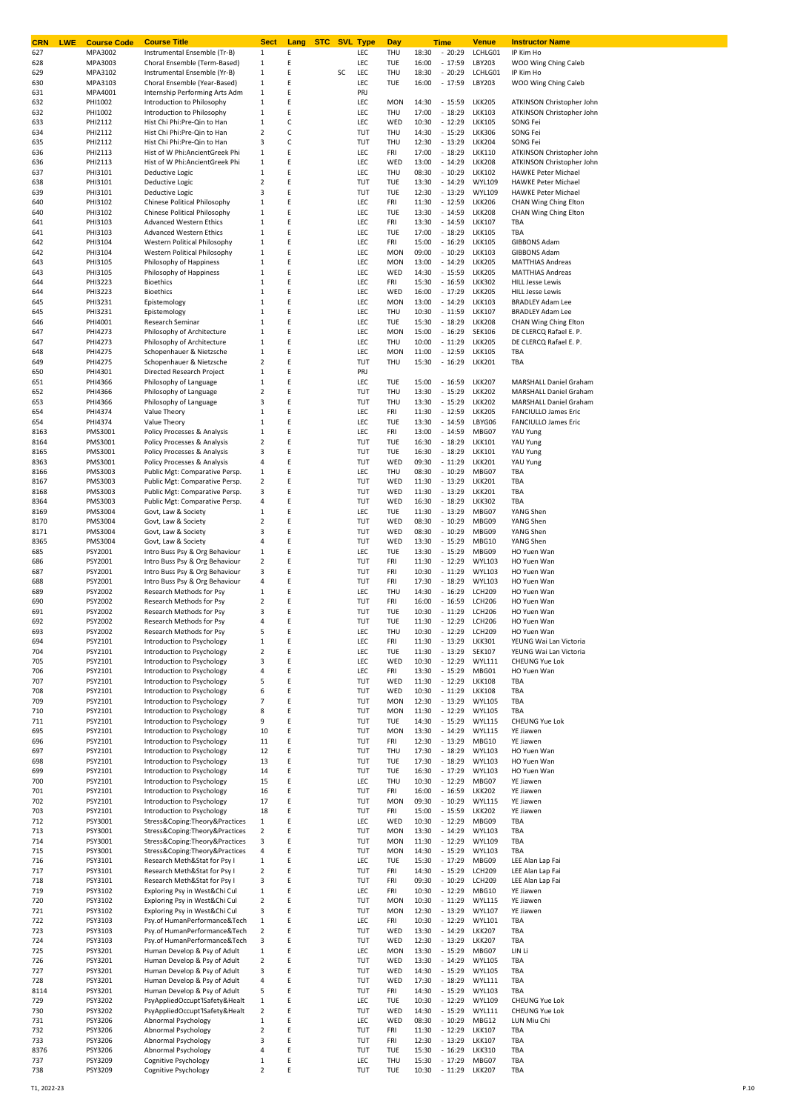| CRN<br><b>LWE</b> | <b>Course Code</b> | <b>Course Title</b>                                            | <b>Sect</b>                             | Lang   | <b>STC</b> |    | <b>SVL Type</b> | Day               |                | <b>Time</b>          | <u>Venue</u>                   | <b>Instructor Name</b>                                     |
|-------------------|--------------------|----------------------------------------------------------------|-----------------------------------------|--------|------------|----|-----------------|-------------------|----------------|----------------------|--------------------------------|------------------------------------------------------------|
| 627<br>628        | MPA3002<br>MPA3003 | Instrumental Ensemble (Tr-B)<br>Choral Ensemble (Term-Based)   | 1<br>1                                  | Ε<br>E |            |    | LEC<br>LEC      | THU<br>TUE        | 18:30<br>16:00 | $-20:29$<br>$-17:59$ | LCHLG01<br>LBY203              | IP Kim Ho<br>WOO Wing Ching Caleb                          |
| 629               | MPA3102            | Instrumental Ensemble (Yr-B)                                   | 1                                       | E      |            | SC | <b>LEC</b>      | THU               | 18:30          | $-20:29$             | LCHLG01                        | IP Kim Ho                                                  |
| 630               | MPA3103            | Choral Ensemble (Year-Based)                                   | 1                                       | Ε      |            |    | LEC             | <b>TUE</b>        | 16:00          | $-17:59$             | LBY203                         | WOO Wing Ching Caleb                                       |
| 631               | MPA4001            | Internship Performing Arts Adm                                 | 1                                       | Ε      |            |    | PRJ             |                   |                |                      |                                |                                                            |
| 632               | PHI1002            | Introduction to Philosophy                                     | 1                                       | Ε      |            |    | LEC             | <b>MON</b>        | 14:30          | $-15:59$             | <b>LKK205</b>                  | ATKINSON Christopher John                                  |
| 632               | PHI1002            | Introduction to Philosophy                                     | 1                                       | Ε      |            |    | LEC             | THU               | 17:00          | $-18:29$             | <b>LKK103</b>                  | ATKINSON Christopher John                                  |
| 633               | PHI2112            | Hist Chi Phi:Pre-Qin to Han                                    | 1                                       | С      |            |    | LEC             | WED               | 10:30          | $-12:29$             | <b>LKK105</b>                  | SONG Fei                                                   |
| 634<br>635        | PHI2112<br>PHI2112 | Hist Chi Phi:Pre-Qin to Han<br>Hist Chi Phi:Pre-Qin to Han     | 2<br>3                                  | c<br>С |            |    | TUT<br>TUT      | THU<br>THU        | 14:30<br>12:30 | $-15:29$<br>$-13:29$ | <b>LKK306</b><br><b>LKK204</b> | SONG Fei<br>SONG Fei                                       |
| 636               | PHI2113            | Hist of W Phi:AncientGreek Phi                                 | 1                                       | E      |            |    | LEC             | FRI               | 17:00          | $-18:29$             | <b>LKK110</b>                  | ATKINSON Christopher John                                  |
| 636               | PHI2113            | Hist of W Phi:AncientGreek Phi                                 | 1                                       | E      |            |    | LEC             | WED               | 13:00          | $-14:29$             | <b>LKK208</b>                  | ATKINSON Christopher John                                  |
| 637               | PHI3101            | Deductive Logic                                                | 1                                       | Ε      |            |    | LEC             | THU               | 08:30          | $-10:29$             | <b>LKK102</b>                  | <b>HAWKE Peter Michael</b>                                 |
| 638               | PHI3101            | Deductive Logic                                                | 2                                       | E      |            |    | TUT             | TUE               | 13:30          | $-14:29$             | <b>WYL109</b>                  | <b>HAWKE Peter Michael</b>                                 |
| 639               | PHI3101            | Deductive Logic                                                | 3                                       | E      |            |    | TUT             | TUE               | 12:30          | $-13:29$             | <b>WYL109</b>                  | <b>HAWKE Peter Michael</b>                                 |
| 640               | PHI3102            | Chinese Political Philosophy                                   | 1                                       | Ε      |            |    | LEC             | FRI               | 11:30          | $-12:59$             | <b>LKK206</b>                  | CHAN Wing Ching Elton                                      |
| 640               | PHI3102            | Chinese Political Philosophy                                   | 1                                       | Ε      |            |    | LEC             | TUE               | 13:30          | $-14:59$             | <b>LKK208</b>                  | CHAN Wing Ching Elton                                      |
| 641               | PHI3103            | <b>Advanced Western Ethics</b>                                 | 1                                       | Ε<br>E |            |    | LEC<br>LEC      | FRI<br>TUE        | 13:30          | $-14:59$<br>$-18:29$ | <b>LKK107</b><br><b>LKK105</b> | TBA                                                        |
| 641<br>642        | PHI3103<br>PHI3104 | <b>Advanced Western Ethics</b><br>Western Political Philosophy | 1<br>1                                  | Ε      |            |    | LEC             | FRI               | 17:00<br>15:00 | $-16:29$             | <b>LKK105</b>                  | TBA<br><b>GIBBONS Adam</b>                                 |
| 642               | PHI3104            | Western Political Philosophy                                   | 1                                       | E      |            |    | LEC             | <b>MON</b>        | 09:00          | $-10:29$             | <b>LKK103</b>                  | <b>GIBBONS Adam</b>                                        |
| 643               | PHI3105            | Philosophy of Happiness                                        | 1                                       | E      |            |    | LEC             | <b>MON</b>        | 13:00          | $-14:29$             | <b>LKK205</b>                  | <b>MATTHIAS Andreas</b>                                    |
| 643               | PHI3105            | Philosophy of Happiness                                        | 1                                       | E      |            |    | LEC             | WED               | 14:30          | $-15:59$             | <b>LKK205</b>                  | <b>MATTHIAS Andreas</b>                                    |
| 644               | PHI3223            | <b>Bioethics</b>                                               | 1                                       | E      |            |    | LEC             | FRI               | 15:30          | $-16:59$             | <b>LKK302</b>                  | <b>HILL Jesse Lewis</b>                                    |
| 644               | PHI3223            | <b>Bioethics</b>                                               | 1                                       | Ε      |            |    | LEC             | WED               | 16:00          | $-17:29$             | <b>LKK205</b>                  | <b>HILL Jesse Lewis</b>                                    |
| 645               | PHI3231            | Epistemology                                                   | 1                                       | Ε      |            |    | LEC             | <b>MON</b>        | 13:00          | $-14:29$             | <b>LKK103</b>                  | <b>BRADLEY Adam Lee</b>                                    |
| 645               | PHI3231            | Epistemology                                                   | 1                                       | Ε<br>Ε |            |    | LEC             | THU<br><b>TUE</b> | 10:30<br>15:30 | $-11:59$             | <b>LKK107</b><br><b>LKK208</b> | <b>BRADLEY Adam Lee</b>                                    |
| 646<br>647        | PHI4001<br>PHI4273 | Research Seminar<br>Philosophy of Architecture                 | 1<br>1                                  | Ε      |            |    | LEC<br>LEC      | <b>MON</b>        | 15:00          | $-18:29$<br>$-16:29$ | <b>SEK106</b>                  | CHAN Wing Ching Elton<br>DE CLERCQ Rafael E. P.            |
| 647               | PHI4273            | Philosophy of Architecture                                     | 1                                       | E      |            |    | LEC             | THU               | 10:00          | $-11:29$             | <b>LKK205</b>                  | DE CLERCQ Rafael E. P.                                     |
| 648               | PHI4275            | Schopenhauer & Nietzsche                                       | 1                                       | Ε      |            |    | LEC             | <b>MON</b>        | 11:00          | $-12:59$             | <b>LKK105</b>                  | TBA                                                        |
| 649               | PHI4275            | Schopenhauer & Nietzsche                                       | 2                                       | E      |            |    | TUT             | THU               | 15:30          | $-16:29$             | <b>LKK201</b>                  | TBA                                                        |
| 650               | PHI4301            | Directed Research Project                                      | 1                                       | E      |            |    | PRJ             |                   |                |                      |                                |                                                            |
| 651               | PHI4366            | Philosophy of Language                                         | 1                                       | E      |            |    | LEC             | TUE               | 15:00          | $-16:59$             | <b>LKK207</b>                  | <b>MARSHALL Daniel Graham</b>                              |
| 652               | PHI4366            | Philosophy of Language                                         | $\overline{2}$                          | Ε      |            |    | TUT             | THU               | 13:30          | $-15:29$             | <b>LKK202</b>                  | MARSHALL Daniel Graham                                     |
| 653               | PHI4366            | Philosophy of Language                                         | 3                                       | Ε      |            |    | TUT             | THU               | 13:30          | $-15:29$             | <b>LKK202</b>                  | <b>MARSHALL Daniel Graham</b>                              |
| 654               | PHI4374            | Value Theory                                                   | 1                                       | Ε<br>Ε |            |    | LEC<br>LEC      | FRI<br>TUE        | 11:30<br>13:30 | $-12:59$<br>$-14:59$ | <b>LKK205</b><br>LBYG06        | <b>FANCIULLO James Eric</b><br><b>FANCIULLO James Eric</b> |
| 654<br>8163       | PHI4374<br>PMS3001 | Value Theory<br>Policy Processes & Analysis                    | 1<br>1                                  | Ε      |            |    | LEC             | FRI               | 13:00          | $-14:59$             | MBG07                          | YAU Yung                                                   |
| 8164              | PMS3001            | Policy Processes & Analysis                                    | 2                                       | Ε      |            |    | TUT             | TUE               | 16:30          | $-18:29$             | <b>LKK101</b>                  | YAU Yung                                                   |
| 8165              | PMS3001            | Policy Processes & Analysis                                    | 3                                       | E      |            |    | TUT             | TUE               | 16:30          | $-18:29$             | <b>LKK101</b>                  | YAU Yung                                                   |
| 8363              | PMS3001            | Policy Processes & Analysis                                    | 4                                       | E      |            |    | TUT             | WED               | 09:30          | $-11:29$             | <b>LKK201</b>                  | YAU Yung                                                   |
| 8166              | PMS3003            | Public Mgt: Comparative Persp.                                 | 1                                       | E      |            |    | LEC             | THU               | 08:30          | $-10:29$             | MBG07                          | TBA                                                        |
| 8167              | PMS3003            | Public Mgt: Comparative Persp.                                 | 2                                       | E      |            |    | TUT             | WED               | 11:30          | $-13:29$             | <b>LKK201</b>                  | TBA                                                        |
| 8168              | PMS3003            | Public Mgt: Comparative Persp.                                 | 3                                       | E      |            |    | TUT             | WED               | 11:30          | $-13:29$             | <b>LKK201</b>                  | TBA                                                        |
| 8364<br>8169      | PMS3003<br>PMS3004 | Public Mgt: Comparative Persp.<br>Govt, Law & Society          | 4<br>1                                  | E<br>Ε |            |    | TUT<br>LEC      | WED<br>TUE        | 16:30<br>11:30 | $-18:29$<br>$-13:29$ | <b>LKK302</b><br>MBG07         | TBA<br>YANG Shen                                           |
| 8170              | PMS3004            | Govt, Law & Society                                            | $\overline{2}$                          | E      |            |    | TUT             | WED               | 08:30          | $-10:29$             | MBG09                          | YANG Shen                                                  |
| 8171              | PMS3004            | Govt, Law & Society                                            | 3                                       | E      |            |    | TUT             | WED               | 08:30          | $-10:29$             | MBG09                          | YANG Shen                                                  |
| 8365              | PMS3004            | Govt, Law & Society                                            | 4                                       | Ε      |            |    | TUT             | WED               | 13:30          | $-15:29$             | MBG10                          | YANG Shen                                                  |
| 685               | PSY2001            | Intro Buss Psy & Org Behaviour                                 | 1                                       | Ε      |            |    | LEC             | <b>TUE</b>        | 13:30          | $-15:29$             | MBG09                          | HO Yuen Wan                                                |
| 686               | PSY2001            | Intro Buss Psy & Org Behaviour                                 | 2                                       | Ε      |            |    | TUT             | FRI               | 11:30          | $-12:29$             | <b>WYL103</b>                  | HO Yuen Wan                                                |
| 687               | PSY2001            | Intro Buss Psy & Org Behaviour                                 | 3                                       | E      |            |    | TUT             | FRI               | 10:30          | $-11:29$             | <b>WYL103</b>                  | HO Yuen Wan                                                |
| 688               | PSY2001            | Intro Buss Psy & Org Behaviour                                 | 4                                       | Ε      |            |    | TUT             | FRI               | 17:30          | $-18:29$             | <b>WYL103</b>                  | HO Yuen Wan                                                |
| 689               | PSY2002            | Research Methods for Psy                                       | 1                                       | E      |            |    | LEC             | THU               | 14:30          | $-16:29$             | <b>LCH209</b>                  | HO Yuen Wan                                                |
| 690<br>691        | PSY2002<br>PSY2002 | Research Methods for Psy<br>Research Methods for Psy           | $\overline{2}$<br>3                     | Ε<br>Ε |            |    | TUT<br>TUT      | FRI<br>TUE        | 16:00<br>10:30 | $-16:59$<br>$-11:29$ | <b>LCH206</b><br><b>LCH206</b> | HO Yuen Wan<br>HO Yuen Wan                                 |
| 692               | PSY2002            | Research Methods for Psy                                       | 4                                       | E      |            |    | TUT             | <b>TUE</b>        | 11:30          | $-12:29$             | <b>LCH206</b>                  | HO Yuen Wan                                                |
| 693               | PSY2002            | Research Methods for Psy                                       |                                         |        |            |    | <b>IFC</b>      | THII              | 10.30          | $-12.29$             | <b>LCH209</b>                  | HO Yuen Wan                                                |
| 694               | PSY2101            | Introduction to Psychology                                     | $\,1\,$                                 | Ε      |            |    | <b>LEC</b>      | FRI               | 11:30          | $-13:29$             | <b>LKK301</b>                  | YEUNG Wai Lan Victoria                                     |
| 704               | PSY2101            | Introduction to Psychology                                     | 2                                       | E      |            |    | <b>LEC</b>      | TUE               | 11:30          | $-13:29$             | <b>SEK107</b>                  | YEUNG Wai Lan Victoria                                     |
| 705               | PSY2101            | Introduction to Psychology                                     | 3                                       | E      |            |    | LEC             | WED               | 10:30          | $-12:29$             | <b>WYL111</b>                  | <b>CHEUNG Yue Lok</b>                                      |
| 706               | PSY2101            | Introduction to Psychology                                     | 4                                       | E      |            |    | LEC             | FRI               | 13:30          | $-15:29$             | MBG01                          | HO Yuen Wan                                                |
| 707               | PSY2101            | Introduction to Psychology<br>Introduction to Psychology       | 5                                       | E<br>E |            |    | TUT<br>TUT      | WED               | 11:30<br>10:30 | $-12:29$<br>$-11:29$ | <b>LKK108</b>                  | TBA                                                        |
| 708<br>709        | PSY2101<br>PSY2101 | Introduction to Psychology                                     | 6<br>7                                  | Ε      |            |    | TUT             | WED<br><b>MON</b> | 12:30          | $-13:29$             | <b>LKK108</b><br><b>WYL105</b> | TBA<br>TBA                                                 |
| 710               | PSY2101            | Introduction to Psychology                                     | 8                                       | Ε      |            |    | TUT             | <b>MON</b>        | 11:30          | $-12:29$             | <b>WYL105</b>                  | TBA                                                        |
| 711               | PSY2101            | Introduction to Psychology                                     | 9                                       | Ε      |            |    | TUT             | TUE               | 14:30          | $-15:29$             | <b>WYL115</b>                  | CHEUNG Yue Lok                                             |
| 695               | PSY2101            | Introduction to Psychology                                     | 10                                      | E      |            |    | TUT             | <b>MON</b>        | 13:30          | $-14:29$             | <b>WYL115</b>                  | YE Jiawen                                                  |
| 696               | PSY2101            | Introduction to Psychology                                     | 11                                      | Ε      |            |    | TUT             | FRI               | 12:30          | $-13:29$             | MBG10                          | <b>YE Jiawen</b>                                           |
| 697               | PSY2101            | Introduction to Psychology                                     | 12                                      | Ε      |            |    | TUT             | THU               | 17:30          | $-18:29$             | <b>WYL103</b>                  | HO Yuen Wan                                                |
| 698               | PSY2101            | Introduction to Psychology                                     | 13                                      | E      |            |    | TUT             | TUE               | 17:30          | $-18:29$             | <b>WYL103</b>                  | HO Yuen Wan                                                |
| 699<br>700        | PSY2101<br>PSY2101 | Introduction to Psychology<br>Introduction to Psychology       | 14<br>15                                | Ε<br>Ε |            |    | TUT<br>LEC      | <b>TUE</b><br>THU | 16:30<br>10:30 | $-17:29$<br>$-12:29$ | <b>WYL103</b><br>MBG07         | HO Yuen Wan<br>YE Jiawen                                   |
| 701               | PSY2101            | Introduction to Psychology                                     | 16                                      | Ε      |            |    | TUT             | FRI               | 16:00          | $-16:59$             | <b>LKK202</b>                  | YE Jiawen                                                  |
| 702               | PSY2101            | Introduction to Psychology                                     | 17                                      | Ε      |            |    | TUT             | <b>MON</b>        | 09:30          | $-10:29$             | <b>WYL115</b>                  | <b>YE Jiawen</b>                                           |
| 703               | PSY2101            | Introduction to Psychology                                     | 18                                      | Ε      |            |    | TUT             | FRI               | 15:00          | $-15:59$             | <b>LKK202</b>                  | <b>YE Jiawen</b>                                           |
| 712               | PSY3001            | Stress&Coping:Theory&Practices                                 | $\mathbf{1}$                            | Ε      |            |    | LEC             | WED               | 10:30          | $-12:29$             | MBG09                          | TBA                                                        |
| 713               | PSY3001            | Stress&Coping:Theory&Practices                                 | $\overline{\mathbf{c}}$                 | Ε      |            |    | TUT             | <b>MON</b>        | 13:30          | $-14:29$             | <b>WYL103</b>                  | TBA                                                        |
| 714               | PSY3001            | Stress&Coping:Theory&Practices                                 | 3                                       | E      |            |    | TUT             | <b>MON</b>        | 11:30          | $-12:29$             | <b>WYL109</b>                  | TBA                                                        |
| 715               | PSY3001            | Stress&Coping:Theory&Practices                                 | 4                                       | Ε      |            |    | TUT             | <b>MON</b>        | 14:30          | $-15:29$             | <b>WYL103</b>                  | TBA                                                        |
| 716<br>717        | PSY3101<br>PSY3101 | Research Meth&Stat for Psy I<br>Research Meth&Stat for Psy I   | $\mathbf{1}$<br>$\overline{\mathbf{c}}$ | E<br>E |            |    | LEC<br>TUT      | TUE<br>FRI        | 15:30<br>14:30 | $-17:29$<br>$-15:29$ | MBG09<br><b>LCH209</b>         | LEE Alan Lap Fai<br>LEE Alan Lap Fai                       |
| 718               | PSY3101            | Research Meth&Stat for Psy I                                   | 3                                       | E      |            |    | TUT             | FRI               | 09:30          | $-10:29$             | <b>LCH209</b>                  | LEE Alan Lap Fai                                           |
| 719               | PSY3102            | Exploring Psy in WestΧ Cul                                     | $\,1\,$                                 | Ε      |            |    | LEC             | FRI               | 10:30          | $-12:29$             | MBG10                          | YE Jiawen                                                  |
| 720               | PSY3102            | Exploring Psy in WestΧ Cul                                     | $\overline{2}$                          | Ε      |            |    | TUT             | <b>MON</b>        | 10:30          | $-11:29$             | <b>WYL115</b>                  | YE Jiawen                                                  |
| 721               | PSY3102            | Exploring Psy in WestΧ Cul                                     | 3                                       | Ε      |            |    | TUT             | <b>MON</b>        | 12:30          | $-13:29$             | <b>WYL107</b>                  | YE Jiawen                                                  |
| 722               | PSY3103            | Psy.of HumanPerformance&Tech                                   | 1                                       | Ε      |            |    | LEC             | FRI               | 10:30          | $-12:29$             | <b>WYL101</b>                  | TBA                                                        |
| 723               | PSY3103            | Psy.of HumanPerformance&Tech                                   | $\overline{2}$                          | Ε      |            |    | TUT             | WED               | 13:30          | $-14:29$             | <b>LKK207</b>                  | TBA                                                        |
| 724               | PSY3103            | Psy.of HumanPerformance&Tech                                   | 3                                       | Ε      |            |    | TUT             | WED               | 12:30          | $-13:29$             | <b>LKK207</b>                  | TBA                                                        |
| 725               | PSY3201            | Human Develop & Psy of Adult                                   | $1\,$                                   | E      |            |    | LEC             | <b>MON</b>        | 13:30          | $-15:29$             | MBG07                          | LIN Li                                                     |
| 726               | PSY3201            | Human Develop & Psy of Adult                                   | $\overline{\mathbf{2}}$                 | E<br>E |            |    | TUT             | WED<br>WED        | 13:30          | $-14:29$             | <b>WYL105</b>                  | TBA<br>TBA                                                 |
| 727<br>728        | PSY3201<br>PSY3201 | Human Develop & Psy of Adult<br>Human Develop & Psy of Adult   | 3<br>4                                  | E      |            |    | TUT<br>TUT      | WED               | 14:30<br>17:30 | $-15:29$<br>$-18:29$ | <b>WYL105</b><br><b>WYL111</b> | TBA                                                        |
| 8114              | PSY3201            | Human Develop & Psy of Adult                                   | 5                                       | E      |            |    | TUT             | FRI               | 14:30          | $-15:29$             | <b>WYL103</b>                  | TBA                                                        |
| 729               | PSY3202            | PsyAppliedOccupt'lSafety&Healt                                 | 1                                       | E      |            |    | LEC             | TUE               | 10:30          | $-12:29$             | <b>WYL109</b>                  | <b>CHEUNG Yue Lok</b>                                      |
| 730               | PSY3202            | PsyAppliedOccupt'lSafety&Healt                                 | $\overline{2}$                          | Ε      |            |    | TUT             | WED               | 14:30          | $-15:29$             | <b>WYL111</b>                  | CHEUNG Yue Lok                                             |
| 731               | PSY3206            | Abnormal Psychology                                            | $1\,$                                   | Ε      |            |    | LEC             | WED               | 08:30          | $-10:29$             | MBG12                          | LUN Miu Chi                                                |
| 732               | PSY3206            | Abnormal Psychology                                            | 2                                       | E      |            |    | TUT             | FRI               | 11:30          | $-12:29$             | <b>LKK107</b>                  | TBA                                                        |
| 733               | PSY3206            | Abnormal Psychology                                            | 3                                       | Ε      |            |    | TUT             | FRI               | 12:30          | $-13:29$             | <b>LKK107</b>                  | TBA                                                        |
| 8376              | PSY3206            | Abnormal Psychology                                            | 4                                       | Ε      |            |    | TUT             | TUE               | 15:30          | $-16:29$             | <b>LKK310</b>                  | TBA                                                        |
| 737               | PSY3209            | Cognitive Psychology                                           | 1                                       | Ε      |            |    | <b>LEC</b>      | THU               | 15:30          | $-17:29$             | MBG07                          | TBA                                                        |
| 738               | PSY3209            | Cognitive Psychology                                           | 2                                       | E      |            |    | TUT             | TUE               | 10:30          | $-11:29$             | <b>LKK207</b>                  | TBA                                                        |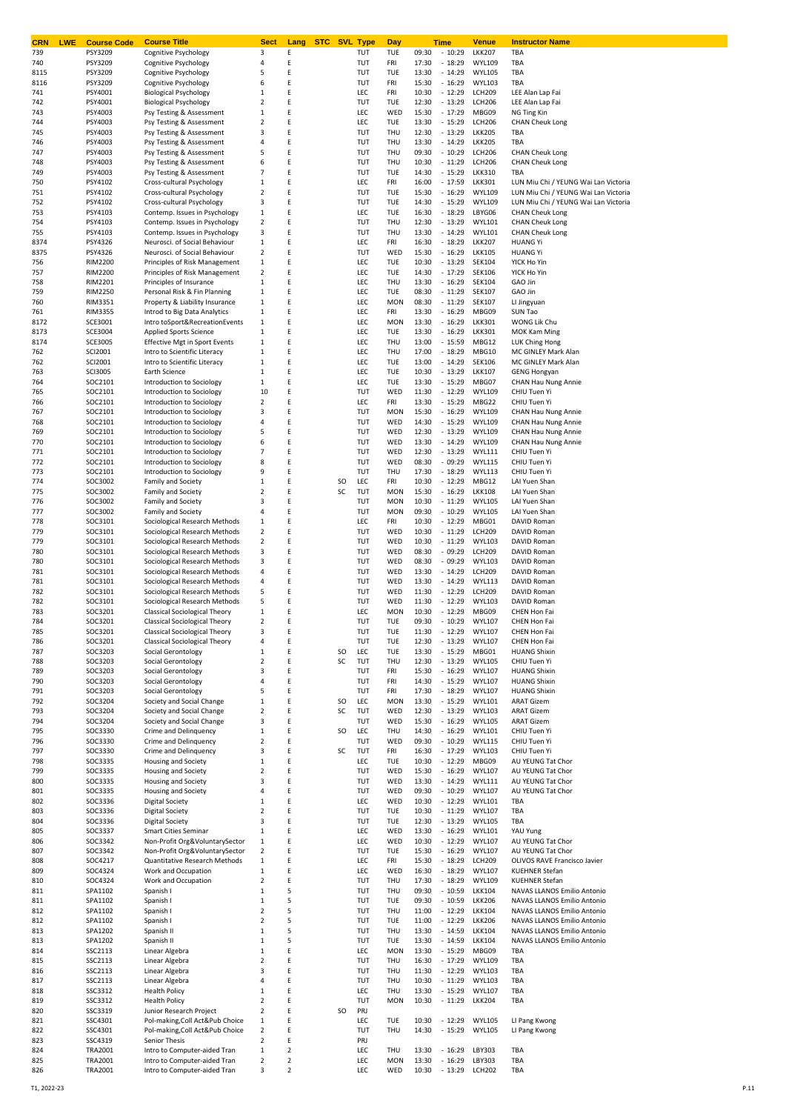| CRN<br><b>LWE</b> | <b>Course Code</b>        | <b>Course Title</b>                                            | <b>Sect</b>                    | STC SVL<br>Lang     |     | <b>Type</b> | Day                      |                | <b>Time</b>          | <u>Venue</u>                   | <b>Instructor Name</b>                                |
|-------------------|---------------------------|----------------------------------------------------------------|--------------------------------|---------------------|-----|-------------|--------------------------|----------------|----------------------|--------------------------------|-------------------------------------------------------|
| 739               | PSY3209                   | Cognitive Psychology                                           | 3<br>4                         | E<br>Ε              |     | TUT         | TUE<br>FRI               | 09:30<br>17:30 | $-10:29$             | <b>LKK207</b><br><b>WYL109</b> | TBA<br>TBA                                            |
| 740<br>8115       | PSY3209<br>PSY3209        | Cognitive Psychology<br>Cognitive Psychology                   | 5                              | E                   |     | TUT<br>TUT  | TUE                      | 13:30          | $-18:29$<br>$-14:29$ | <b>WYL105</b>                  | TBA                                                   |
| 8116              | PSY3209                   | Cognitive Psychology                                           | 6                              | Ε                   |     | TUT         | FRI                      | 15:30          | $-16:29$             | <b>WYL103</b>                  | TBA                                                   |
| 741               | PSY4001                   | <b>Biological Psychology</b>                                   | $\mathbf 1$                    | Ε                   |     | LEC         | FRI                      | 10:30          | $-12:29$             | <b>LCH209</b>                  | LEE Alan Lap Fai                                      |
| 742               | PSY4001                   | <b>Biological Psychology</b>                                   | 2                              | Ε                   |     | TUT         | TUE                      | 12:30          | $-13:29$             | <b>LCH206</b>                  | LEE Alan Lap Fai                                      |
| 743               | PSY4003                   | Psy Testing & Assessment                                       | $\mathbf 1$                    | E                   |     | LEC         | WED                      | 15:30          | $-17:29$             | MBG09                          | NG Ting Kin                                           |
| 744               | PSY4003                   | Psy Testing & Assessment                                       | 2                              | E                   |     | LEC         | TUE                      | 13:30          | $-15:29$             | <b>LCH206</b>                  | <b>CHAN Cheuk Long</b>                                |
| 745               | PSY4003                   | Psy Testing & Assessment                                       | 3<br>4                         | Ε<br>Ε              |     | TUT<br>TUT  | THU                      | 12:30<br>13:30 | $-13:29$             | <b>LKK205</b>                  | TBA<br>TBA                                            |
| 746<br>747        | PSY4003<br>PSY4003        | Psy Testing & Assessment<br>Psy Testing & Assessment           | 5                              | E                   |     | TUT         | THU<br>THU               | 09:30          | $-14:29$<br>$-10:29$ | <b>LKK205</b><br><b>LCH206</b> | <b>CHAN Cheuk Long</b>                                |
| 748               | PSY4003                   | Psy Testing & Assessment                                       | 6                              | Ε                   |     | TUT         | THU                      | 10:30          | $-11:29$             | <b>LCH206</b>                  | <b>CHAN Cheuk Long</b>                                |
| 749               | PSY4003                   | Psy Testing & Assessment                                       | 7                              | Ε                   |     | TUT         | TUE                      | 14:30          | $-15:29$             | <b>LKK310</b>                  | TBA                                                   |
| 750               | PSY4102                   | Cross-cultural Psychology                                      | $\mathbf 1$                    | Ε                   |     | LEC         | FRI                      | 16:00          | $-17:59$             | <b>LKK301</b>                  | LUN Miu Chi / YEUNG Wai Lan Victoria                  |
| 751               | PSY4102                   | Cross-cultural Psychology                                      | 2                              | E                   |     | TUT         | TUE                      | 15:30          | $-16:29$             | <b>WYL109</b>                  | LUN Miu Chi / YEUNG Wai Lan Victoria                  |
| 752               | PSY4102                   | Cross-cultural Psychology                                      | 3                              | Ε                   |     | TUT         | TUE                      | 14:30          | $-15:29$             | <b>WYL109</b>                  | LUN Miu Chi / YEUNG Wai Lan Victoria                  |
| 753               | PSY4103                   | Contemp. Issues in Psychology                                  | $1\,$                          | Ε                   |     | LEC         | TUE                      | 16:30          | $-18:29$             | LBYG06                         | <b>CHAN Cheuk Long</b>                                |
| 754               | PSY4103                   | Contemp. Issues in Psychology                                  | 2                              | Ε<br>E              |     | TUT<br>TUT  | THU                      | 12:30<br>13:30 | $-13:29$             | <b>WYL101</b>                  | <b>CHAN Cheuk Long</b>                                |
| 755<br>8374       | PSY4103<br>PSY4326        | Contemp. Issues in Psychology<br>Neurosci. of Social Behaviour | 3<br>$\mathbf 1$               | E                   |     | LEC         | THU<br>FRI               | 16:30          | $-14:29$<br>$-18:29$ | <b>WYL101</b><br><b>LKK207</b> | <b>CHAN Cheuk Long</b><br><b>HUANG Yi</b>             |
| 8375              | PSY4326                   | Neurosci. of Social Behaviour                                  | 2                              | Ε                   |     | TUT         | WED                      | 15:30          | $-16:29$             | <b>LKK105</b>                  | <b>HUANG Yi</b>                                       |
| 756               | <b>RIM2200</b>            | Principles of Risk Management                                  | $1\,$                          | E                   |     | LEC         | TUE                      | 10:30          | $-13:29$             | SEK104                         | YICK Ho Yin                                           |
| 757               | <b>RIM2200</b>            | Principles of Risk Management                                  | 2                              | E                   |     | LEC         | TUE                      | 14:30          | $-17:29$             | <b>SEK106</b>                  | YICK Ho Yin                                           |
| 758               | RIM2201                   | Principles of Insurance                                        | $\mathbf 1$                    | E                   |     | LEC         | THU                      | 13:30          | $-16:29$             | SEK104                         | GAO Jin                                               |
| 759               | <b>RIM2250</b>            | Personal Risk & Fin Planning                                   | $\mathbf{1}$                   | E                   |     | LEC         | TUE                      | 08:30          | $-11:29$             | <b>SEK107</b>                  | GAO Jin                                               |
| 760               | <b>RIM3351</b>            | Property & Liability Insurance                                 | $\mathbf{1}$                   | Ε                   |     | LEC         | <b>MON</b>               | 08:30          | $-11:29$             | <b>SEK107</b>                  | LI Jingyuan                                           |
| 761<br>8172       | <b>RIM3355</b><br>SCE3001 | Introd to Big Data Analytics<br>Intro toSport&RecreationEvents | $1\,$<br>$\mathbf{1}$          | Ε<br>E              |     | LEC<br>LEC  | FRI<br><b>MON</b>        | 13:30<br>13:30 | $-16:29$<br>$-16:29$ | MBG09<br><b>LKK301</b>         | SUN Tao<br>WONG Lik Chu                               |
| 8173              | <b>SCE3004</b>            | <b>Applied Sports Science</b>                                  | $\mathbf{1}$                   | Ε                   |     | LEC         | TUE                      | 13:30          | $-16:29$             | <b>LKK301</b>                  | MOK Kam Ming                                          |
| 8174              | <b>SCE3005</b>            | <b>Effective Mgt in Sport Events</b>                           | $\mathbf{1}$                   | E                   |     | LEC         | THU                      | 13:00          | $-15:59$             | MBG12                          | <b>LUK Ching Hong</b>                                 |
| 762               | SCI2001                   | Intro to Scientific Literacy                                   | $\mathbf 1$                    | E                   |     | LEC         | THU                      | 17:00          | $-18:29$             | MBG10                          | MC GINLEY Mark Alan                                   |
| 762               | SCI2001                   | Intro to Scientific Literacy                                   | $\mathbf{1}$                   | Ε                   |     | LEC         | TUE                      | 13:00          | $-14:29$             | <b>SEK106</b>                  | MC GINLEY Mark Alan                                   |
| 763               | <b>SCI3005</b>            | Earth Science                                                  | $1\,$                          | Ε                   |     | LEC         | TUE                      | 10:30          | $-13:29$             | <b>LKK107</b>                  | <b>GENG Hongyan</b>                                   |
| 764               | SOC2101                   | Introduction to Sociology                                      | $1\,$                          | E                   |     | LEC         | TUE                      | 13:30          | $-15:29$             | MBG07                          | <b>CHAN Hau Nung Annie</b>                            |
| 765               | SOC2101                   | Introduction to Sociology                                      | 10                             | Ε                   |     | TUT         | WED                      | 11:30          | $-12:29$             | <b>WYL109</b>                  | CHIU Tuen Yi                                          |
| 766               | SOC2101                   | Introduction to Sociology                                      | 2<br>3                         | Ε                   |     | LEC<br>TUT  | FRI                      | 13:30<br>15:30 | $-15:29$             | MBG22                          | CHIU Tuen Yi                                          |
| 767<br>768        | SOC2101<br>SOC2101        | Introduction to Sociology<br>Introduction to Sociology         | 4                              | Ε<br>Ε              |     | TUT         | <b>MON</b><br>WED        | 14:30          | $-16:29$<br>$-15:29$ | <b>WYL109</b><br><b>WYL109</b> | CHAN Hau Nung Annie<br><b>CHAN Hau Nung Annie</b>     |
| 769               | SOC2101                   | Introduction to Sociology                                      | 5                              | E                   |     | TUT         | WED                      | 12:30          | $-13:29$             | <b>WYL109</b>                  | <b>CHAN Hau Nung Annie</b>                            |
| 770               | SOC2101                   | Introduction to Sociology                                      | 6                              | Ε                   |     | TUT         | WED                      | 13:30          | $-14:29$             | <b>WYL109</b>                  | <b>CHAN Hau Nung Annie</b>                            |
| 771               | SOC2101                   | Introduction to Sociology                                      | 7                              | Ε                   |     | TUT         | WED                      | 12:30          | $-13:29$             | <b>WYL111</b>                  | CHIU Tuen Yi                                          |
| 772               | SOC2101                   | Introduction to Sociology                                      | 8                              | Ε                   |     | TUT         | WED                      | 08:30          | $-09:29$             | <b>WYL115</b>                  | CHIU Tuen Yi                                          |
| 773               | SOC2101                   | Introduction to Sociology                                      | 9                              | E                   |     | TUT         | THU                      | 17:30          | $-18:29$             | <b>WYL113</b>                  | CHIU Tuen Yi                                          |
| 774               | SOC3002                   | <b>Family and Society</b>                                      | $\mathbf 1$                    | Ε                   | SO  | LEC         | FRI                      | 10:30          | $-12:29$             | MBG12                          | LAI Yuen Shan                                         |
| 775               | SOC3002                   | <b>Family and Society</b>                                      | 2                              | E<br>E              | SC  | TUT         | <b>MON</b>               | 15:30          | $-16:29$             | <b>LKK108</b>                  | LAI Yuen Shan                                         |
| 776<br>777        | SOC3002<br>SOC3002        | <b>Family and Society</b><br>Family and Society                | 3<br>4                         | Ε                   |     | TUT<br>TUT  | <b>MON</b><br><b>MON</b> | 10:30<br>09:30 | $-11:29$<br>$-10:29$ | <b>WYL105</b><br><b>WYL105</b> | LAI Yuen Shan<br>LAI Yuen Shan                        |
| 778               | SOC3101                   | Sociological Research Methods                                  | $1\,$                          | Ε                   |     | LEC         | FRI                      | 10:30          | $-12:29$             | MBG01                          | DAVID Roman                                           |
| 779               | SOC3101                   | Sociological Research Methods                                  | 2                              | E                   |     | TUT         | WED                      | 10:30          | $-11:29$             | <b>LCH209</b>                  | DAVID Roman                                           |
| 779               | SOC3101                   | Sociological Research Methods                                  | $\overline{2}$                 | Ε                   |     | TUT         | WED                      | 10:30          | $-11:29$             | <b>WYL103</b>                  | DAVID Roman                                           |
| 780               | SOC3101                   | Sociological Research Methods                                  | 3                              | Ε                   |     | TUT         | WED                      | 08:30          | $-09:29$             | <b>LCH209</b>                  | DAVID Roman                                           |
| 780               | SOC3101                   | Sociological Research Methods                                  | 3                              | Ε                   |     | TUT         | WED                      | 08:30          | $-09:29$             | <b>WYL103</b>                  | DAVID Roman                                           |
| 781               | SOC3101                   | Sociological Research Methods                                  | 4                              | Ε                   |     | TUT         | WED                      | 13:30          | $-14:29$             | <b>LCH209</b>                  | DAVID Roman                                           |
| 781               | SOC3101                   | Sociological Research Methods                                  | 4                              | Ε                   |     | TUT         | WED                      | 13:30          | $-14:29$             | <b>WYL113</b>                  | DAVID Roman                                           |
| 782<br>782        | SOC3101<br>SOC3101        | Sociological Research Methods<br>Sociological Research Methods | 5<br>5                         | Ε<br>Ε              |     | TUT<br>TUT  | WED<br>WED               | 11:30<br>11:30 | $-12:29$<br>$-12:29$ | <b>LCH209</b><br><b>WYL103</b> | DAVID Roman<br>DAVID Roman                            |
| 783               | SOC3201                   | <b>Classical Sociological Theory</b>                           | $1\,$                          | Ε                   |     | LEC         | <b>MON</b>               | 10:30          | $-12:29$             | MBG09                          | CHEN Hon Fai                                          |
| 784               | SOC3201                   | <b>Classical Sociological Theory</b>                           | $\overline{2}$                 | F                   |     | TUT         | TUE                      | 09:30          | $-10:29$             | <b>WYL107</b>                  | CHEN Hon Fai                                          |
| 785               | SOC3201                   | Classical Sociological Theory                                  | $\overline{\mathbf{a}}$        |                     |     | TUT         | TUE                      | 11.30          | - 12:29 WYL107       |                                | CHEN Hon Fai                                          |
| 786               | SOC3201                   | <b>Classical Sociological Theory</b>                           | 4                              | Ε                   |     | TUT         | TUE                      | 12:30          | $-13:29$             | <b>WYL107</b>                  | CHEN Hon Fai                                          |
| 787               | SOC3203                   | Social Gerontology                                             | 1                              | Ε                   | SO. | LEC         | TUE                      | 13:30          | $-15:29$             | MBG01                          | <b>HUANG Shixin</b>                                   |
| 788               | SOC3203                   | Social Gerontology                                             | 2                              | Ε                   | SC  | TUT         | THU                      | 12:30          | $-13:29$             | <b>WYL105</b>                  | CHIU Tuen Yi                                          |
| 789               | SOC3203                   | Social Gerontology                                             | 3<br>4                         | Ε<br>Ε              |     | TUT         | FRI                      | 15:30          | $-16:29$             | <b>WYL107</b>                  | <b>HUANG Shixin</b>                                   |
| 790<br>791        | SOC3203<br>SOC3203        | Social Gerontology<br>Social Gerontology                       | 5                              | E                   |     | TUT<br>TUT  | FRI<br>FRI               | 14:30<br>17:30 | $-15:29$<br>$-18:29$ | <b>WYL107</b><br><b>WYL107</b> | <b>HUANG Shixin</b><br><b>HUANG Shixin</b>            |
| 792               | SOC3204                   | Society and Social Change                                      | $\mathbf{1}$                   | E                   | SO. | LEC         | <b>MON</b>               | 13:30          | $-15:29$             | <b>WYL101</b>                  | <b>ARAT Gizem</b>                                     |
| 793               | SOC3204                   | Society and Social Change                                      | $\overline{\mathbf{2}}$        | Ε                   | SC  | TUT         | WED                      | 12:30          | $-13:29$             | <b>WYL103</b>                  | <b>ARAT Gizem</b>                                     |
| 794               | SOC3204                   | Society and Social Change                                      | 3                              | E                   |     | TUT         | WED                      | 15:30          | $-16:29$             | <b>WYL105</b>                  | <b>ARAT Gizem</b>                                     |
| 795               | SOC3330                   | Crime and Delinquency                                          | $\mathbf{1}$                   | E                   | SO. | LEC         | THU                      | 14:30          | $-16:29$             | <b>WYL101</b>                  | CHIU Tuen Yi                                          |
| 796               | SOC3330                   | Crime and Delinquency                                          | $\overline{2}$                 | E                   |     | TUT         | WED                      | 09:30          | $-10:29$             | <b>WYL115</b>                  | CHIU Tuen Yi                                          |
| 797               | SOC3330                   | Crime and Delinguency                                          | 3                              | Ε                   | SC  | TUT         | FRI                      | 16:30          | $-17:29$             | <b>WYL103</b>                  | CHIU Tuen Yi                                          |
| 798               | SOC3335                   | Housing and Society                                            | $\mathbf{1}$                   | E                   |     | LEC         | TUE                      | 10:30          | $-12:29$             | MBG09                          | AU YEUNG Tat Chor                                     |
| 799<br>800        | SOC3335<br>SOC3335        | <b>Housing and Society</b><br>Housing and Society              | $\overline{2}$<br>3            | Ε<br>Ε              |     | TUT<br>TUT  | WED<br>WED               | 15:30<br>13:30 | $-16:29$<br>$-14:29$ | <b>WYL107</b><br><b>WYL111</b> | AU YEUNG Tat Chor<br>AU YEUNG Tat Chor                |
| 801               | SOC3335                   | <b>Housing and Society</b>                                     | 4                              | Ε                   |     | TUT         | WED                      | 09:30          | $-10:29$             | <b>WYL107</b>                  | AU YEUNG Tat Chor                                     |
| 802               | SOC3336                   | <b>Digital Society</b>                                         | $\mathbf 1$                    | Ε                   |     | LEC         | WED                      | 10:30          | $-12:29$             | <b>WYL101</b>                  | TBA                                                   |
| 803               | SOC3336                   | Digital Society                                                | 2                              | E                   |     | TUT         | TUE                      | 10:30          | $-11:29$             | <b>WYL107</b>                  | TBA                                                   |
| 804               | SOC3336                   | Digital Society                                                | 3                              | Ε                   |     | TUT         | TUE                      | 12:30          | $-13:29$             | <b>WYL105</b>                  | TBA                                                   |
| 805               | SOC3337                   | <b>Smart Cities Seminar</b>                                    | $\mathbf 1$                    | Ε                   |     | LEC         | WED                      | 13:30          | $-16:29$             | <b>WYL101</b>                  | YAU Yung                                              |
| 806               | SOC3342                   | Non-Profit Org&VoluntarySector                                 | $1\,$                          | Ε                   |     | LEC         | WED                      | 10:30          | $-12:29$             | <b>WYL107</b>                  | AU YEUNG Tat Chor                                     |
| 807               | SOC3342                   | Non-Profit Org&VoluntarySector                                 | 2                              | Ε                   |     | TUT         | TUE                      | 15:30          | $-16:29$             | <b>WYL107</b>                  | AU YEUNG Tat Chor                                     |
| 808<br>809        | SOC4217<br>SOC4324        | Quantitative Research Methods<br>Work and Occupation           | $1\,$<br>$1\,$                 | Ε<br>Ε              |     | LEC<br>LEC  | FRI<br>WED               | 15:30<br>16:30 | $-18:29$<br>$-18:29$ | <b>LCH209</b><br><b>WYL107</b> | OLIVOS RAVE Francisco Javier<br><b>KUEHNER Stefan</b> |
| 810               | SOC4324                   | Work and Occupation                                            | 2                              | E                   |     | TUT         | THU                      | 17:30          | $-18:29$             | <b>WYL109</b>                  | <b>KUEHNER Stefan</b>                                 |
| 811               | SPA1102                   | Spanish I                                                      | $\mathbf{1}$                   | 5                   |     | TUT         | THU                      | 09:30          | $-10:59$             | <b>LKK104</b>                  | NAVAS LLANOS Emilio Antonio                           |
| 811               | SPA1102                   | Spanish I                                                      | $\mathbf 1$                    | 5                   |     | TUT         | TUE                      | 09:30          | $-10:59$             | <b>LKK206</b>                  | NAVAS LLANOS Emilio Antonio                           |
| 812               | SPA1102                   | Spanish I                                                      | $\overline{\mathbf{2}}$        | 5                   |     | TUT         | THU                      | 11:00          | $-12:29$             | <b>LKK104</b>                  | NAVAS LLANOS Emilio Antonio                           |
| 812               | SPA1102                   | Spanish I                                                      | 2                              | 5                   |     | TUT         | TUE                      | 11:00          | $-12:29$             | <b>LKK206</b>                  | NAVAS LLANOS Emilio Antonio                           |
| 813               | SPA1202                   | Spanish II                                                     | $\mathbf{1}$                   | 5                   |     | TUT         | THU                      | 13:30          | $-14:59$             | <b>LKK104</b>                  | NAVAS LLANOS Emilio Antonio                           |
| 813               | SPA1202                   | Spanish II                                                     | $\mathbf 1$                    | 5                   |     | TUT         | TUE                      | 13:30          | $-14:59$             | <b>LKK104</b>                  | NAVAS LLANOS Emilio Antonio                           |
| 814               | SSC2113                   | Linear Algebra                                                 | $\mathbf 1$                    | Ε<br>E              |     | LEC         | <b>MON</b>               | 13:30          | $-15:29$             | MBG09                          | TBA                                                   |
| 815<br>816        | SSC2113<br>SSC2113        | Linear Algebra<br>Linear Algebra                               | 2<br>3                         | E                   |     | TUT<br>TUT  | THU<br>THU               | 16:30<br>11:30 | $-17:29$<br>$-12:29$ | <b>WYL109</b><br><b>WYL103</b> | TBA<br>TBA                                            |
| 817               | SSC2113                   | Linear Algebra                                                 | 4                              | Ε                   |     | TUT         | THU                      | 10:30          | $-11:29$             | <b>WYL103</b>                  | TBA                                                   |
| 818               | SSC3312                   | <b>Health Policy</b>                                           | $\mathbf 1$                    | Ε                   |     | LEC         | THU                      | 13:30          | $-15:29$             | <b>WYL107</b>                  | TBA                                                   |
| 819               | SSC3312                   | <b>Health Policy</b>                                           | 2                              | E                   |     | TUT         | <b>MON</b>               | 10:30          | $-11:29$             | <b>LKK204</b>                  | TBA                                                   |
| 820               | SSC3319                   | Junior Research Project                                        | $\overline{2}$                 | E                   | SO  | PRJ         |                          |                |                      |                                |                                                       |
| 821               | SSC4301                   | Pol-making, Coll Act&Pub Choice                                | $1\,$                          | Ε                   |     | LEC         | TUE                      | 10:30          | $-12:29$             | <b>WYL105</b>                  | LI Pang Kwong                                         |
| 822               | SSC4301                   | Pol-making, Coll Act&Pub Choice                                | 2                              | E                   |     | TUT         | THU                      | 14:30          | $-15:29$             | <b>WYL105</b>                  | LI Pang Kwong                                         |
| 823<br>824        | SSC4319<br><b>TRA2001</b> | Senior Thesis<br>Intro to Computer-aided Tran                  | $\overline{2}$<br>$\mathbf{1}$ | Ε<br>$\overline{2}$ |     | PRJ<br>LEC  | THU                      | 13:30          | $-16:29$             | LBY303                         | TBA                                                   |
| 825               | <b>TRA2001</b>            | Intro to Computer-aided Tran                                   | 2                              | $\overline{2}$      |     | LEC         | <b>MON</b>               | 13:30          | $-16:29$             | LBY303                         | TBA                                                   |
| 826               | TRA2001                   | Intro to Computer-aided Tran                                   | 3                              | 2                   |     | LEC         | WED                      | 10:30          | $-13:29$             | <b>LCH202</b>                  | TBA                                                   |
|                   |                           |                                                                |                                |                     |     |             |                          |                |                      |                                |                                                       |